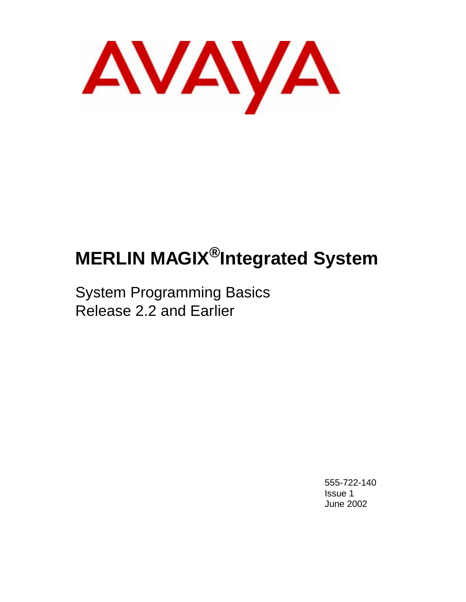

# **MERLIN MAGIX®Integrated System**

System Programming Basics Release 2.2 and Earlier

> 555-722-140 Issue 1 June 2002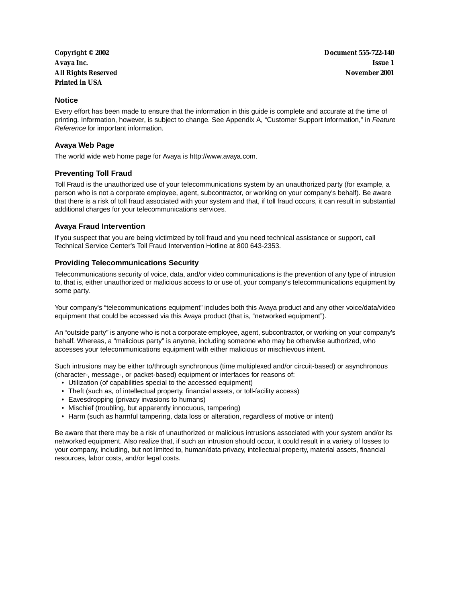**Printed in USA**

**Copyright © 2002 Document 555-722-140 Avaya Inc. Issue 1 All Rights Reserved November 2001**

#### **Notice**

Every effort has been made to ensure that the information in this guide is complete and accurate at the time of printing. Information, however, is subject to change. See Appendix A, "Customer Support Information," in Feature Reference for important information.

#### **Avaya Web Page**

The world wide web home page for Avaya is http://www.avaya.com.

#### **Preventing Toll Fraud**

Toll Fraud is the unauthorized use of your telecommunications system by an unauthorized party (for example, a person who is not a corporate employee, agent, subcontractor, or working on your company's behalf). Be aware that there is a risk of toll fraud associated with your system and that, if toll fraud occurs, it can result in substantial additional charges for your telecommunications services.

#### **Avaya Fraud Intervention**

If you suspect that you are being victimized by toll fraud and you need technical assistance or support, call Technical Service Center's Toll Fraud Intervention Hotline at 800 643-2353.

#### **Providing Telecommunications Security**

Telecommunications security of voice, data, and/or video communications is the prevention of any type of intrusion to, that is, either unauthorized or malicious access to or use of, your company's telecommunications equipment by some party.

Your company's "telecommunications equipment" includes both this Avaya product and any other voice/data/video equipment that could be accessed via this Avaya product (that is, "networked equipment").

An "outside party" is anyone who is not a corporate employee, agent, subcontractor, or working on your company's behalf. Whereas, a "malicious party" is anyone, including someone who may be otherwise authorized, who accesses your telecommunications equipment with either malicious or mischievous intent.

Such intrusions may be either to/through synchronous (time multiplexed and/or circuit-based) or asynchronous (character-, message-, or packet-based) equipment or interfaces for reasons of:

- Utilization (of capabilities special to the accessed equipment)
- Theft (such as, of intellectual property, financial assets, or toll-facility access)
- Eavesdropping (privacy invasions to humans)
- Mischief (troubling, but apparently innocuous, tampering)
- Harm (such as harmful tampering, data loss or alteration, regardless of motive or intent)

Be aware that there may be a risk of unauthorized or malicious intrusions associated with your system and/or its networked equipment. Also realize that, if such an intrusion should occur, it could result in a variety of losses to your company, including, but not limited to, human/data privacy, intellectual property, material assets, financial resources, labor costs, and/or legal costs.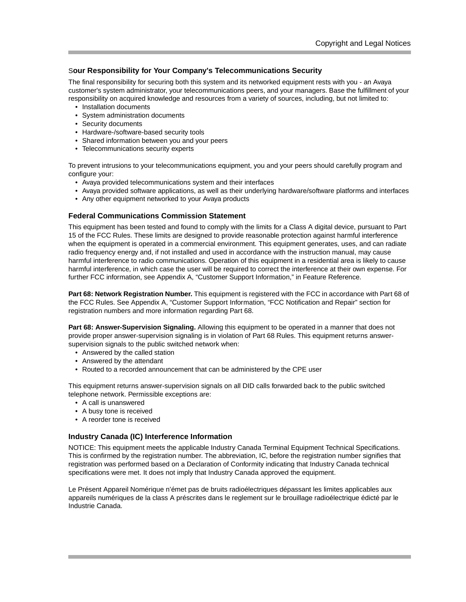#### S**our Responsibility for Your Company's Telecommunications Security**

The final responsibility for securing both this system and its networked equipment rests with you - an Avaya customer's system administrator, your telecommunications peers, and your managers. Base the fulfillment of your responsibility on acquired knowledge and resources from a variety of sources, including, but not limited to:

- Installation documents
- System administration documents
- Security documents
- Hardware-/software-based security tools
- Shared information between you and your peers
- Telecommunications security experts

To prevent intrusions to your telecommunications equipment, you and your peers should carefully program and configure your:

- Avaya provided telecommunications system and their interfaces
- Avaya provided software applications, as well as their underlying hardware/software platforms and interfaces
- Any other equipment networked to your Avaya products

#### **Federal Communications Commission Statement**

This equipment has been tested and found to comply with the limits for a Class A digital device, pursuant to Part 15 of the FCC Rules. These limits are designed to provide reasonable protection against harmful interference when the equipment is operated in a commercial environment. This equipment generates, uses, and can radiate radio frequency energy and, if not installed and used in accordance with the instruction manual, may cause harmful interference to radio communications. Operation of this equipment in a residential area is likely to cause harmful interference, in which case the user will be required to correct the interference at their own expense. For further FCC information, see Appendix A, "Customer Support Information," in Feature Reference.

**Part 68: Network Registration Number.** This equipment is registered with the FCC in accordance with Part 68 of the FCC Rules. See Appendix A, "Customer Support Information, "FCC Notification and Repair" section for registration numbers and more information regarding Part 68.

**Part 68: Answer-Supervision Signaling.** Allowing this equipment to be operated in a manner that does not provide proper answer-supervision signaling is in violation of Part 68 Rules. This equipment returns answersupervision signals to the public switched network when:

- Answered by the called station
- Answered by the attendant
- Routed to a recorded announcement that can be administered by the CPE user

This equipment returns answer-supervision signals on all DID calls forwarded back to the public switched telephone network. Permissible exceptions are:

- A call is unanswered
- A busy tone is received
- A reorder tone is received

#### **Industry Canada (IC) Interference Information**

NOTICE: This equipment meets the applicable Industry Canada Terminal Equipment Technical Specifications. This is confirmed by the registration number. The abbreviation, IC, before the registration number signifies that registration was performed based on a Declaration of Conformity indicating that Industry Canada technical specifications were met. It does not imply that Industry Canada approved the equipment.

Le Présent Appareil Nomérique n'émet pas de bruits radioélectriques dépassant les limites applicables aux appareils numériques de la class A préscrites dans le reglement sur le brouillage radioélectrique édicté par le Industrie Canada.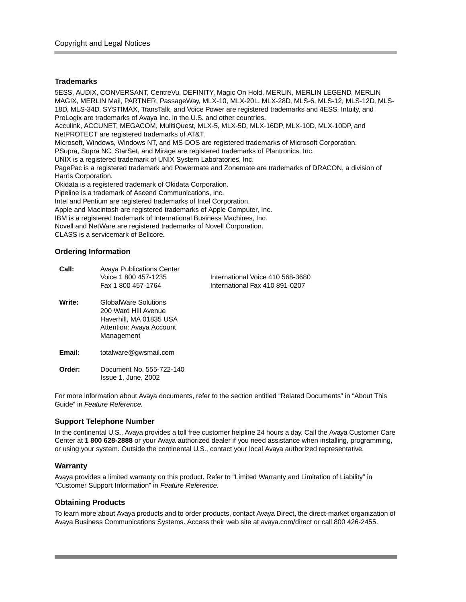#### **Trademarks**

5ESS, AUDIX, CONVERSANT, CentreVu, DEFINITY, Magic On Hold, MERLIN, MERLIN LEGEND, MERLIN MAGIX, MERLIN Mail, PARTNER, PassageWay, MLX-10, MLX-20L, MLX-28D, MLS-6, MLS-12, MLS-12D, MLS-18D, MLS-34D, SYSTIMAX, TransTalk, and Voice Power are registered trademarks and 4ESS, Intuity, and ProLogix are trademarks of Avaya Inc. in the U.S. and other countries. Acculink, ACCUNET, MEGACOM, MulitiQuest, MLX-5, MLX-5D, MLX-16DP, MLX-10D, MLX-10DP, and NetPROTECT are registered trademarks of AT&T. Microsoft, Windows, Windows NT, and MS-DOS are registered trademarks of Microsoft Corporation. PSupra, Supra NC, StarSet, and Mirage are registered trademarks of Plantronics, Inc. UNIX is a registered trademark of UNIX System Laboratories, Inc. PagePac is a registered trademark and Powermate and Zonemate are trademarks of DRACON, a division of Harris Corporation. Okidata is a registered trademark of Okidata Corporation. Pipeline is a trademark of Ascend Communications, Inc. Intel and Pentium are registered trademarks of Intel Corporation. Apple and Macintosh are registered trademarks of Apple Computer, Inc. IBM is a registered trademark of International Business Machines, Inc.

Novell and NetWare are registered trademarks of Novell Corporation.

CLASS is a servicemark of Bellcore.

#### **Ordering Information**

| <b>Avaya Publications Center</b><br>Voice 1 800 457-1235<br>Fax 1 800 457-1764                                    | International Voice 410 568-3680<br>International Fax 410 891-0207 |
|-------------------------------------------------------------------------------------------------------------------|--------------------------------------------------------------------|
| GlobalWare Solutions<br>200 Ward Hill Avenue<br>Haverhill, MA 01835 USA<br>Attention: Avaya Account<br>Management |                                                                    |
| totalware@gwsmail.com                                                                                             |                                                                    |
| Document No. 555-722-140<br>Issue 1, June, 2002                                                                   |                                                                    |
|                                                                                                                   |                                                                    |

For more information about Avaya documents, refer to the section entitled "Related Documents" in "About This Guide" in Feature Reference.

#### **Support Telephone Number**

In the continental U.S., Avaya provides a toll free customer helpline 24 hours a day. Call the Avaya Customer Care Center at **1 800 628-2888** or your Avaya authorized dealer if you need assistance when installing, programming, or using your system. Outside the continental U.S., contact your local Avaya authorized representative.

#### **Warranty**

Avaya provides a limited warranty on this product. Refer to "Limited Warranty and Limitation of Liability" in "Customer Support Information" in Feature Reference.

#### **Obtaining Products**

To learn more about Avaya products and to order products, contact Avaya Direct, the direct-market organization of Avaya Business Communications Systems. Access their web site at avaya.com/direct or call 800 426-2455.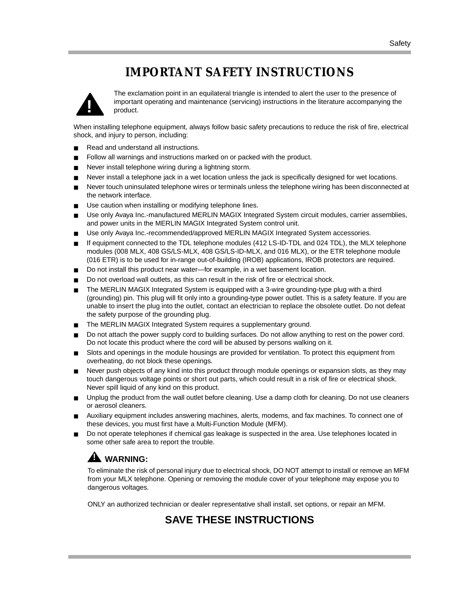# **IMPORTANT SAFETY INSTRUCTIONS**



The exclamation point in an equilateral triangle is intended to alert the user to the presence of important operating and maintenance (servicing) instructions in the literature accompanying the product.

When installing telephone equipment, always follow basic safety precautions to reduce the risk of fire, electrical shock, and injury to person, including:

- Read and understand all instructions.
- Follow all warnings and instructions marked on or packed with the product.
- Never install telephone wiring during a lightning storm.
- Never install a telephone jack in a wet location unless the jack is specifically designed for wet locations.
- Never touch uninsulated telephone wires or terminals unless the telephone wiring has been disconnected at the network interface.
- Use caution when installing or modifying telephone lines.
- Use only Avaya Inc.-manufactured MERLIN MAGIX Integrated System circuit modules, carrier assemblies, and power units in the MERLIN MAGIX Integrated System control unit.
- Use only Avaya Inc.-recommended/approved MERLIN MAGIX Integrated System accessories.
- If equipment connected to the TDL telephone modules (412 LS-ID-TDL and 024 TDL), the MLX telephone modules (008 MLX, 408 GS/LS-MLX, 408 GS/LS-ID-MLX, and 016 MLX), or the ETR telephone module (016 ETR) is to be used for in-range out-of-building (IROB) applications, IROB protectors are required.
- Do not install this product near water—for example, in a wet basement location.
- Do not overload wall outlets, as this can result in the risk of fire or electrical shock.
- The MERLIN MAGIX Integrated System is equipped with a 3-wire grounding-type plug with a third (grounding) pin. This plug will fit only into a grounding-type power outlet. This is a safety feature. If you are unable to insert the plug into the outlet, contact an electrician to replace the obsolete outlet. Do not defeat the safety purpose of the grounding plug.
- The MERLIN MAGIX Integrated System requires a supplementary ground.
- Do not attach the power supply cord to building surfaces. Do not allow anything to rest on the power cord. Do not locate this product where the cord will be abused by persons walking on it.
- Slots and openings in the module housings are provided for ventilation. To protect this equipment from overheating, do not block these openings.
- Never push objects of any kind into this product through module openings or expansion slots, as they may touch dangerous voltage points or short out parts, which could result in a risk of fire or electrical shock. Never spill liquid of any kind on this product.
- Unplug the product from the wall outlet before cleaning. Use a damp cloth for cleaning. Do not use cleaners or aerosol cleaners.
- Auxiliary equipment includes answering machines, alerts, modems, and fax machines. To connect one of these devices, you must first have a Multi-Function Module (MFM).
- Do not operate telephones if chemical gas leakage is suspected in the area. Use telephones located in some other safe area to report the trouble.

# **! WARNING:** !

To eliminate the risk of personal injury due to electrical shock, DO NOT attempt to install or remove an MFM from your MLX telephone. Opening or removing the module cover of your telephone may expose you to dangerous voltages.

ONLY an authorized technician or dealer representative shall install, set options, or repair an MFM.

# **SAVE THESE INSTRUCTIONS**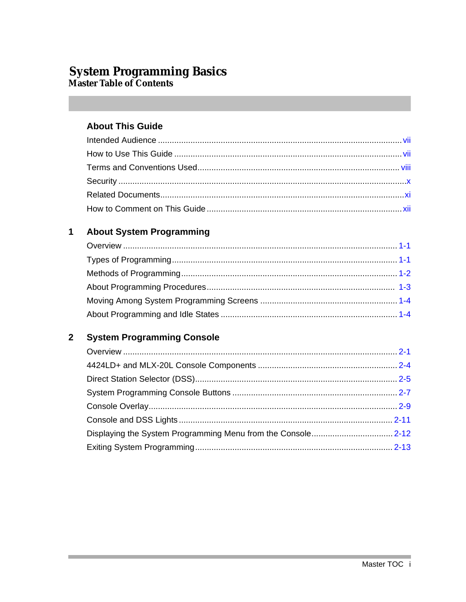# **System Programming Basics<br>Master Table of Contents**

# **About This Guide**

# 1 About System Programming

# 2 System Programming Console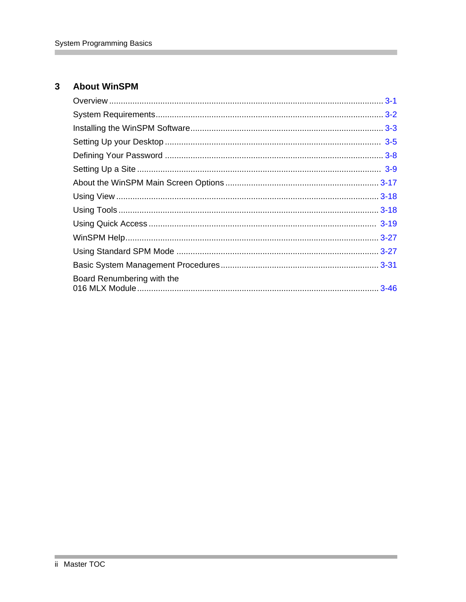#### **About WinSPM**  $\mathbf{3}$

| Board Renumbering with the |
|----------------------------|

a sa kacamatan ing Kabupatèn Kabupatèn Ing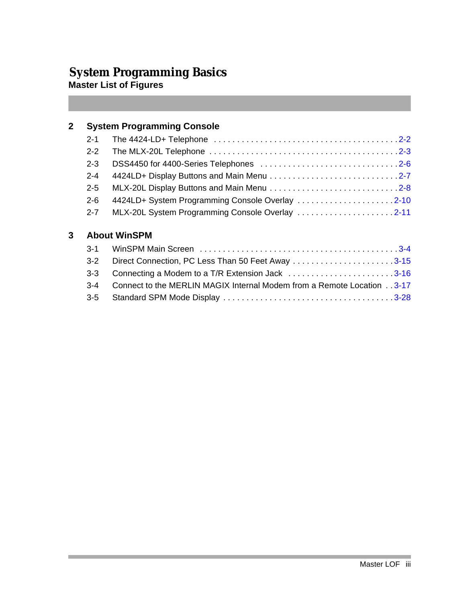# **System Programming Basics Master List of Figures**

# **[2 System Programming Console](#page-30-0)**

| 2-5 MLX-20L Display Buttons and Main Menu 2-8       |  |
|-----------------------------------------------------|--|
| 2-6 4424LD+ System Programming Console Overlay 2-10 |  |
| 2-7 MLX-20L System Programming Console Overlay 2-11 |  |

## **[3 About WinSPM](#page-46-0)**

| 3-2 Direct Connection, PC Less Than 50 Feet Away 3-15                      |
|----------------------------------------------------------------------------|
| 3-3 Connecting a Modem to a T/R Extension Jack 3-16                        |
| 3-4 Connect to the MERLIN MAGIX Internal Modem from a Remote Location 3-17 |
|                                                                            |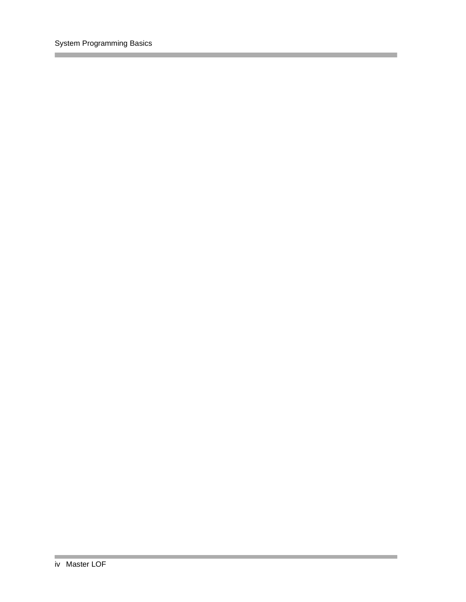a sa kacamatan ing Kabupatèn Kabupatèn Ing

**Contract Contract**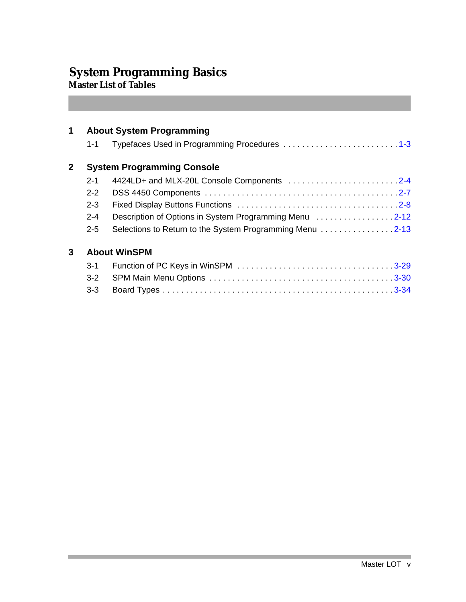# **System Programming Basics**

**Master List of Tables**

# **[1 About System Programming](#page-22-0)**

|  | 1-1 Typefaces Used in Programming Procedures 1-3 |  |  |
|--|--------------------------------------------------|--|--|
|--|--------------------------------------------------|--|--|

# **[2 System Programming Console](#page-30-0)**

|     | 2-1 4424LD+ and MLX-20L Console Components 2-4               |  |
|-----|--------------------------------------------------------------|--|
|     |                                                              |  |
|     |                                                              |  |
| 2-4 |                                                              |  |
|     | 2-5 Selections to Return to the System Programming Menu 2-13 |  |
|     |                                                              |  |

# **[3 About WinSPM](#page-46-0)**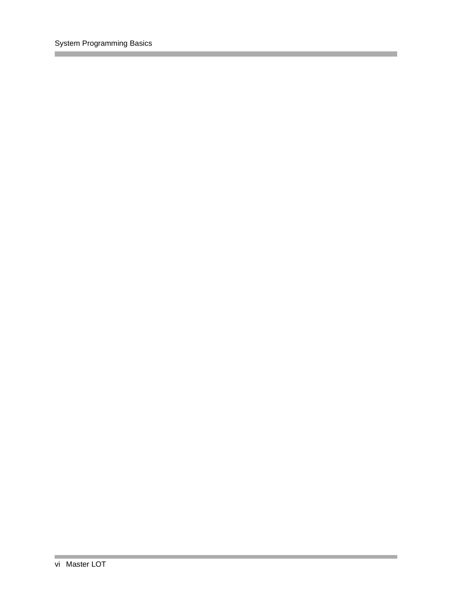a sa kacamatan ing Kabupatèn Kabupatèn Kabupatèn Kabupatèn Kabupatèn Kabupatèn Kabupatèn Kabupatèn Kabupatèn K

**The State**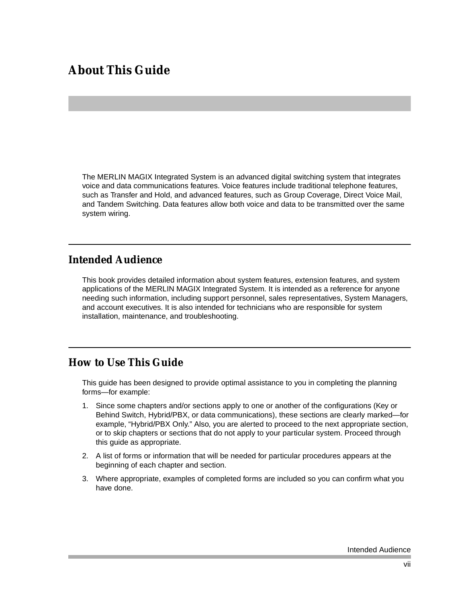# <span id="page-12-0"></span>**About This Guide**

The MERLIN MAGIX Integrated System is an advanced digital switching system that integrates voice and data communications features. Voice features include traditional telephone features, such as Transfer and Hold, and advanced features, such as Group Coverage, Direct Voice Mail, and Tandem Switching. Data features allow both voice and data to be transmitted over the same system wiring.

# <span id="page-12-1"></span>**Intended Audience**

This book provides detailed information about system features, extension features, and system applications of the MERLIN MAGIX Integrated System. It is intended as a reference for anyone needing such information, including support personnel, sales representatives, System Managers, and account executives. It is also intended for technicians who are responsible for system installation, maintenance, and troubleshooting.

# <span id="page-12-2"></span>**How to Use This Guide**

This guide has been designed to provide optimal assistance to you in completing the planning forms—for example:

- 1. Since some chapters and/or sections apply to one or another of the configurations (Key or Behind Switch, Hybrid/PBX, or data communications), these sections are clearly marked—for example, "Hybrid/PBX Only." Also, you are alerted to proceed to the next appropriate section, or to skip chapters or sections that do not apply to your particular system. Proceed through this guide as appropriate.
- 2. A list of forms or information that will be needed for particular procedures appears at the beginning of each chapter and section.
- 3. Where appropriate, examples of completed forms are included so you can confirm what you have done.

Intended Audience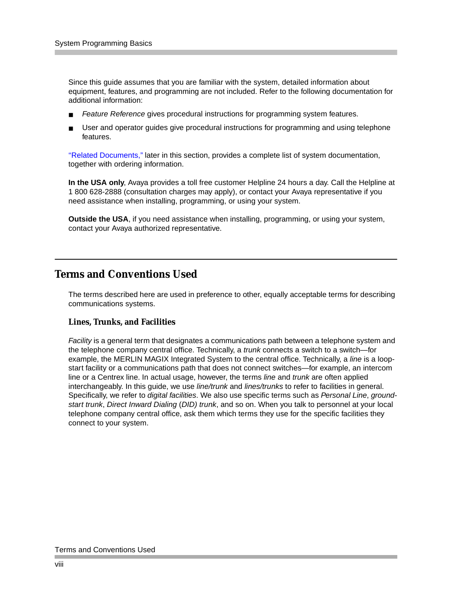Since this guide assumes that you are familiar with the system, detailed information about equipment, features, and programming are not included. Refer to the following documentation for additional information:

- Feature Reference gives procedural instructions for programming system features.
- User and operator guides give procedural instructions for programming and using telephone features.

[''Related Documents,](#page-16-0)" later in this section, provides a complete list of system documentation, together with ordering information.

**In the USA only**, Avaya provides a toll free customer Helpline 24 hours a day. Call the Helpline at 1 800 628-2888 (consultation charges may apply), or contact your Avaya representative if you need assistance when installing, programming, or using your system.

**Outside the USA**, if you need assistance when installing, programming, or using your system, contact your Avaya authorized representative.

## <span id="page-13-0"></span>**Terms and Conventions Used**

The terms described here are used in preference to other, equally acceptable terms for describing communications systems.

#### **Lines, Trunks, and Facilities** 0

Facility is a general term that designates a communications path between a telephone system and the telephone company central office. Technically, a *trunk* connects a switch to a switch—for example, the MERLIN MAGIX Integrated System to the central office. Technically, a line is a loopstart facility or a communications path that does not connect switches—for example, an intercom line or a Centrex line. In actual usage, however, the terms line and trunk are often applied interchangeably. In this guide, we use line/trunk and lines/trunks to refer to facilities in general. Specifically, we refer to *digital facilities*. We also use specific terms such as *Personal Line*, groundstart trunk, Direct Inward Dialing (DID) trunk, and so on. When you talk to personnel at your local telephone company central office, ask them which terms they use for the specific facilities they connect to your system.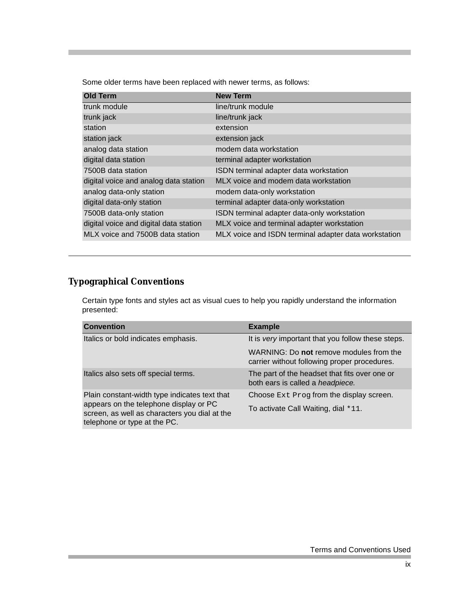Some older terms have been replaced with newer terms, as follows:

| <b>Old Term</b>                        | <b>New Term</b>                                      |
|----------------------------------------|------------------------------------------------------|
| trunk module                           | line/trunk module                                    |
| trunk jack                             | line/trunk jack                                      |
| station                                | extension                                            |
| station jack                           | extension jack                                       |
| analog data station                    | modem data workstation                               |
| digital data station                   | terminal adapter workstation                         |
| 7500B data station                     | ISDN terminal adapter data workstation               |
| digital voice and analog data station  | MLX voice and modem data workstation                 |
| analog data-only station               | modem data-only workstation                          |
| digital data-only station              | terminal adapter data-only workstation               |
| 7500B data-only station                | ISDN terminal adapter data-only workstation          |
| digital voice and digital data station | MLX voice and terminal adapter workstation           |
| MLX voice and 7500B data station       | MLX voice and ISDN terminal adapter data workstation |

# **Typographical Conventions**

Certain type fonts and styles act as visual cues to help you rapidly understand the information presented:

| <b>Convention</b>                                                                                                       | <b>Example</b>                                                                          |
|-------------------------------------------------------------------------------------------------------------------------|-----------------------------------------------------------------------------------------|
| Italics or bold indicates emphasis.                                                                                     | It is very important that you follow these steps.                                       |
|                                                                                                                         | WARNING: Do not remove modules from the<br>carrier without following proper procedures. |
| Italics also sets off special terms.                                                                                    | The part of the headset that fits over one or<br>both ears is called a headpiece.       |
| Plain constant-width type indicates text that                                                                           | Choose Ext Prog from the display screen.                                                |
| appears on the telephone display or PC<br>screen, as well as characters you dial at the<br>telephone or type at the PC. | To activate Call Waiting, dial *11.                                                     |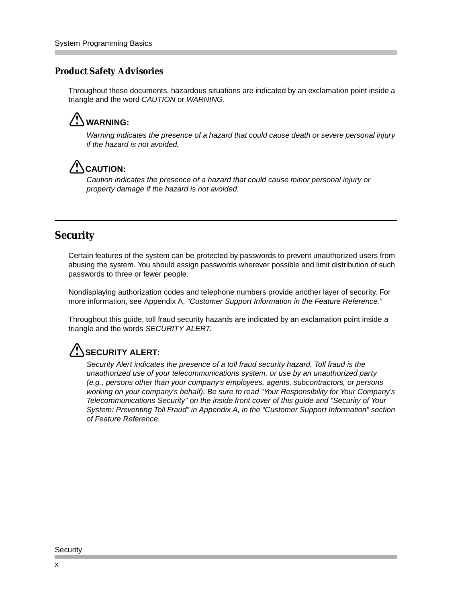#### **Product Safety Advisories**

Throughout these documents, hazardous situations are indicated by an exclamation point inside a triangle and the word CAUTION or WARNING.

# **WARNING:**

Warning indicates the presence of a hazard that could cause death or severe personal injury if the hazard is not avoided.

# **CAUTION:**

Caution indicates the presence of a hazard that could cause minor personal injury or property damage if the hazard is not avoided.

# <span id="page-15-0"></span>**Security**

Certain features of the system can be protected by passwords to prevent unauthorized users from abusing the system. You should assign passwords wherever possible and limit distribution of such passwords to three or fewer people.

Nondisplaying authorization codes and telephone numbers provide another layer of security. For more information, see Appendix A, "Customer Support Information in the Feature Reference."

Throughout this guide, toll fraud security hazards are indicated by an exclamation point inside a triangle and the words SECURITY ALERT.

# SECURITY ALERT:

Security Alert indicates the presence of a toll fraud security hazard. Toll fraud is the unauthorized use of your telecommunications system, or use by an unauthorized party (e.g., persons other than your company's employees, agents, subcontractors, or persons working on your company's behalf). Be sure to read "Your Responsibility for Your Company's Telecommunications Security" on the inside front cover of this guide and "Security of Your System: Preventing Toll Fraud" in Appendix A, in the "Customer Support Information" section of Feature Reference.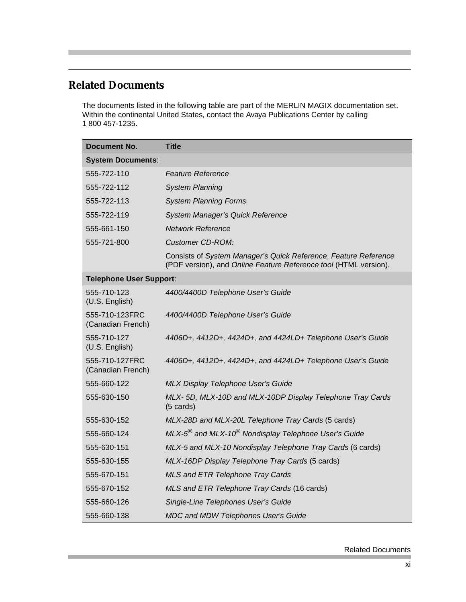# <span id="page-16-0"></span>**Related Documents**

The documents listed in the following table are part of the MERLIN MAGIX documentation set. Within the continental United States, contact the Avaya Publications Center by calling 1 800 457-1235.

| <b>Document No.</b>                 | <b>Title</b>                                                                                                                        |
|-------------------------------------|-------------------------------------------------------------------------------------------------------------------------------------|
| <b>System Documents:</b>            |                                                                                                                                     |
| 555-722-110                         | <b>Feature Reference</b>                                                                                                            |
| 555-722-112                         | <b>System Planning</b>                                                                                                              |
| 555-722-113                         | <b>System Planning Forms</b>                                                                                                        |
| 555-722-119                         | <b>System Manager's Quick Reference</b>                                                                                             |
| 555-661-150                         | <b>Network Reference</b>                                                                                                            |
| 555-721-800                         | <b>Customer CD-ROM:</b>                                                                                                             |
|                                     | Consists of System Manager's Quick Reference, Feature Reference<br>(PDF version), and Online Feature Reference tool (HTML version). |
| <b>Telephone User Support:</b>      |                                                                                                                                     |
| 555-710-123<br>(U.S. English)       | 4400/4400D Telephone User's Guide                                                                                                   |
| 555-710-123FRC<br>(Canadian French) | 4400/4400D Telephone User's Guide                                                                                                   |
| 555-710-127<br>(U.S. English)       | 4406D+, 4412D+, 4424D+, and 4424LD+ Telephone User's Guide                                                                          |
| 555-710-127FRC<br>(Canadian French) | 4406D+, 4412D+, 4424D+, and 4424LD+ Telephone User's Guide                                                                          |
| 555-660-122                         | MLX Display Telephone User's Guide                                                                                                  |
| 555-630-150                         | MLX-5D, MLX-10D and MLX-10DP Display Telephone Tray Cards<br>$(5 \text{ cards})$                                                    |
| 555-630-152                         | MLX-28D and MLX-20L Telephone Tray Cards (5 cards)                                                                                  |
| 555-660-124                         | $MLX-5^{\circledR}$ and MLX-10 <sup>®</sup> Nondisplay Telephone User's Guide                                                       |
| 555-630-151                         | MLX-5 and MLX-10 Nondisplay Telephone Tray Cards (6 cards)                                                                          |
| 555-630-155                         | MLX-16DP Display Telephone Tray Cards (5 cards)                                                                                     |
| 555-670-151                         | <b>MLS and ETR Telephone Tray Cards</b>                                                                                             |
| 555-670-152                         | MLS and ETR Telephone Tray Cards (16 cards)                                                                                         |
| 555-660-126                         | Single-Line Telephones User's Guide                                                                                                 |
| 555-660-138                         | <b>MDC and MDW Telephones User's Guide</b>                                                                                          |

Related Documents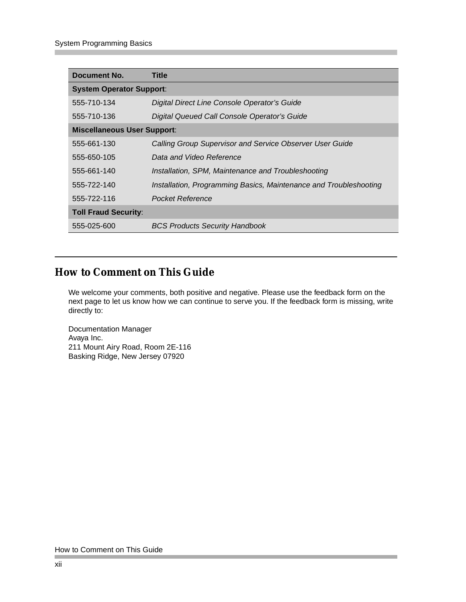| Document No.                       | Title                                                             |
|------------------------------------|-------------------------------------------------------------------|
| <b>System Operator Support:</b>    |                                                                   |
| 555-710-134                        | Digital Direct Line Console Operator's Guide                      |
| 555-710-136                        | Digital Queued Call Console Operator's Guide                      |
| <b>Miscellaneous User Support:</b> |                                                                   |
| 555-661-130                        | Calling Group Supervisor and Service Observer User Guide          |
| 555-650-105                        | Data and Video Reference                                          |
| 555-661-140                        | Installation, SPM, Maintenance and Troubleshooting                |
| 555-722-140                        | Installation, Programming Basics, Maintenance and Troubleshooting |
| 555-722-116                        | Pocket Reference                                                  |
| <b>Toll Fraud Security:</b>        |                                                                   |
| 555-025-600                        | <b>BCS Products Security Handbook</b>                             |

# <span id="page-17-0"></span>**How to Comment on This Guide**

We welcome your comments, both positive and negative. Please use the feedback form on the next page to let us know how we can continue to serve you. If the feedback form is missing, write directly to:

Documentation Manager Avaya Inc. 211 Mount Airy Road, Room 2E-116 Basking Ridge, New Jersey 07920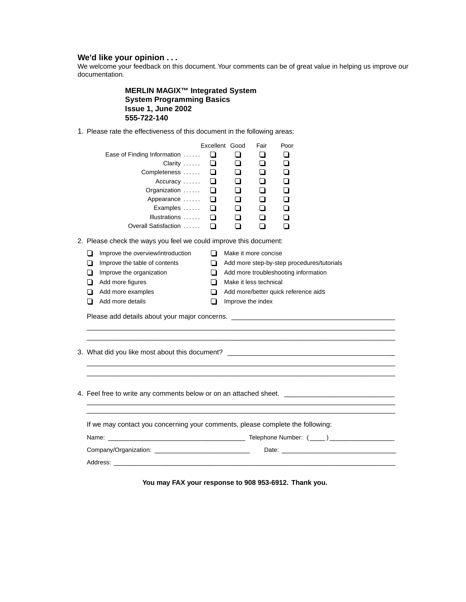#### **We'd like your opinion . . .**

We welcome your feedback on this document. Your comments can be of great value in helping us improve our documentation.

> **MERLIN MAGIX™ Integrated System System Programming Basics Issue 1, June 2002 555-722-140**

1. Please rate the effectiveness of this document in the following areas:

|   |                                                                                                      |        | Excellent Good         | Fair   | Poor                                       |  |
|---|------------------------------------------------------------------------------------------------------|--------|------------------------|--------|--------------------------------------------|--|
|   | Ease of Finding Information                                                                          | $\Box$ | ∩                      | ◻      | П                                          |  |
|   | Clarity                                                                                              | $\Box$ | □                      | □      | П                                          |  |
|   | Completeness                                                                                         | $\Box$ | □                      | □      |                                            |  |
|   | Accuracy                                                                                             | ◘      | ❏                      | □      |                                            |  |
|   | Organization                                                                                         | $\Box$ | ❏                      | ❏      |                                            |  |
|   | Appearance                                                                                           | $\Box$ | $\Box$                 | ❏      |                                            |  |
|   | Examples                                                                                             | $\Box$ | ❏                      | ⊔      |                                            |  |
|   | Illustrations                                                                                        | $\Box$ | □                      | □      |                                            |  |
|   | Overall Satisfaction                                                                                 | ▢      | $\Box$                 | $\Box$ | □                                          |  |
|   | 2. Please check the ways you feel we could improve this document:                                    |        |                        |        |                                            |  |
|   | Improve the overview/introduction                                                                    | ப      | Make it more concise   |        |                                            |  |
|   | Improve the table of contents                                                                        | ❏      |                        |        | Add more step-by-step procedures/tutorials |  |
|   | Improve the organization                                                                             | ப      |                        |        | Add more troubleshooting information       |  |
|   | Add more figures                                                                                     | ப      | Make it less technical |        |                                            |  |
|   | Add more examples                                                                                    | $\Box$ |                        |        | Add more/better quick reference aids       |  |
| ⊓ | Add more details                                                                                     | □      | Improve the index      |        |                                            |  |
|   | Please add details about your major concerns. __________________________________                     |        |                        |        |                                            |  |
|   | 3. What did you like most about this document? _________________________________                     |        |                        |        |                                            |  |
|   | 4. Feel free to write any comments below or on an attached sheet. _________________________________  |        |                        |        |                                            |  |
|   | If we may contact you concerning your comments, please complete the following:                       |        |                        |        |                                            |  |
|   |                                                                                                      |        |                        |        |                                            |  |
|   |                                                                                                      |        |                        |        |                                            |  |
|   | Address: Address: Address: Address: Address: Address: Address: Address: Address: Address: Address: A |        |                        |        |                                            |  |
|   |                                                                                                      |        |                        |        |                                            |  |

**You may FAX your response to 908 953-6912. Thank you.**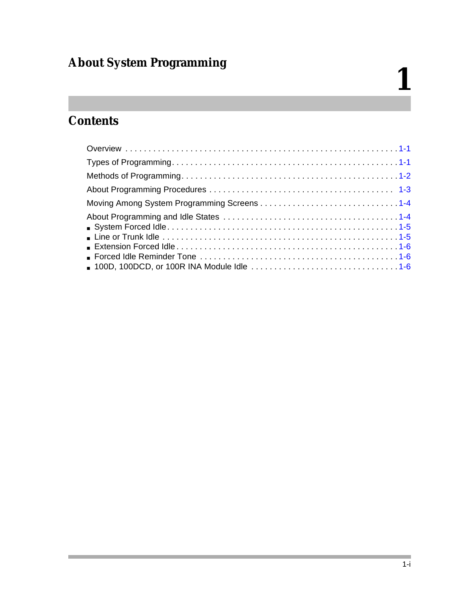# **[1](#page-22-3) [About System Programming](#page-22-0)**

# **Contents**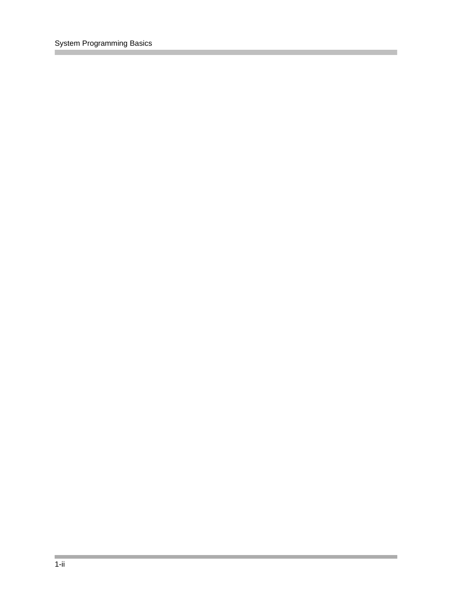a sa kacamatan ing Kabupatèn Kabupatèn Ing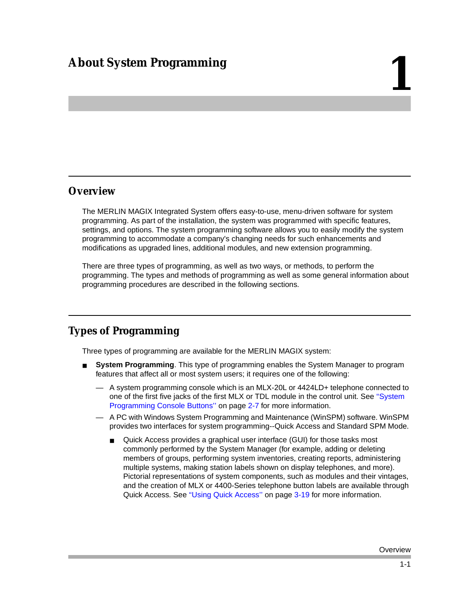# <span id="page-22-1"></span><span id="page-22-0"></span>**Overview**

<span id="page-22-3"></span>The MERLIN MAGIX Integrated System offers easy-to-use, menu-driven software for system programming. As part of the installation, the system was programmed with specific features, settings, and options. The system programming software allows you to easily modify the system programming to accommodate a company's changing needs for such enhancements and modifications as upgraded lines, additional modules, and new extension programming.

There are three types of programming, as well as two ways, or methods, to perform the programming. The types and methods of programming as well as some general information about programming procedures are described in the following sections.

# <span id="page-22-2"></span>**Types of Programming**

Three types of programming are available for the MERLIN MAGIX system:

- **System Programming**. This type of programming enables the System Manager to program features that affect all or most system users; it requires one of the following:
	- A system programming console which is an MLX-20L or 4424LD+ telephone connected to one of the first five jacks of the first MLX or TDL module in the control unit. See "System" [Programming Console Buttons''](#page-36-3) on page 2-7 for more information.
	- A PC with Windows System Programming and Maintenance (WinSPM) software. WinSPM provides two interfaces for system programming--Quick Access and Standard SPM Mode.
		- Quick Access provides a graphical user interface (GUI) for those tasks most commonly performed by the System Manager (for example, adding or deleting members of groups, performing system inventories, creating reports, administering multiple systems, making station labels shown on display telephones, and more). Pictorial representations of system components, such as modules and their vintages, and the creation of MLX or 4400-Series telephone button labels are available through Quick Access. See [''Using Quick Access''](#page-64-1) on page 3-19 for more information.

**Overview**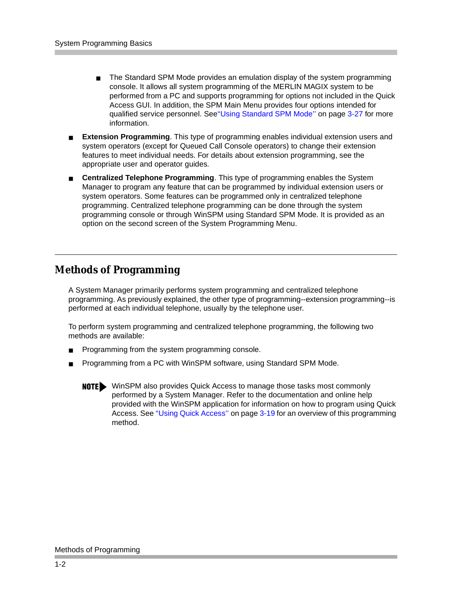- The Standard SPM Mode provides an emulation display of the system programming console. It allows all system programming of the MERLIN MAGIX system to be performed from a PC and supports programming for options not included in the Quick Access GUI. In addition, the SPM Main Menu provides four options intended for qualified service personnel. See[''Using Standard SPM Mode''](#page-72-2) on page 3-27 for more information.
- **Extension Programming**. This type of programming enables individual extension users and system operators (except for Queued Call Console operators) to change their extension features to meet individual needs. For details about extension programming, see the appropriate user and operator guides.
- **Centralized Telephone Programming**. This type of programming enables the System Manager to program any feature that can be programmed by individual extension users or system operators. Some features can be programmed only in centralized telephone programming. Centralized telephone programming can be done through the system programming console or through WinSPM using Standard SPM Mode. It is provided as an option on the second screen of the System Programming Menu.

# <span id="page-23-0"></span>**Methods of Programming**

A System Manager primarily performs system programming and centralized telephone programming. As previously explained, the other type of programming--extension programming--is performed at each individual telephone, usually by the telephone user.

To perform system programming and centralized telephone programming, the following two methods are available:

- Programming from the system programming console.
- Programming from a PC with WinSPM software, using Standard SPM Mode.
	- NOTE WinSPM also provides Quick Access to manage those tasks most commonly performed by a System Manager. Refer to the documentation and online help provided with the WinSPM application for information on how to program using Quick Access. See [''Using Quick Access''](#page-64-1) on page 3-19 for an overview of this programming method.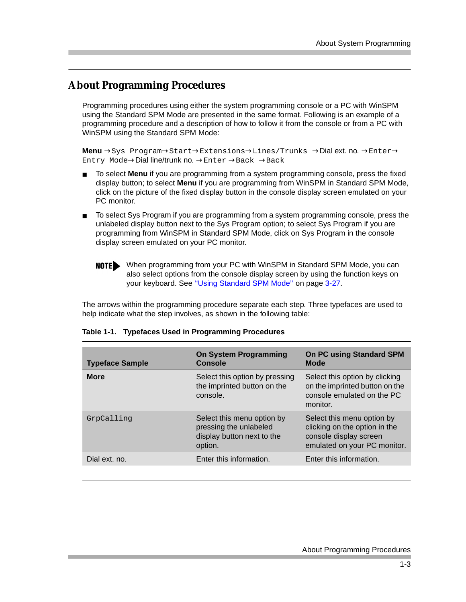# <span id="page-24-0"></span>**About Programming Procedures**

Programming procedures using either the system programming console or a PC with WinSPM using the Standard SPM Mode are presented in the same format. Following is an example of a programming procedure and a description of how to follow it from the console or from a PC with WinSPM using the Standard SPM Mode:

**Menu** →Sys Program→Start→Extensions→Lines/Trunks →Dial ext. no. →Enter→ Entry Mode→Dial line/trunk no. →Enter →Back →Back

- To select **Menu** if you are programming from a system programming console, press the fixed display button; to select **Menu** if you are programming from WinSPM in Standard SPM Mode, click on the picture of the fixed display button in the console display screen emulated on your PC monitor.
- To select Sys Program if you are programming from a system programming console, press the unlabeled display button next to the Sys Program option; to select Sys Program if you are programming from WinSPM in Standard SPM Mode, click on Sys Program in the console display screen emulated on your PC monitor.
	- **NOTEL** When programming from your PC with WinSPM in Standard SPM Mode, you can also select options from the console display screen by using the function keys on your keyboard. See [''Using Standard SPM Mode''](#page-72-2) on page 3-27.

The arrows within the programming procedure separate each step. Three typefaces are used to help indicate what the step involves, as shown in the following table:

| <b>Typeface Sample</b> | <b>On System Programming</b><br><b>Console</b>                                                | <b>On PC using Standard SPM</b><br><b>Mode</b>                                                                        |
|------------------------|-----------------------------------------------------------------------------------------------|-----------------------------------------------------------------------------------------------------------------------|
| <b>More</b>            | Select this option by pressing<br>the imprinted button on the<br>console.                     | Select this option by clicking<br>on the imprinted button on the<br>console emulated on the PC<br>monitor.            |
| GrpCalling             | Select this menu option by<br>pressing the unlabeled<br>display button next to the<br>option. | Select this menu option by<br>clicking on the option in the<br>console display screen<br>emulated on your PC monitor. |
| Dial ext. no.          | Enter this information.                                                                       | Enter this information.                                                                                               |

<span id="page-24-1"></span>

|  |  | Table 1-1. Typefaces Used in Programming Procedures |
|--|--|-----------------------------------------------------|
|  |  |                                                     |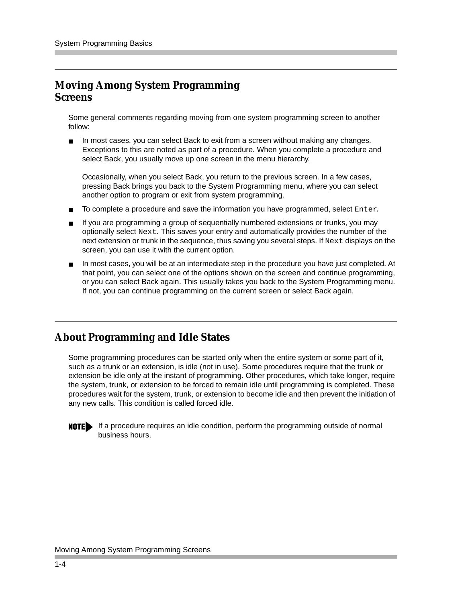# <span id="page-25-0"></span>**Moving Among System Programming Screens**

Some general comments regarding moving from one system programming screen to another follow:

■ In most cases, you can select Back to exit from a screen without making any changes. Exceptions to this are noted as part of a procedure. When you complete a procedure and select Back, you usually move up one screen in the menu hierarchy.

Occasionally, when you select Back, you return to the previous screen. In a few cases, pressing Back brings you back to the System Programming menu, where you can select another option to program or exit from system programming.

- To complete a procedure and save the information you have programmed, select Enter.
- If you are programming a group of sequentially numbered extensions or trunks, you may optionally select Next. This saves your entry and automatically provides the number of the next extension or trunk in the sequence, thus saving you several steps. If  $N$ ext displays on the screen, you can use it with the current option.
- In most cases, you will be at an intermediate step in the procedure you have just completed. At that point, you can select one of the options shown on the screen and continue programming, or you can select Back again. This usually takes you back to the System Programming menu. If not, you can continue programming on the current screen or select Back again.

# <span id="page-25-1"></span>**About Programming and Idle States**

Some programming procedures can be started only when the entire system or some part of it, such as a trunk or an extension, is idle (not in use). Some procedures require that the trunk or extension be idle only at the instant of programming. Other procedures, which take longer, require the system, trunk, or extension to be forced to remain idle until programming is completed. These procedures wait for the system, trunk, or extension to become idle and then prevent the initiation of any new calls. This condition is called forced idle.



**NOTE** If a procedure requires an idle condition, perform the programming outside of normal business hours.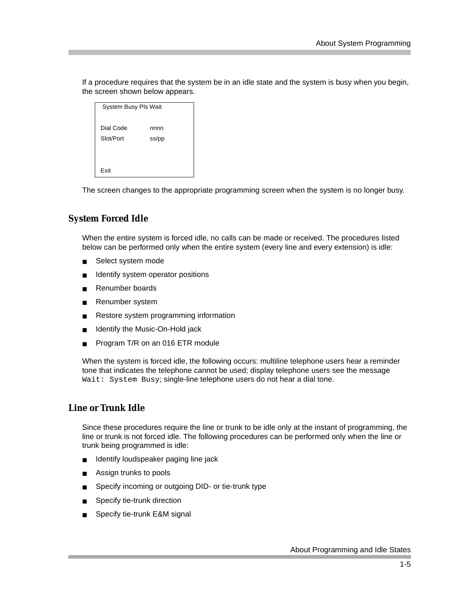If a procedure requires that the system be in an idle state and the system is busy when you begin, the screen shown below appears.

| System Busy Pls Wait |       |  |
|----------------------|-------|--|
| Dial Code            | nnnn  |  |
| Slot/Port            | ss/pp |  |
|                      |       |  |
|                      |       |  |
| Fxit                 |       |  |

The screen changes to the appropriate programming screen when the system is no longer busy.

#### <span id="page-26-0"></span>**System Forced Idle**

When the entire system is forced idle, no calls can be made or received. The procedures listed below can be performed only when the entire system (every line and every extension) is idle:

- Select system mode
- Identify system operator positions
- Renumber boards
- Renumber system
- Restore system programming information
- Identify the Music-On-Hold jack
- Program T/R on an 016 ETR module

When the system is forced idle, the following occurs: multiline telephone users hear a reminder tone that indicates the telephone cannot be used; display telephone users see the message Wait: System Busy; single-line telephone users do not hear a dial tone.

#### <span id="page-26-1"></span>**Line or Trunk Idle**

Since these procedures require the line or trunk to be idle only at the instant of programming, the line or trunk is not forced idle. The following procedures can be performed only when the line or trunk being programmed is idle:

- Identify loudspeaker paging line jack
- Assign trunks to pools
- Specify incoming or outgoing DID- or tie-trunk type
- Specify tie-trunk direction
- Specify tie-trunk E&M signal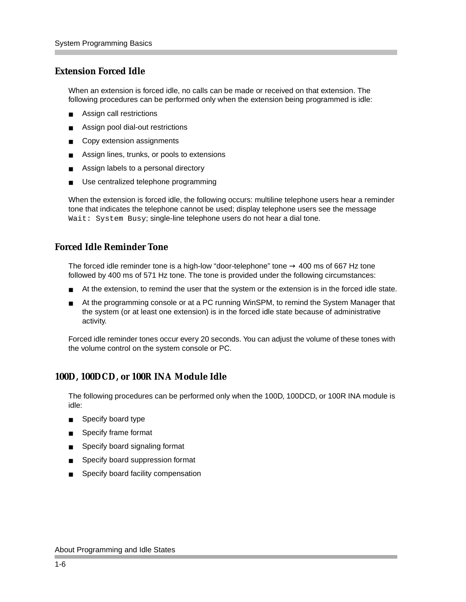#### <span id="page-27-0"></span>**Extension Forced Idle**

When an extension is forced idle, no calls can be made or received on that extension. The following procedures can be performed only when the extension being programmed is idle:

- Assign call restrictions
- Assign pool dial-out restrictions
- Copy extension assignments
- Assign lines, trunks, or pools to extensions
- Assign labels to a personal directory
- Use centralized telephone programming

When the extension is forced idle, the following occurs: multiline telephone users hear a reminder tone that indicates the telephone cannot be used; display telephone users see the message Wait: System Busy; single-line telephone users do not hear a dial tone.

#### <span id="page-27-1"></span>**Forced Idle Reminder Tone**

The forced idle reminder tone is a high-low "door-telephone" tone  $\rightarrow$  400 ms of 667 Hz tone followed by 400 ms of 571 Hz tone. The tone is provided under the following circumstances:

- At the extension, to remind the user that the system or the extension is in the forced idle state.
- At the programming console or at a PC running WinSPM, to remind the System Manager that the system (or at least one extension) is in the forced idle state because of administrative activity.

Forced idle reminder tones occur every 20 seconds. You can adjust the volume of these tones with the volume control on the system console or PC.

#### <span id="page-27-2"></span>**100D, 100DCD, or 100R INA Module Idle** 1

The following procedures can be performed only when the 100D, 100DCD, or 100R INA module is idle:

- Specify board type
- Specify frame format
- Specify board signaling format
- Specify board suppression format
- Specify board facility compensation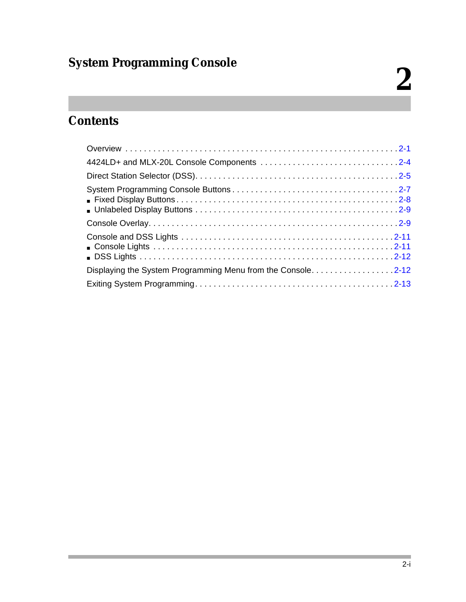# **[2](#page-30-2) [System Programming Console](#page-30-0)**

# **Contents**

| Displaying the System Programming Menu from the Console2-12 |
|-------------------------------------------------------------|
|                                                             |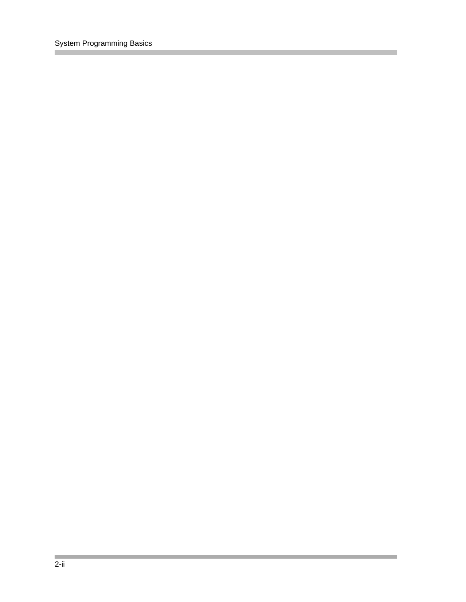a sa kacamatan ing Kabupatèn Kabupatèn Ing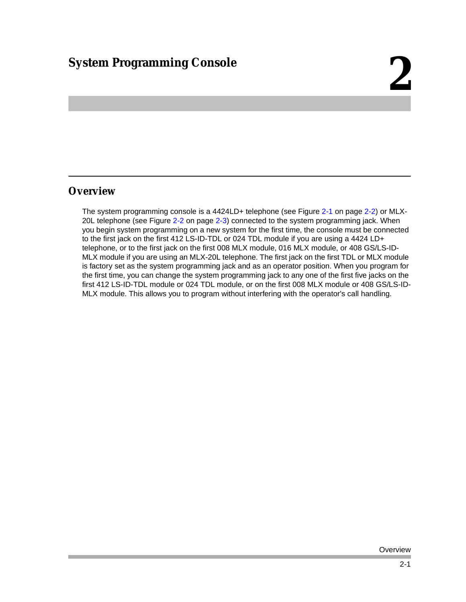# <span id="page-30-2"></span><span id="page-30-0"></span>**2 System Programming Console** <sup>2</sup>

# <span id="page-30-1"></span>**Overview**

The system programming console is a 4424LD+ telephone (see [Figure 2-1 on page 2-2\)](#page-31-0) or MLX-20L telephone (see [Figure 2-2 on page 2-3\)](#page-32-0) connected to the system programming jack. When you begin system programming on a new system for the first time, the console must be connected to the first jack on the first 412 LS-ID-TDL or 024 TDL module if you are using a 4424 LD+ telephone, or to the first jack on the first 008 MLX module, 016 MLX module, or 408 GS/LS-ID-MLX module if you are using an MLX-20L telephone. The first jack on the first TDL or MLX module is factory set as the system programming jack and as an operator position. When you program for the first time, you can change the system programming jack to any one of the first five jacks on the first 412 LS-ID-TDL module or 024 TDL module, or on the first 008 MLX module or 408 GS/LS-ID-MLX module. This allows you to program without interfering with the operator's call handling.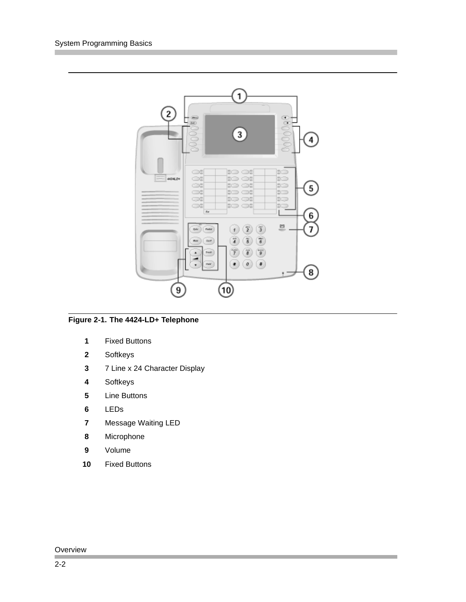

## <span id="page-31-0"></span>**Figure 2-1. The 4424-LD+ Telephone**

- Fixed Buttons
- Softkeys
- 7 Line x 24 Character Display
- Softkeys
- Line Buttons
- LEDs
- Message Waiting LED
- Microphone
- Volume
- Fixed Buttons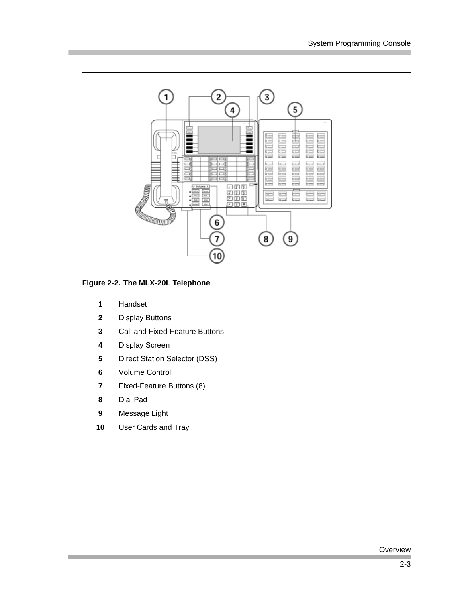

#### <span id="page-32-0"></span>**Figure 2-2. The MLX-20L Telephone**

- Handset
- Display Buttons
- Call and Fixed-Feature Buttons
- Display Screen
- Direct Station Selector (DSS)
- Volume Control
- Fixed-Feature Buttons (8)
- Dial Pad
- Message Light
- User Cards and Tray

Overview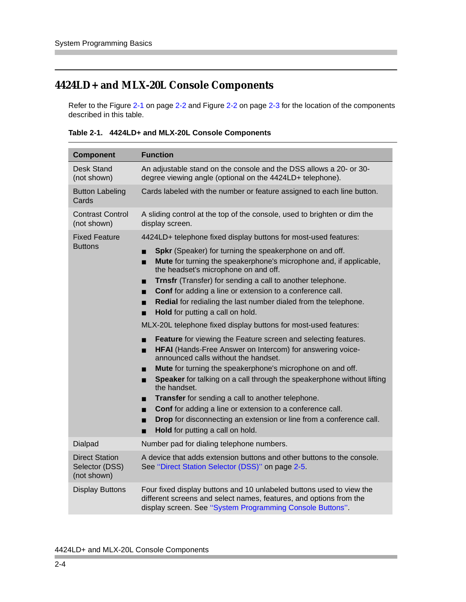# <span id="page-33-0"></span>**4424LD+ and MLX-20L Console Components** 2

Refer to the [Figure 2-1 on page 2-2](#page-31-0) and [Figure 2-2 on page 2-3](#page-32-0) for the location of the components described in this table.

<span id="page-33-1"></span>

|  | Table 2-1. 4424LD+ and MLX-20L Console Components |  |
|--|---------------------------------------------------|--|
|--|---------------------------------------------------|--|

| <b>Component</b>                                       | <b>Function</b>                                                                                                                                                                                                                                                                                                                                                                                                                                                                                                                                                                                                                                                                                                                                                                                                                                                                                                                                                                                                                                                                                                     |
|--------------------------------------------------------|---------------------------------------------------------------------------------------------------------------------------------------------------------------------------------------------------------------------------------------------------------------------------------------------------------------------------------------------------------------------------------------------------------------------------------------------------------------------------------------------------------------------------------------------------------------------------------------------------------------------------------------------------------------------------------------------------------------------------------------------------------------------------------------------------------------------------------------------------------------------------------------------------------------------------------------------------------------------------------------------------------------------------------------------------------------------------------------------------------------------|
| Desk Stand<br>(not shown)                              | An adjustable stand on the console and the DSS allows a 20- or 30-<br>degree viewing angle (optional on the 4424LD+ telephone).                                                                                                                                                                                                                                                                                                                                                                                                                                                                                                                                                                                                                                                                                                                                                                                                                                                                                                                                                                                     |
| <b>Button Labeling</b><br>Cards                        | Cards labeled with the number or feature assigned to each line button.                                                                                                                                                                                                                                                                                                                                                                                                                                                                                                                                                                                                                                                                                                                                                                                                                                                                                                                                                                                                                                              |
| <b>Contrast Control</b><br>(not shown)                 | A sliding control at the top of the console, used to brighten or dim the<br>display screen.                                                                                                                                                                                                                                                                                                                                                                                                                                                                                                                                                                                                                                                                                                                                                                                                                                                                                                                                                                                                                         |
| <b>Fixed Feature</b>                                   | 4424LD+ telephone fixed display buttons for most-used features:                                                                                                                                                                                                                                                                                                                                                                                                                                                                                                                                                                                                                                                                                                                                                                                                                                                                                                                                                                                                                                                     |
| <b>Buttons</b>                                         | Spkr (Speaker) for turning the speakerphone on and off.<br>■<br>Mute for turning the speakerphone's microphone and, if applicable,<br>п<br>the headset's microphone on and off.<br><b>Trnsfr</b> (Transfer) for sending a call to another telephone.<br>П<br>Conf for adding a line or extension to a conference call.<br>П<br>Redial for redialing the last number dialed from the telephone.<br>■<br>Hold for putting a call on hold.<br>■<br>MLX-20L telephone fixed display buttons for most-used features:<br>Feature for viewing the Feature screen and selecting features.<br>П<br>HFAI (Hands-Free Answer on Intercom) for answering voice-<br>■<br>announced calls without the handset.<br>Mute for turning the speakerphone's microphone on and off.<br>П<br>Speaker for talking on a call through the speakerphone without lifting<br>■<br>the handset.<br>Transfer for sending a call to another telephone.<br>■<br>Conf for adding a line or extension to a conference call.<br>■<br>Drop for disconnecting an extension or line from a conference call.<br>■<br>Hold for putting a call on hold.<br>■ |
| Dialpad                                                | Number pad for dialing telephone numbers.                                                                                                                                                                                                                                                                                                                                                                                                                                                                                                                                                                                                                                                                                                                                                                                                                                                                                                                                                                                                                                                                           |
| <b>Direct Station</b><br>Selector (DSS)<br>(not shown) | A device that adds extension buttons and other buttons to the console.<br>See "Direct Station Selector (DSS)" on page 2-5.                                                                                                                                                                                                                                                                                                                                                                                                                                                                                                                                                                                                                                                                                                                                                                                                                                                                                                                                                                                          |
| <b>Display Buttons</b>                                 | Four fixed display buttons and 10 unlabeled buttons used to view the<br>different screens and select names, features, and options from the<br>display screen. See "System Programming Console Buttons".                                                                                                                                                                                                                                                                                                                                                                                                                                                                                                                                                                                                                                                                                                                                                                                                                                                                                                             |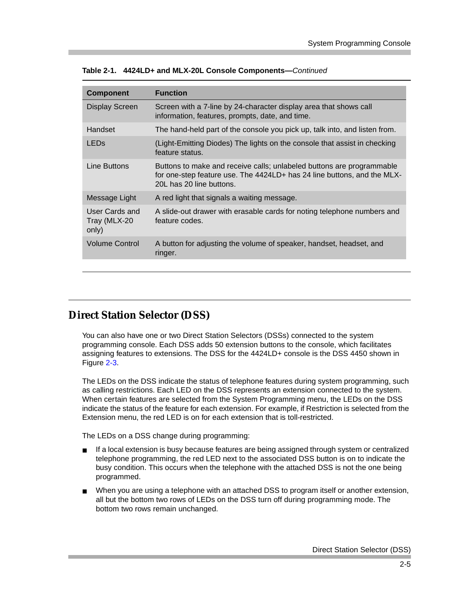| <b>Component</b>                        | <b>Function</b>                                                                                                                                                              |
|-----------------------------------------|------------------------------------------------------------------------------------------------------------------------------------------------------------------------------|
| Display Screen                          | Screen with a 7-line by 24-character display area that shows call<br>information, features, prompts, date, and time.                                                         |
| Handset                                 | The hand-held part of the console you pick up, talk into, and listen from.                                                                                                   |
| <b>LED<sub>S</sub></b>                  | (Light-Emitting Diodes) The lights on the console that assist in checking<br>feature status.                                                                                 |
| Line Buttons                            | Buttons to make and receive calls; unlabeled buttons are programmable<br>for one-step feature use. The 4424LD+ has 24 line buttons, and the MLX-<br>20L has 20 line buttons. |
| Message Light                           | A red light that signals a waiting message.                                                                                                                                  |
| User Cards and<br>Tray (MLX-20<br>only) | A slide-out drawer with erasable cards for noting telephone numbers and<br>feature codes.                                                                                    |
| <b>Volume Control</b>                   | A button for adjusting the volume of speaker, handset, headset, and<br>ringer.                                                                                               |

**Table 2-1. 4424LD+ and MLX-20L Console Components—**Continued

# <span id="page-34-0"></span>**Direct Station Selector (DSS)**

You can also have one or two Direct Station Selectors (DSSs) connected to the system programming console. Each DSS adds 50 extension buttons to the console, which facilitates assigning features to extensions. The DSS for the 4424LD+ console is the DSS 4450 shown in [Figure](#page-35-0) 2-3.

The LEDs on the DSS indicate the status of telephone features during system programming, such as calling restrictions. Each LED on the DSS represents an extension connected to the system. When certain features are selected from the System Programming menu, the LEDs on the DSS indicate the status of the feature for each extension. For example, if Restriction is selected from the Extension menu, the red LED is on for each extension that is toll-restricted.

The LEDs on a DSS change during programming:

- If a local extension is busy because features are being assigned through system or centralized telephone programming, the red LED next to the associated DSS button is on to indicate the busy condition. This occurs when the telephone with the attached DSS is not the one being programmed.
- When you are using a telephone with an attached DSS to program itself or another extension, all but the bottom two rows of LEDs on the DSS turn off during programming mode. The bottom two rows remain unchanged.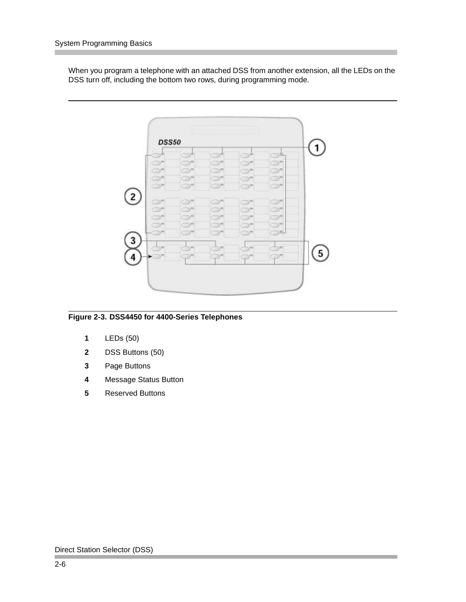When you program a telephone with an attached DSS from another extension, all the LEDs on the DSS turn off, including the bottom two rows, during programming mode.



#### <span id="page-35-0"></span>**Figure 2-3. DSS4450 for 4400-Series Telephones**

- **1** LEDs (50)
- **2** DSS Buttons (50)
- **3** Page Buttons
- **4** Message Status Button
- **5** Reserved Buttons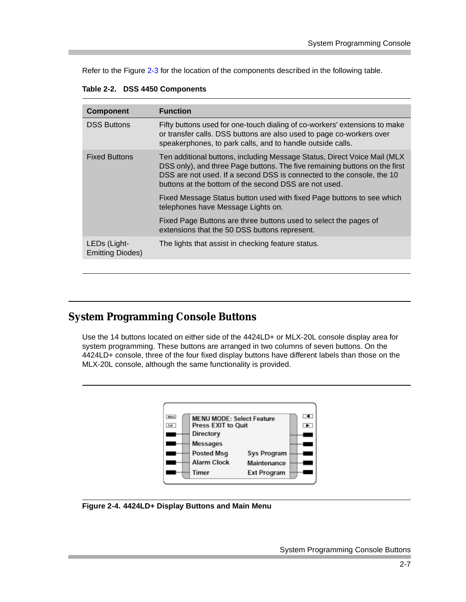Refer to the [Figure](#page-35-0) 2-3 for the location of the components described in the following table.

| <b>Component</b>                        | <b>Function</b>                                                                                                                                                                                                                                                                           |
|-----------------------------------------|-------------------------------------------------------------------------------------------------------------------------------------------------------------------------------------------------------------------------------------------------------------------------------------------|
| <b>DSS Buttons</b>                      | Fifty buttons used for one-touch dialing of co-workers' extensions to make<br>or transfer calls. DSS buttons are also used to page co-workers over<br>speakerphones, to park calls, and to handle outside calls.                                                                          |
| <b>Fixed Buttons</b>                    | Ten additional buttons, including Message Status, Direct Voice Mail (MLX)<br>DSS only), and three Page buttons. The five remaining buttons on the first<br>DSS are not used. If a second DSS is connected to the console, the 10<br>buttons at the bottom of the second DSS are not used. |
|                                         | Fixed Message Status button used with fixed Page buttons to see which<br>telephones have Message Lights on.                                                                                                                                                                               |
|                                         | Fixed Page Buttons are three buttons used to select the pages of<br>extensions that the 50 DSS buttons represent.                                                                                                                                                                         |
| LEDs (Light-<br><b>Emitting Diodes)</b> | The lights that assist in checking feature status.                                                                                                                                                                                                                                        |
|                                         |                                                                                                                                                                                                                                                                                           |

**Table 2-2. DSS 4450 Components**

# **System Programming Console Buttons**

Use the 14 buttons located on either side of the 4424LD+ or MLX-20L console display area for system programming. These buttons are arranged in two columns of seven buttons. On the 4424LD+ console, three of the four fixed display buttons have different labels than those on the MLX-20L console, although the same functionality is provided.



**Figure 2-4. 4424LD+ Display Buttons and Main Menu**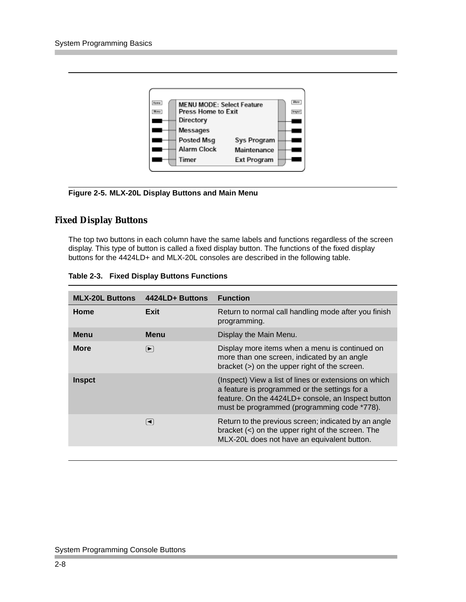



#### **Fixed Display Buttons**

The top two buttons in each column have the same labels and functions regardless of the screen display. This type of button is called a fixed display button. The functions of the fixed display buttons for the 4424LD+ and MLX-20L consoles are described in the following table.

| Home          | Exit                                      | Return to normal call handling mode after you finish<br>programming.                                                                                                                                        |
|---------------|-------------------------------------------|-------------------------------------------------------------------------------------------------------------------------------------------------------------------------------------------------------------|
| <b>Menu</b>   | Menu                                      | Display the Main Menu.                                                                                                                                                                                      |
| <b>More</b>   | $\blacksquare$                            | Display more items when a menu is continued on<br>more than one screen, indicated by an angle<br>bracket (>) on the upper right of the screen.                                                              |
| <b>Inspct</b> |                                           | (Inspect) View a list of lines or extensions on which<br>a feature is programmed or the settings for a<br>feature. On the 4424LD+ console, an Inspect button<br>must be programmed (programming code *778). |
|               | $\left  \blacktriangleleft \right\rangle$ | Return to the previous screen; indicated by an angle<br>bracket $(<)$ on the upper right of the screen. The<br>MLX-20L does not have an equivalent button.                                                  |

**Table 2-3. Fixed Display Buttons Functions**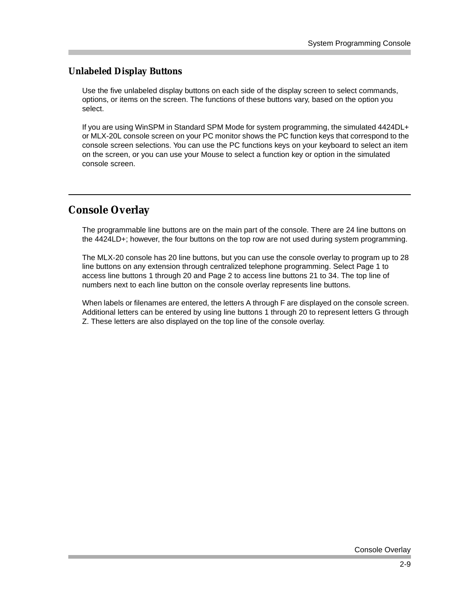#### **Unlabeled Display Buttons**

Use the five unlabeled display buttons on each side of the display screen to select commands, options, or items on the screen. The functions of these buttons vary, based on the option you select.

If you are using WinSPM in Standard SPM Mode for system programming, the simulated 4424DL+ or MLX-20L console screen on your PC monitor shows the PC function keys that correspond to the console screen selections. You can use the PC functions keys on your keyboard to select an item on the screen, or you can use your Mouse to select a function key or option in the simulated console screen.

# **Console Overlay**

The programmable line buttons are on the main part of the console. There are 24 line buttons on the 4424LD+; however, the four buttons on the top row are not used during system programming.

The MLX-20 console has 20 line buttons, but you can use the console overlay to program up to 28 line buttons on any extension through centralized telephone programming. Select Page 1 to access line buttons 1 through 20 and Page 2 to access line buttons 21 to 34. The top line of numbers next to each line button on the console overlay represents line buttons.

When labels or filenames are entered, the letters A through F are displayed on the console screen. Additional letters can be entered by using line buttons 1 through 20 to represent letters G through Z. These letters are also displayed on the top line of the console overlay.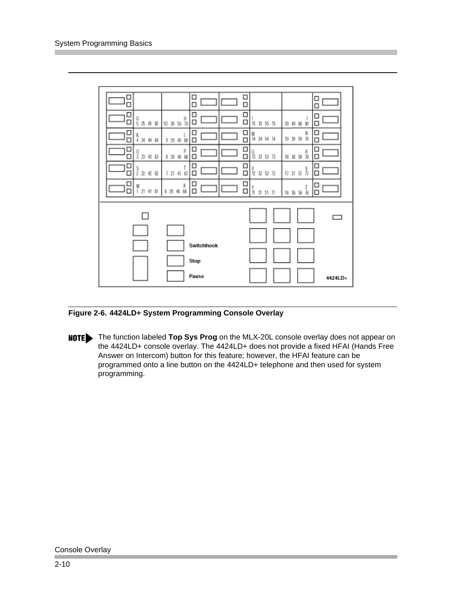

#### **Figure 2-6. 4424LD+ System Programming Console Overlay**

The function labeled **Top Sys Prog** on the MLX-20L console overlay does not appear on the 4424LD+ console overlay. The 4424LD+ does not provide a fixed HFAI (Hands Free Answer on Intercom) button for this feature; however, the HFAI feature can be programmed onto a line button on the 4424LD+ telephone and then used for system programming.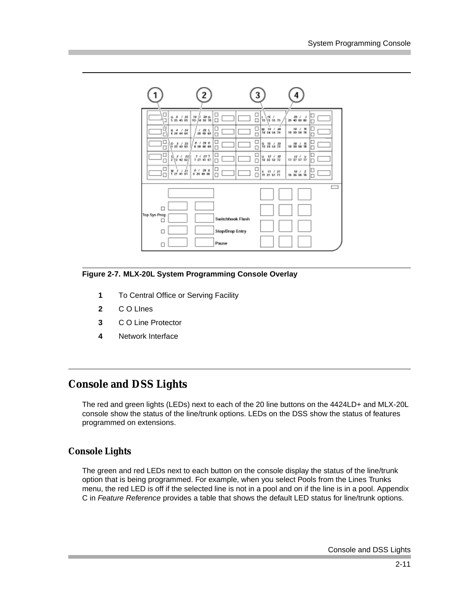

**Figure 2-7. MLX-20L System Programming Console Overlay**

- **1** To Central Office or Serving Facility
- **2** C O LInes
- **3** C O Line Protector
- **4** Network Interface

# **Console and DSS Lights**

The red and green lights (LEDs) next to each of the 20 line buttons on the 4424LD+ and MLX-20L console show the status of the line/trunk options. LEDs on the DSS show the status of features programmed on extensions.

#### **Console Lights**

The green and red LEDs next to each button on the console display the status of the line/trunk option that is being programmed. For example, when you select Pools from the Lines Trunks menu, the red LED is off if the selected line is not in a pool and on if the line is in a pool. Appendix C in Feature Reference provides a table that shows the default LED status for line/trunk options.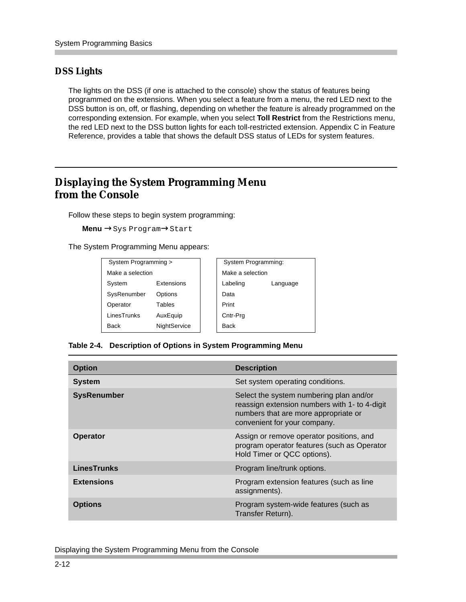#### **DSS** Lights

The lights on the DSS (if one is attached to the console) show the status of features being programmed on the extensions. When you select a feature from a menu, the red LED next to the DSS button is on, off, or flashing, depending on whether the feature is already programmed on the corresponding extension. For example, when you select **Toll Restrict** from the Restrictions menu, the red LED next to the DSS button lights for each toll-restricted extension. Appendix C in Feature Reference, provides a table that shows the default DSS status of LEDs for system features.

# **Displaying the System Programming Menu from the Console**

Follow these steps to begin system programming:

**Menu** →Sys Program→Start

The System Programming Menu appears:

| System Programming > |              | System Programming: |          |
|----------------------|--------------|---------------------|----------|
| Make a selection     |              | Make a selection    |          |
| System               | Extensions   | Labeling            | Language |
| SysRenumber          | Options      | Data                |          |
| Operator             | Tables       | Print               |          |
| LinesTrunks          | AuxEquip     | Cntr-Prg            |          |
| Back                 | NightService | Back                |          |

**Table 2-4. Description of Options in System Programming Menu**

| <b>Description</b>                                                                                                                                               |
|------------------------------------------------------------------------------------------------------------------------------------------------------------------|
| Set system operating conditions.                                                                                                                                 |
| Select the system numbering plan and/or<br>reassign extension numbers with 1- to 4-digit<br>numbers that are more appropriate or<br>convenient for your company. |
| Assign or remove operator positions, and<br>program operator features (such as Operator<br>Hold Timer or QCC options).                                           |
| Program line/trunk options.                                                                                                                                      |
| Program extension features (such as line<br>assignments).                                                                                                        |
| Program system-wide features (such as<br>Transfer Return).                                                                                                       |
|                                                                                                                                                                  |

Displaying the System Programming Menu from the Console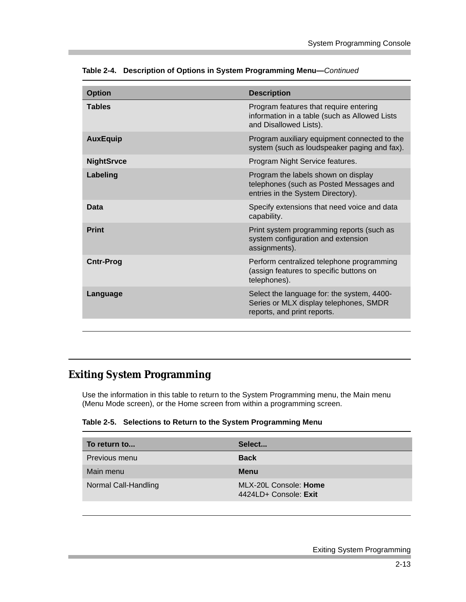| <b>Option</b>     | <b>Description</b>                                                                                                  |
|-------------------|---------------------------------------------------------------------------------------------------------------------|
| <b>Tables</b>     | Program features that require entering<br>information in a table (such as Allowed Lists<br>and Disallowed Lists).   |
| <b>AuxEquip</b>   | Program auxiliary equipment connected to the<br>system (such as loudspeaker paging and fax).                        |
| <b>NightSrvce</b> | Program Night Service features.                                                                                     |
| Labeling          | Program the labels shown on display<br>telephones (such as Posted Messages and<br>entries in the System Directory). |
| Data              | Specify extensions that need voice and data<br>capability.                                                          |
| <b>Print</b>      | Print system programming reports (such as<br>system configuration and extension<br>assignments).                    |
| <b>Cntr-Prog</b>  | Perform centralized telephone programming<br>(assign features to specific buttons on<br>telephones).                |
| Language          | Select the language for: the system, 4400-<br>Series or MLX display telephones, SMDR<br>reports, and print reports. |

**Table 2-4. Description of Options in System Programming Menu—**Continued

# **Exiting System Programming**

Use the information in this table to return to the System Programming menu, the Main menu (Menu Mode screen), or the Home screen from within a programming screen.

**Table 2-5. Selections to Return to the System Programming Menu**

| To return to         | Select                                         |
|----------------------|------------------------------------------------|
| Previous menu        | <b>Back</b>                                    |
| Main menu            | <b>Menu</b>                                    |
| Normal Call-Handling | MLX-20L Console: Home<br>4424LD+ Console: Exit |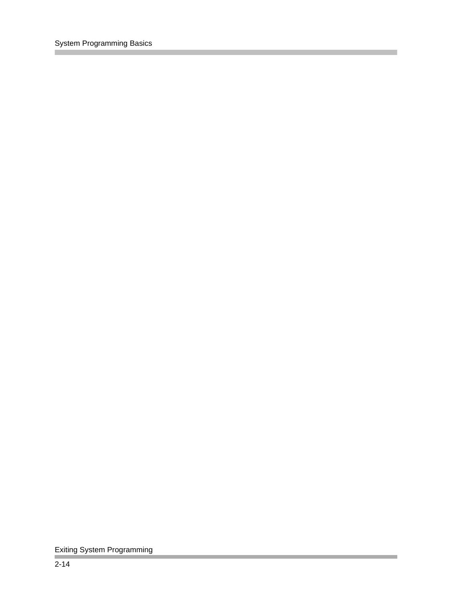Exiting System Programming

a sa kacamatan ing Kabupatèn Kabupatèn Ing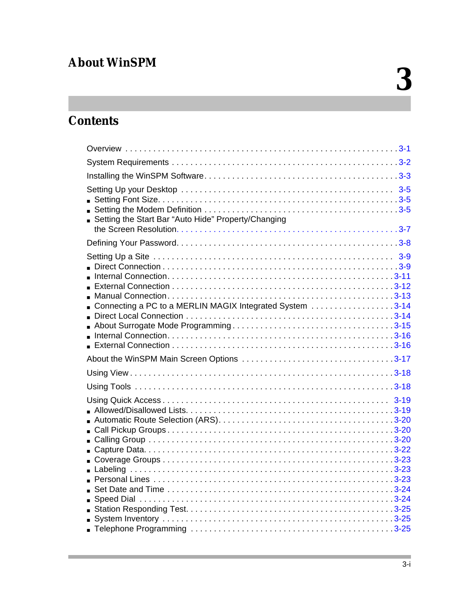# **[About WinSPM](#page-46-1)**

# **Contents**

m

<u> 1989 - Johann Barnett, mars et</u>

| ■ Setting the Start Bar "Auto Hide" Property/Changing    |  |
|----------------------------------------------------------|--|
|                                                          |  |
| Connecting a PC to a MERLIN MAGIX Integrated System 3-14 |  |
|                                                          |  |
|                                                          |  |
|                                                          |  |
|                                                          |  |
|                                                          |  |
|                                                          |  |
|                                                          |  |
|                                                          |  |
|                                                          |  |
|                                                          |  |
|                                                          |  |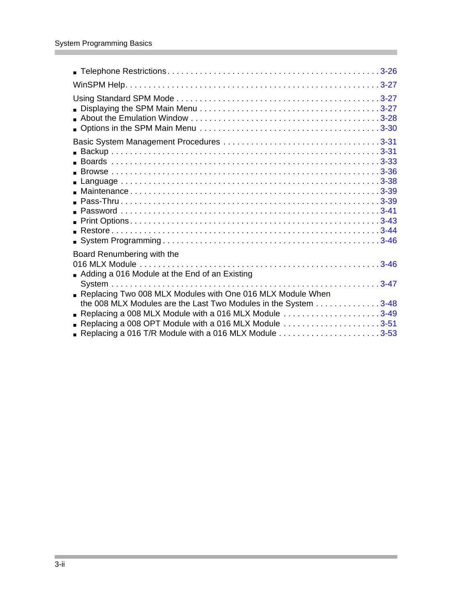| Board Renumbering with the<br>Adding a 016 Module at the End of an Existing                                                                                       |  |
|-------------------------------------------------------------------------------------------------------------------------------------------------------------------|--|
| Replacing Two 008 MLX Modules with One 016 MLX Module When                                                                                                        |  |
| the 008 MLX Modules are the Last Two Modules in the System 3-48<br>Replacing a 008 MLX Module with a 016 MLX Module 3-49                                          |  |
| <b>Replacing a 008 OPT Module with a 016 MLX Module</b> $\ldots \ldots \ldots \ldots \ldots \ldots$ 3-51<br>Replacing a 016 T/R Module with a 016 MLX Module 3-53 |  |

a sa kacamatan ing Kabupatèn Kabupatèn Ing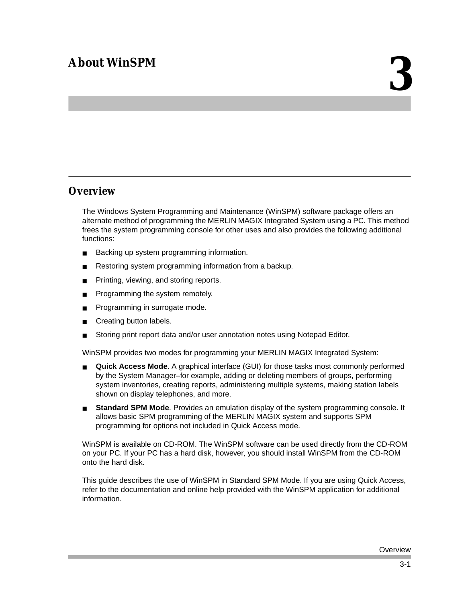# <span id="page-46-1"></span><span id="page-46-0"></span>**3 About WinSPM** <sup>3</sup>

## <span id="page-46-2"></span>**Overview**

The Windows System Programming and Maintenance (WinSPM) software package offers an alternate method of programming the MERLIN MAGIX Integrated System using a PC. This method frees the system programming console for other uses and also provides the following additional functions:

- Backing up system programming information.
- Restoring system programming information from a backup.
- Printing, viewing, and storing reports.
- Programming the system remotely.
- Programming in surrogate mode.
- Creating button labels.
- Storing print report data and/or user annotation notes using Notepad Editor.

WinSPM provides two modes for programming your MERLIN MAGIX Integrated System:

- **Quick Access Mode**. A graphical interface (GUI) for those tasks most commonly performed by the System Manager–for example, adding or deleting members of groups, performing system inventories, creating reports, administering multiple systems, making station labels shown on display telephones, and more.
- **Standard SPM Mode**. Provides an emulation display of the system programming console. It allows basic SPM programming of the MERLIN MAGIX system and supports SPM programming for options not included in Quick Access mode.

WinSPM is available on CD-ROM. The WinSPM software can be used directly from the CD-ROM on your PC. If your PC has a hard disk, however, you should install WinSPM from the CD-ROM onto the hard disk.

This guide describes the use of WinSPM in Standard SPM Mode. If you are using Quick Access, refer to the documentation and online help provided with the WinSPM application for additional information.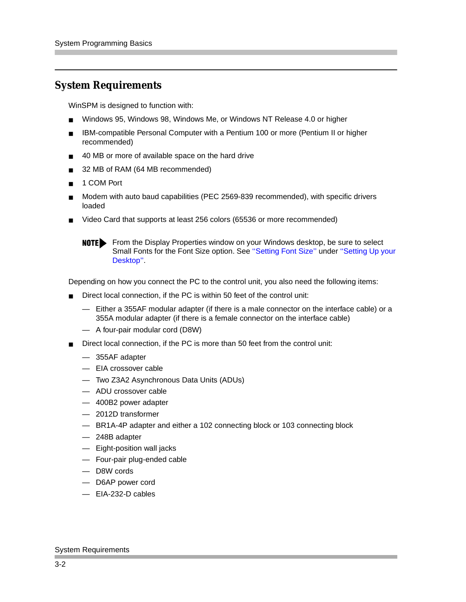## <span id="page-47-0"></span>**System Requirements**

WinSPM is designed to function with:

- Windows 95, Windows 98, Windows Me, or Windows NT Release 4.0 or higher
- IBM-compatible Personal Computer with a Pentium 100 or more (Pentium II or higher recommended)
- 40 MB or more of available space on the hard drive
- 32 MB of RAM (64 MB recommended)
- 1 COM Port
- Modem with auto baud capabilities (PEC 2569-839 recommended), with specific drivers loaded
- Video Card that supports at least 256 colors (65536 or more recommended)

Depending on how you connect the PC to the control unit, you also need the following items:

- Direct local connection, if the PC is within 50 feet of the control unit:
	- Either a 355AF modular adapter (if there is a male connector on the interface cable) or a 355A modular adapter (if there is a female connector on the interface cable)
	- A four-pair modular cord (D8W)
- Direct local connection, if the PC is more than 50 feet from the control unit:
	- 355AF adapter
	- EIA crossover cable
	- Two Z3A2 Asynchronous Data Units (ADUs)
	- ADU crossover cable
	- 400B2 power adapter
	- 2012D transformer
	- BR1A-4P adapter and either a 102 connecting block or 103 connecting block
	- 248B adapter
	- Eight-position wall jacks
	- Four-pair plug-ended cable
	- D8W cords
	- D6AP power cord
	- EIA-232-D cables

#### System Requirements

From the Display Properties window on your Windows desktop, be sure to select **NOTEL** Small Fonts for the Font Size option. See [''Setting Font Size''](#page-50-1) under [''Setting Up your](#page-50-0)  [Desktop''.](#page-50-0)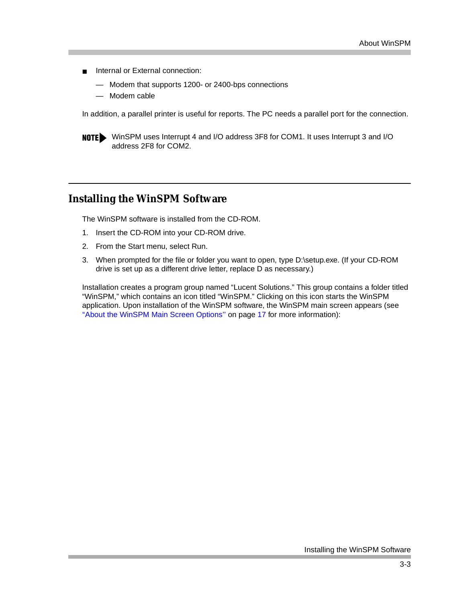- Internal or External connection:
	- Modem that supports 1200- or 2400-bps connections
	- Modem cable

In addition, a parallel printer is useful for reports. The PC needs a parallel port for the connection.

NOTE WinSPM uses Interrupt 4 and I/O address 3F8 for COM1. It uses Interrupt 3 and I/O address 2F8 for COM2.

## <span id="page-48-0"></span>**Installing the WinSPM Software**

The WinSPM software is installed from the CD-ROM.

- 1. Insert the CD-ROM into your CD-ROM drive.
- 2. From the Start menu, select Run.
- 3. When prompted for the file or folder you want to open, type D:\setup.exe. (If your CD-ROM drive is set up as a different drive letter, replace D as necessary.)

Installation creates a program group named "Lucent Solutions." This group contains a folder titled "WinSPM," which contains an icon titled "WinSPM." Clicking on this icon starts the WinSPM application. Upon installation of the WinSPM software, the WinSPM main screen appears (see "About the WinSPM Main Screen Options" on page 17 for more information):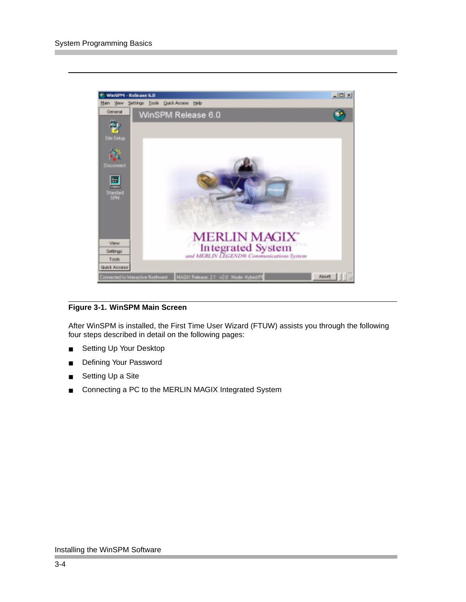

**Figure 3-1. WinSPM Main Screen**

After WinSPM is installed, the First Time User Wizard (FTUW) assists you through the following four steps described in detail on the following pages:

- Setting Up Your Desktop
- Defining Your Password
- Setting Up a Site
- Connecting a PC to the MERLIN MAGIX Integrated System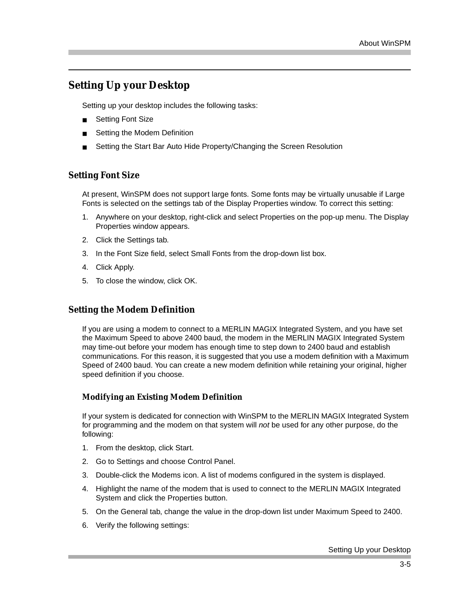# <span id="page-50-0"></span>**Setting Up your Desktop**

Setting up your desktop includes the following tasks:

- Setting Font Size
- Setting the Modem Definition
- Setting the Start Bar Auto Hide Property/Changing the Screen Resolution

#### <span id="page-50-1"></span>**Setting Font Size**

At present, WinSPM does not support large fonts. Some fonts may be virtually unusable if Large Fonts is selected on the settings tab of the Display Properties window. To correct this setting:

- 1. Anywhere on your desktop, right-click and select Properties on the pop-up menu. The Display Properties window appears.
- 2. Click the Settings tab.
- 3. In the Font Size field, select Small Fonts from the drop-down list box.
- 4. Click Apply.
- 5. To close the window, click OK.

#### <span id="page-50-2"></span>**Setting the Modem Definition**

If you are using a modem to connect to a MERLIN MAGIX Integrated System, and you have set the Maximum Speed to above 2400 baud, the modem in the MERLIN MAGIX Integrated System may time-out before your modem has enough time to step down to 2400 baud and establish communications. For this reason, it is suggested that you use a modem definition with a Maximum Speed of 2400 baud. You can create a new modem definition while retaining your original, higher speed definition if you choose.

#### **Modifying an Existing Modem Definition** 3

If your system is dedicated for connection with WinSPM to the MERLIN MAGIX Integrated System for programming and the modem on that system will not be used for any other purpose, do the following:

- 1. From the desktop, click Start.
- 2. Go to Settings and choose Control Panel.
- 3. Double-click the Modems icon. A list of modems configured in the system is displayed.
- 4. Highlight the name of the modem that is used to connect to the MERLIN MAGIX Integrated System and click the Properties button.
- 5. On the General tab, change the value in the drop-down list under Maximum Speed to 2400.
- 6. Verify the following settings: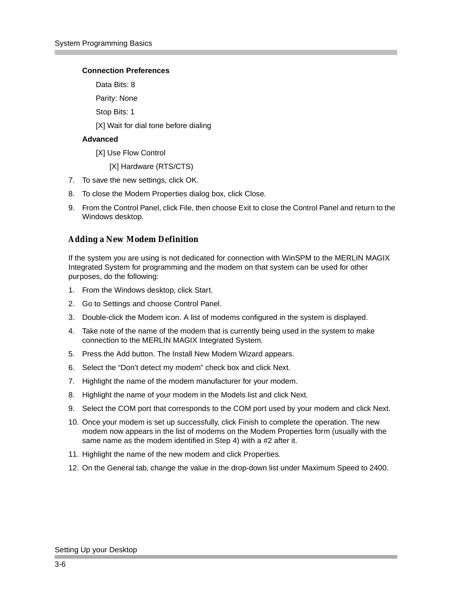#### **Connection Preferences**

Data Bits: 8

Parity: None

Stop Bits: 1

[X] Wait for dial tone before dialing

#### **Advanced**

[X] Use Flow Control

[X] Hardware (RTS/CTS)

- 7. To save the new settings, click OK.
- 8. To close the Modem Properties dialog box, click Close.
- 9. From the Control Panel, click File, then choose Exit to close the Control Panel and return to the Windows desktop.

#### **Adding a New Modem Definition**

If the system you are using is not dedicated for connection with WinSPM to the MERLIN MAGIX Integrated System for programming and the modem on that system can be used for other purposes, do the following:

- 1. From the Windows desktop, click Start.
- 2. Go to Settings and choose Control Panel.
- 3. Double-click the Modem icon. A list of modems configured in the system is displayed.
- 4. Take note of the name of the modem that is currently being used in the system to make connection to the MERLIN MAGIX Integrated System.
- 5. Press the Add button. The Install New Modem Wizard appears.
- 6. Select the "Don't detect my modem" check box and click Next.
- 7. Highlight the name of the modem manufacturer for your modem.
- 8. Highlight the name of your modem in the Models list and click Next.
- 9. Select the COM port that corresponds to the COM port used by your modem and click Next.
- 10. Once your modem is set up successfully, click Finish to complete the operation. The new modem now appears in the list of modems on the Modem Properties form (usually with the same name as the modem identified in Step 4) with a #2 after it.
- 11. Highlight the name of the new modem and click Properties.
- 12. On the General tab, change the value in the drop-down list under Maximum Speed to 2400.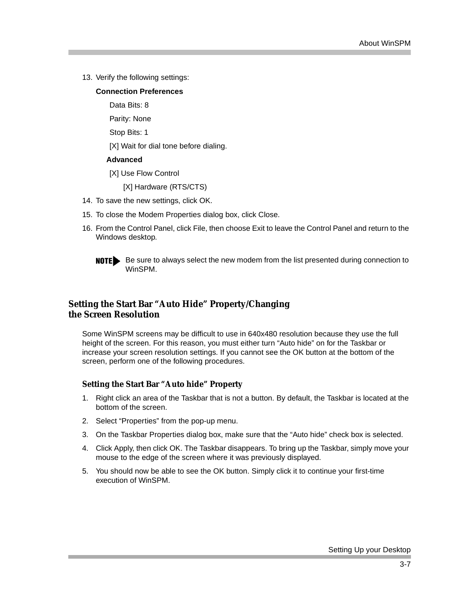13. Verify the following settings:

#### **Connection Preferences**

Data Bits: 8

Parity: None

Stop Bits: 1

[X] Wait for dial tone before dialing.

#### **Advanced**

[X] Use Flow Control

[X] Hardware (RTS/CTS)

- 14. To save the new settings, click OK.
- 15. To close the Modem Properties dialog box, click Close.
- 16. From the Control Panel, click File, then choose Exit to leave the Control Panel and return to the Windows desktop.
	- NOTE Be sure to always select the new modem from the list presented during connection to WinSPM.

#### <span id="page-52-0"></span>**Setting the Start Bar "Auto Hide" Property/Changing the Screen Resolution**

Some WinSPM screens may be difficult to use in 640x480 resolution because they use the full height of the screen. For this reason, you must either turn "Auto hide" on for the Taskbar or increase your screen resolution settings. If you cannot see the OK button at the bottom of the screen, perform one of the following procedures.

#### **Setting the Start Bar "Auto hide" Property** 3

- 1. Right click an area of the Taskbar that is not a button. By default, the Taskbar is located at the bottom of the screen.
- 2. Select "Properties" from the pop-up menu.
- 3. On the Taskbar Properties dialog box, make sure that the "Auto hide" check box is selected.
- 4. Click Apply, then click OK. The Taskbar disappears. To bring up the Taskbar, simply move your mouse to the edge of the screen where it was previously displayed.
- 5. You should now be able to see the OK button. Simply click it to continue your first-time execution of WinSPM.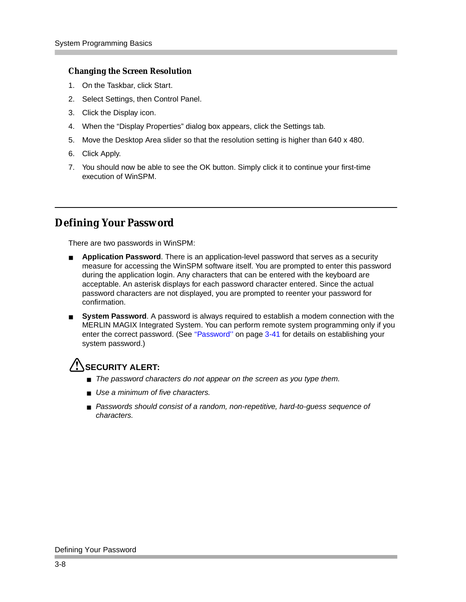#### **Changing the Screen Resolution**

- 1. On the Taskbar, click Start.
- 2. Select Settings, then Control Panel.
- 3. Click the Display icon.
- 4. When the "Display Properties" dialog box appears, click the Settings tab.
- 5. Move the Desktop Area slider so that the resolution setting is higher than 640 x 480.
- 6. Click Apply.
- 7. You should now be able to see the OK button. Simply click it to continue your first-time execution of WinSPM.

# <span id="page-53-0"></span>**Defining Your Password**

There are two passwords in WinSPM:

- **Application Password**. There is an application-level password that serves as a security measure for accessing the WinSPM software itself. You are prompted to enter this password during the application login. Any characters that can be entered with the keyboard are acceptable. An asterisk displays for each password character entered. Since the actual password characters are not displayed, you are prompted to reenter your password for confirmation.
- **System Password**. A password is always required to establish a modem connection with the MERLIN MAGIX Integrated System. You can perform remote system programming only if you enter the correct password. (See "Password" [on page 3-41](#page-86-0) for details on establishing your system password.)

# **SECURITY ALERT:**

- The password characters do not appear on the screen as you type them.
- Use a minimum of five characters.
- Passwords should consist of a random, non-repetitive, hard-to-guess sequence of characters.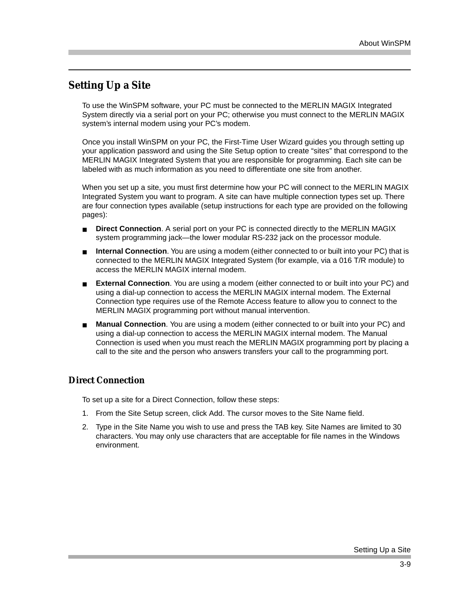# <span id="page-54-0"></span>**Setting Up a Site**

To use the WinSPM software, your PC must be connected to the MERLIN MAGIX Integrated System directly via a serial port on your PC; otherwise you must connect to the MERLIN MAGIX system's internal modem using your PC's modem.

Once you install WinSPM on your PC, the First-Time User Wizard guides you through setting up your application password and using the Site Setup option to create "sites" that correspond to the MERLIN MAGIX Integrated System that you are responsible for programming. Each site can be labeled with as much information as you need to differentiate one site from another.

When you set up a site, you must first determine how your PC will connect to the MERLIN MAGIX Integrated System you want to program. A site can have multiple connection types set up. There are four connection types available (setup instructions for each type are provided on the following pages):

- **Direct Connection**. A serial port on your PC is connected directly to the MERLIN MAGIX system programming jack—the lower modular RS-232 jack on the processor module.
- **Internal Connection**. You are using a modem (either connected to or built into your PC) that is connected to the MERLIN MAGIX Integrated System (for example, via a 016 T/R module) to access the MERLIN MAGIX internal modem.
- **External Connection.** You are using a modem (either connected to or built into your PC) and using a dial-up connection to access the MERLIN MAGIX internal modem. The External Connection type requires use of the Remote Access feature to allow you to connect to the MERLIN MAGIX programming port without manual intervention.
- **Manual Connection**. You are using a modem (either connected to or built into your PC) and using a dial-up connection to access the MERLIN MAGIX internal modem. The Manual Connection is used when you must reach the MERLIN MAGIX programming port by placing a call to the site and the person who answers transfers your call to the programming port.

#### <span id="page-54-1"></span>**Direct Connection**

To set up a site for a Direct Connection, follow these steps:

- 1. From the Site Setup screen, click Add. The cursor moves to the Site Name field.
- 2. Type in the Site Name you wish to use and press the TAB key. Site Names are limited to 30 characters. You may only use characters that are acceptable for file names in the Windows environment.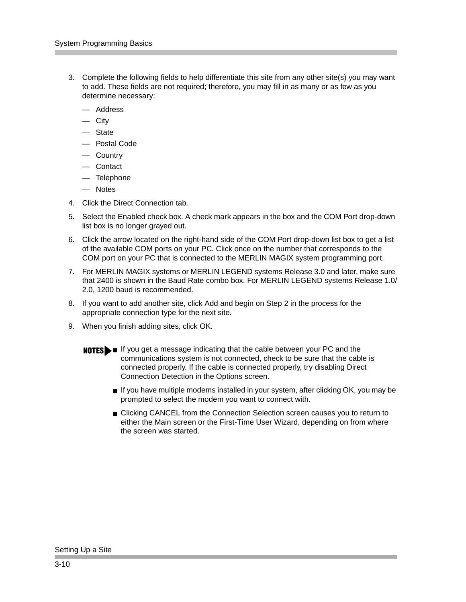- 3. Complete the following fields to help differentiate this site from any other site(s) you may want to add. These fields are not required; therefore, you may fill in as many or as few as you determine necessary:
	- Address
	- City
	- State
	- Postal Code
	- Country
	- Contact
	- Telephone
	- Notes
- 4. Click the Direct Connection tab.
- 5. Select the Enabled check box. A check mark appears in the box and the COM Port drop-down list box is no longer grayed out.
- 6. Click the arrow located on the right-hand side of the COM Port drop-down list box to get a list of the available COM ports on your PC. Click once on the number that corresponds to the COM port on your PC that is connected to the MERLIN MAGIX system programming port.
- 7. For MERLIN MAGIX systems or MERLIN LEGEND systems Release 3.0 and later, make sure that 2400 is shown in the Baud Rate combo box. For MERLIN LEGEND systems Release 1.0/ 2.0, 1200 baud is recommended.
- 8. If you want to add another site, click Add and begin on Step 2 in the process for the appropriate connection type for the next site.
- 9. When you finish adding sites, click OK.
	- **NOTES** If you get a message indicating that the cable between your PC and the communications system is not connected, check to be sure that the cable is connected properly. If the cable is connected properly, try disabling Direct Connection Detection in the Options screen.
		- If you have multiple modems installed in your system, after clicking OK, you may be prompted to select the modem you want to connect with.
		- Clicking CANCEL from the Connection Selection screen causes you to return to either the Main screen or the First-Time User Wizard, depending on from where the screen was started.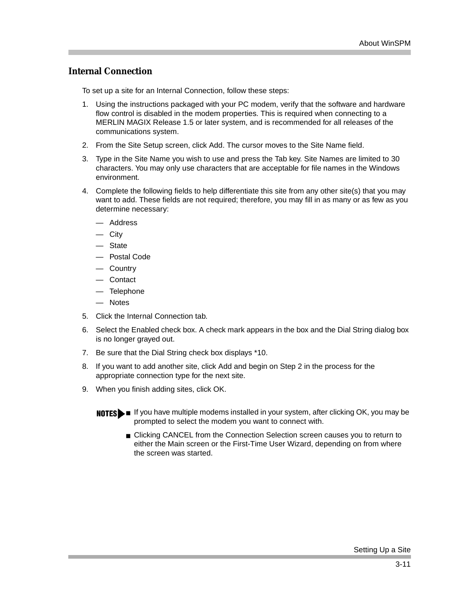#### <span id="page-56-0"></span>**Internal Connection**

To set up a site for an Internal Connection, follow these steps:

- 1. Using the instructions packaged with your PC modem, verify that the software and hardware flow control is disabled in the modem properties. This is required when connecting to a MERLIN MAGIX Release 1.5 or later system, and is recommended for all releases of the communications system.
- 2. From the Site Setup screen, click Add. The cursor moves to the Site Name field.
- 3. Type in the Site Name you wish to use and press the Tab key. Site Names are limited to 30 characters. You may only use characters that are acceptable for file names in the Windows environment.
- 4. Complete the following fields to help differentiate this site from any other site(s) that you may want to add. These fields are not required; therefore, you may fill in as many or as few as you determine necessary:
	- Address
	- City
	- State
	- Postal Code
	- Country
	- Contact
	- Telephone
	- Notes
- 5. Click the Internal Connection tab.
- 6. Select the Enabled check box. A check mark appears in the box and the Dial String dialog box is no longer grayed out.
- 7. Be sure that the Dial String check box displays \*10.
- 8. If you want to add another site, click Add and begin on Step 2 in the process for the appropriate connection type for the next site.
- 9. When you finish adding sites, click OK.
	- NOTES If you have multiple modems installed in your system, after clicking OK, you may be prompted to select the modem you want to connect with.
		- Clicking CANCEL from the Connection Selection screen causes you to return to either the Main screen or the First-Time User Wizard, depending on from where the screen was started.

Setting Up a Site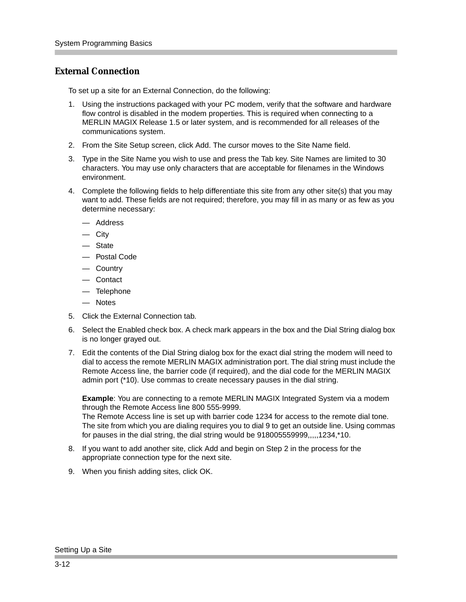#### <span id="page-57-0"></span>**External Connection**

To set up a site for an External Connection, do the following:

- 1. Using the instructions packaged with your PC modem, verify that the software and hardware flow control is disabled in the modem properties. This is required when connecting to a MERLIN MAGIX Release 1.5 or later system, and is recommended for all releases of the communications system.
- 2. From the Site Setup screen, click Add. The cursor moves to the Site Name field.
- 3. Type in the Site Name you wish to use and press the Tab key. Site Names are limited to 30 characters. You may use only characters that are acceptable for filenames in the Windows environment.
- 4. Complete the following fields to help differentiate this site from any other site(s) that you may want to add. These fields are not required; therefore, you may fill in as many or as few as you determine necessary:
	- Address
	- City
	- State
	- Postal Code
	- Country
	- Contact
	- Telephone
	- Notes
- 5. Click the External Connection tab.
- 6. Select the Enabled check box. A check mark appears in the box and the Dial String dialog box is no longer grayed out.
- 7. Edit the contents of the Dial String dialog box for the exact dial string the modem will need to dial to access the remote MERLIN MAGIX administration port. The dial string must include the Remote Access line, the barrier code (if required), and the dial code for the MERLIN MAGIX admin port (\*10). Use commas to create necessary pauses in the dial string.

**Example**: You are connecting to a remote MERLIN MAGIX Integrated System via a modem through the Remote Access line 800 555-9999.

The Remote Access line is set up with barrier code 1234 for access to the remote dial tone. The site from which you are dialing requires you to dial 9 to get an outside line. Using commas for pauses in the dial string, the dial string would be 918005559999,,,,,1234,\*10.

- 8. If you want to add another site, click Add and begin on Step 2 in the process for the appropriate connection type for the next site.
- 9. When you finish adding sites, click OK.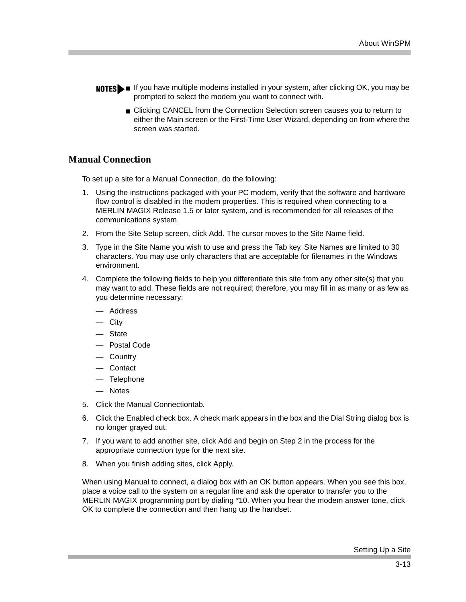- **NOTES** If you have multiple modems installed in your system, after clicking OK, you may be prompted to select the modem you want to connect with.
	- Clicking CANCEL from the Connection Selection screen causes you to return to either the Main screen or the First-Time User Wizard, depending on from where the screen was started.

#### <span id="page-58-0"></span>**Manual Connection**

To set up a site for a Manual Connection, do the following:

- 1. Using the instructions packaged with your PC modem, verify that the software and hardware flow control is disabled in the modem properties. This is required when connecting to a MERLIN MAGIX Release 1.5 or later system, and is recommended for all releases of the communications system.
- 2. From the Site Setup screen, click Add. The cursor moves to the Site Name field.
- 3. Type in the Site Name you wish to use and press the Tab key. Site Names are limited to 30 characters. You may use only characters that are acceptable for filenames in the Windows environment.
- 4. Complete the following fields to help you differentiate this site from any other site(s) that you may want to add. These fields are not required; therefore, you may fill in as many or as few as you determine necessary:
	- Address
	- City
	- State
	- Postal Code
	- Country
	- Contact
	- Telephone
	- Notes
- 5. Click the Manual Connectiontab.
- 6. Click the Enabled check box. A check mark appears in the box and the Dial String dialog box is no longer grayed out.
- 7. If you want to add another site, click Add and begin on Step 2 in the process for the appropriate connection type for the next site.
- 8. When you finish adding sites, click Apply.

When using Manual to connect, a dialog box with an OK button appears. When you see this box, place a voice call to the system on a regular line and ask the operator to transfer you to the MERLIN MAGIX programming port by dialing \*10. When you hear the modem answer tone, click OK to complete the connection and then hang up the handset.

Setting Up a Site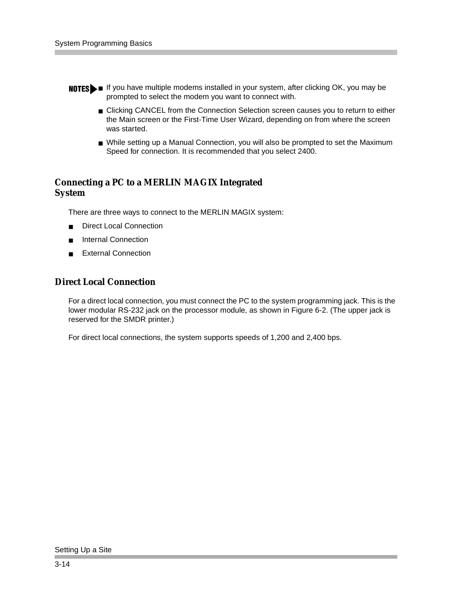- **NOTES** If you have multiple modems installed in your system, after clicking OK, you may be prompted to select the modem you want to connect with.
	- Clicking CANCEL from the Connection Selection screen causes you to return to either the Main screen or the First-Time User Wizard, depending on from where the screen was started.
	- While setting up a Manual Connection, you will also be prompted to set the Maximum Speed for connection. It is recommended that you select 2400.

#### <span id="page-59-0"></span>**Connecting a PC to a MERLIN MAGIX Integrated System**

There are three ways to connect to the MERLIN MAGIX system:

- Direct Local Connection
- Internal Connection
- External Connection

#### <span id="page-59-1"></span>**Direct Local Connection**

For a direct local connection, you must connect the PC to the system programming jack. This is the lower modular RS-232 jack on the processor module, as shown in Figure 6-2. (The upper jack is reserved for the SMDR printer.)

For direct local connections, the system supports speeds of 1,200 and 2,400 bps.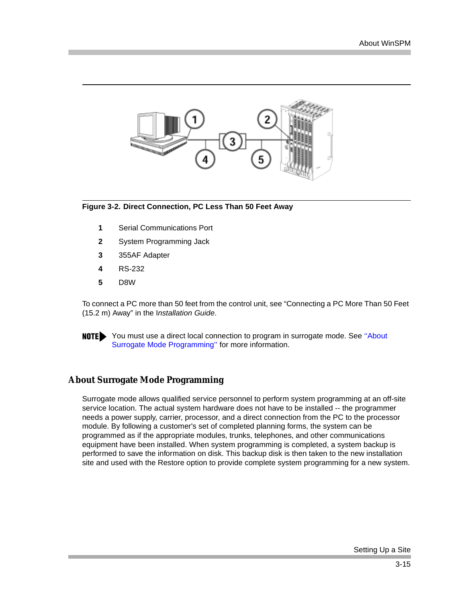

#### **Figure 3-2. Direct Connection, PC Less Than 50 Feet Away**

- **1** Serial Communications Port
- **2** System Programming Jack
- **3** 355AF Adapter
- **4** RS-232
- **5** D8W

To connect a PC more than 50 feet from the control unit, see "Connecting a PC More Than 50 Feet (15.2 m) Away" in the Installation Guide.



NOTE You must use a direct local connection to program in surrogate mode. See "About" [Surrogate Mode Programming''](#page-60-0) for more information.

#### <span id="page-60-0"></span>**About Surrogate Mode Programming** 3

Surrogate mode allows qualified service personnel to perform system programming at an off-site service location. The actual system hardware does not have to be installed -- the programmer needs a power supply, carrier, processor, and a direct connection from the PC to the processor module. By following a customer's set of completed planning forms, the system can be programmed as if the appropriate modules, trunks, telephones, and other communications equipment have been installed. When system programming is completed, a system backup is performed to save the information on disk. This backup disk is then taken to the new installation site and used with the Restore option to provide complete system programming for a new system.

Setting Up a Site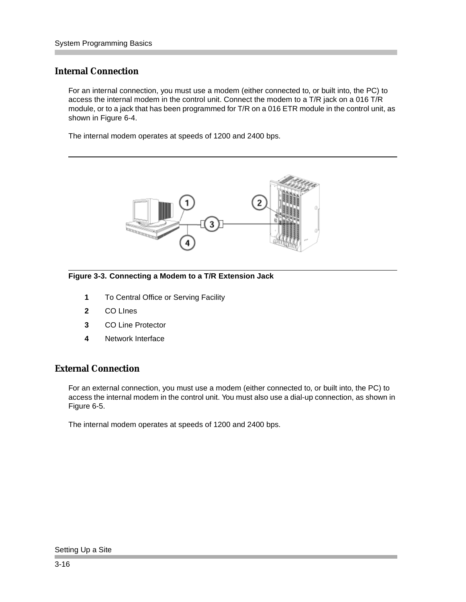#### <span id="page-61-0"></span>**Internal Connection**

For an internal connection, you must use a modem (either connected to, or built into, the PC) to access the internal modem in the control unit. Connect the modem to a T/R jack on a 016 T/R module, or to a jack that has been programmed for T/R on a 016 ETR module in the control unit, as shown in Figure 6-4.

The internal modem operates at speeds of 1200 and 2400 bps.



#### **Figure 3-3. Connecting a Modem to a T/R Extension Jack**

- **1** To Central Office or Serving Facility
- **2** CO LInes
- **3** CO Line Protector
- **4** Network Interface

#### <span id="page-61-1"></span>**External Connection**

For an external connection, you must use a modem (either connected to, or built into, the PC) to access the internal modem in the control unit. You must also use a dial-up connection, as shown in Figure 6-5.

The internal modem operates at speeds of 1200 and 2400 bps.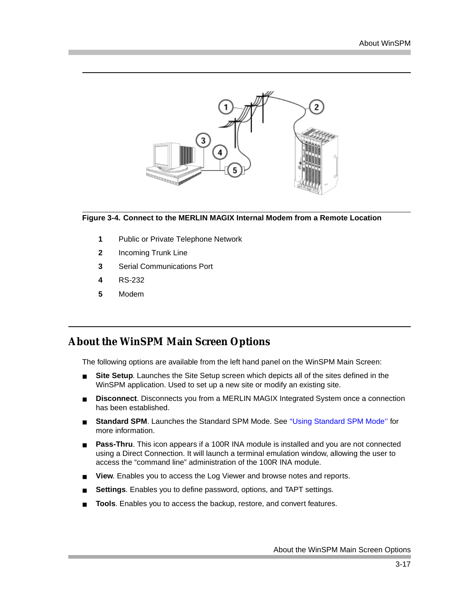

#### **Figure 3-4. Connect to the MERLIN MAGIX Internal Modem from a Remote Location**

- **1** Public or Private Telephone Network
- **2** Incoming Trunk Line
- **3** Serial Communications Port
- **4** RS-232
- **5** Modem

### <span id="page-62-0"></span>**About the WinSPM Main Screen Options** 3

The following options are available from the left hand panel on the WinSPM Main Screen:

- **Site Setup**. Launches the Site Setup screen which depicts all of the sites defined in the WinSPM application. Used to set up a new site or modify an existing site.
- **Disconnect**. Disconnects you from a MERLIN MAGIX Integrated System once a connection has been established.
- Standard SPM. Launches the Standard SPM Mode. See "Using Standard SPM Mode" for more information.
- **Pass-Thru**. This icon appears if a 100R INA module is installed and you are not connected using a Direct Connection. It will launch a terminal emulation window, allowing the user to access the "command line" administration of the 100R INA module.
- **View**. Enables you to access the Log Viewer and browse notes and reports.
- **Settings**. Enables you to define password, options, and TAPT settings.
- **Tools**. Enables you to access the backup, restore, and convert features.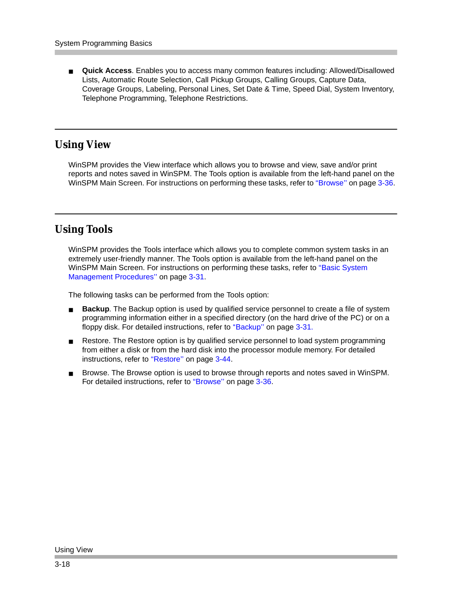■ **Quick Access**. Enables you to access many common features including: Allowed/Disallowed Lists, Automatic Route Selection, Call Pickup Groups, Calling Groups, Capture Data, Coverage Groups, Labeling, Personal Lines, Set Date & Time, Speed Dial, System Inventory, Telephone Programming, Telephone Restrictions.

## <span id="page-63-0"></span>**Using View**

WinSPM provides the View interface which allows you to browse and view, save and/or print reports and notes saved in WinSPM. The Tools option is available from the left-hand panel on the WinSPM Main Screen. For instructions on performing these tasks, refer to ''Browse'' [on page 3-36.](#page-81-0)

# <span id="page-63-1"></span>**Using Tools**

WinSPM provides the Tools interface which allows you to complete common system tasks in an extremely user-friendly manner. The Tools option is available from the left-hand panel on the WinSPM Main Screen. For instructions on performing these tasks, refer to [''Basic System](#page-76-0)  [Management Procedures''](#page-76-0) on page 3-31.

The following tasks can be performed from the Tools option:

- **Backup**. The Backup option is used by qualified service personnel to create a file of system programming information either in a specified directory (on the hard drive of the PC) or on a floppy disk. For detailed instructions, refer to "Backup" [on page 3-31.](#page-76-1)
- Restore. The Restore option is by qualified service personnel to load system programming from either a disk or from the hard disk into the processor module memory. For detailed instructions, refer to "Restore" [on page 3-44](#page-89-0).
- Browse. The Browse option is used to browse through reports and notes saved in WinSPM. For detailed instructions, refer to "Browse" [on page 3-36.](#page-81-0)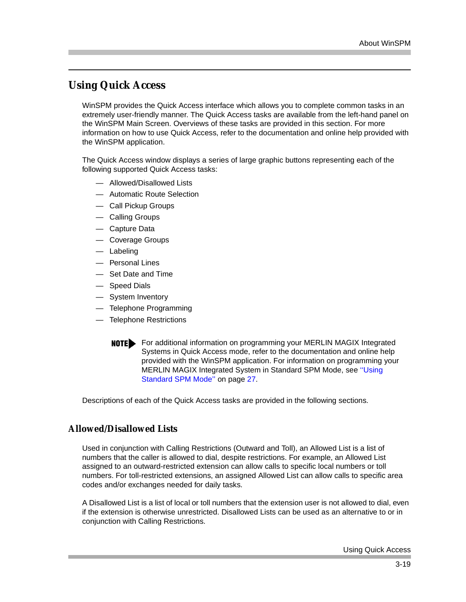# <span id="page-64-0"></span>**Using Quick Access**

WinSPM provides the Quick Access interface which allows you to complete common tasks in an extremely user-friendly manner. The Quick Access tasks are available from the left-hand panel on the WinSPM Main Screen. Overviews of these tasks are provided in this section. For more information on how to use Quick Access, refer to the documentation and online help provided with the WinSPM application.

The Quick Access window displays a series of large graphic buttons representing each of the following supported Quick Access tasks:

- Allowed/Disallowed Lists
- Automatic Route Selection
- Call Pickup Groups
- Calling Groups
- Capture Data
- Coverage Groups
- Labeling
- Personal Lines
- Set Date and Time
- Speed Dials
- System Inventory
- Telephone Programming
- Telephone Restrictions
	- For additional information on programming your MERLIN MAGIX Integrated Systems in Quick Access mode, refer to the documentation and online help provided with the WinSPM application. For information on programming your MERLIN MAGIX Integrated System in Standard SPM Mode, see [''Using](#page-72-1)  [Standard SPM Mode'' on page 27](#page-72-1).

Descriptions of each of the Quick Access tasks are provided in the following sections.

#### <span id="page-64-1"></span>**Allowed/Disallowed Lists** 3

Used in conjunction with Calling Restrictions (Outward and Toll), an Allowed List is a list of numbers that the caller is allowed to dial, despite restrictions. For example, an Allowed List assigned to an outward-restricted extension can allow calls to specific local numbers or toll numbers. For toll-restricted extensions, an assigned Allowed List can allow calls to specific area codes and/or exchanges needed for daily tasks.

A Disallowed List is a list of local or toll numbers that the extension user is not allowed to dial, even if the extension is otherwise unrestricted. Disallowed Lists can be used as an alternative to or in conjunction with Calling Restrictions.

Using Quick Access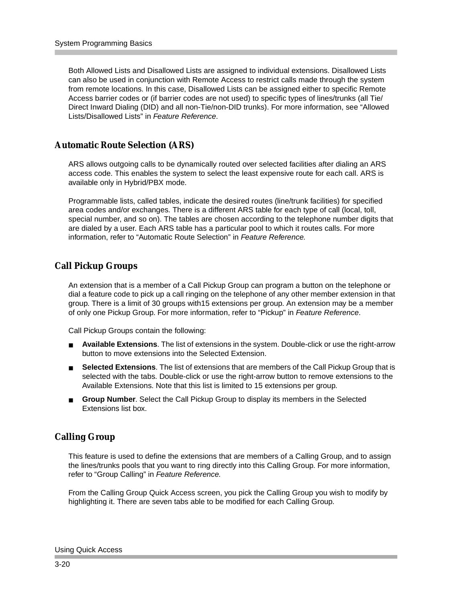Both Allowed Lists and Disallowed Lists are assigned to individual extensions. Disallowed Lists can also be used in conjunction with Remote Access to restrict calls made through the system from remote locations. In this case, Disallowed Lists can be assigned either to specific Remote Access barrier codes or (if barrier codes are not used) to specific types of lines/trunks (all Tie/ Direct Inward Dialing (DID) and all non-Tie/non-DID trunks). For more information, see "Allowed Lists/Disallowed Lists" in Feature Reference.

#### <span id="page-65-0"></span>**Automatic Route Selection (ARS)** 3

ARS allows outgoing calls to be dynamically routed over selected facilities after dialing an ARS access code. This enables the system to select the least expensive route for each call. ARS is available only in Hybrid/PBX mode.

Programmable lists, called tables, indicate the desired routes (line/trunk facilities) for specified area codes and/or exchanges. There is a different ARS table for each type of call (local, toll, special number, and so on). The tables are chosen according to the telephone number digits that are dialed by a user. Each ARS table has a particular pool to which it routes calls. For more information, refer to "Automatic Route Selection" in Feature Reference.

#### <span id="page-65-1"></span>**Call Pickup Groups**

An extension that is a member of a Call Pickup Group can program a button on the telephone or dial a feature code to pick up a call ringing on the telephone of any other member extension in that group. There is a limit of 30 groups with15 extensions per group. An extension may be a member of only one Pickup Group. For more information, refer to "Pickup" in Feature Reference.

Call Pickup Groups contain the following:

- **Available Extensions**. The list of extensions in the system. Double-click or use the right-arrow button to move extensions into the Selected Extension.
- **Selected Extensions**. The list of extensions that are members of the Call Pickup Group that is selected with the tabs. Double-click or use the right-arrow button to remove extensions to the Available Extensions. Note that this list is limited to 15 extensions per group.
- **Group Number.** Select the Call Pickup Group to display its members in the Selected Extensions list box.

#### <span id="page-65-2"></span>**Calling Group**

This feature is used to define the extensions that are members of a Calling Group, and to assign the lines/trunks pools that you want to ring directly into this Calling Group. For more information, refer to "Group Calling" in Feature Reference.

From the Calling Group Quick Access screen, you pick the Calling Group you wish to modify by highlighting it. There are seven tabs able to be modified for each Calling Group.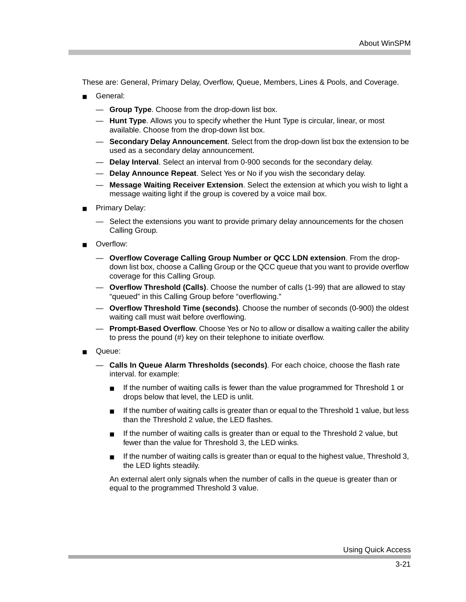These are: General, Primary Delay, Overflow, Queue, Members, Lines & Pools, and Coverage.

- General:
	- **Group Type**. Choose from the drop-down list box.
	- **Hunt Type**. Allows you to specify whether the Hunt Type is circular, linear, or most available. Choose from the drop-down list box.
	- **Secondary Delay Announcement**. Select from the drop-down list box the extension to be used as a secondary delay announcement.
	- **Delay Interval**. Select an interval from 0-900 seconds for the secondary delay.
	- **Delay Announce Repeat**. Select Yes or No if you wish the secondary delay.
	- **Message Waiting Receiver Extension**. Select the extension at which you wish to light a message waiting light if the group is covered by a voice mail box.
- Primary Delay:
	- Select the extensions you want to provide primary delay announcements for the chosen Calling Group.
- Overflow:
	- **Overflow Coverage Calling Group Number or QCC LDN extension**. From the dropdown list box, choose a Calling Group or the QCC queue that you want to provide overflow coverage for this Calling Group.
	- **Overflow Threshold (Calls)**. Choose the number of calls (1-99) that are allowed to stay "queued" in this Calling Group before "overflowing."
	- **Overflow Threshold Time (seconds)**. Choose the number of seconds (0-900) the oldest waiting call must wait before overflowing.
	- **Prompt-Based Overflow**. Choose Yes or No to allow or disallow a waiting caller the ability to press the pound (#) key on their telephone to initiate overflow.
- Queue:
	- **Calls In Queue Alarm Thresholds (seconds)**. For each choice, choose the flash rate interval. for example:
		- If the number of waiting calls is fewer than the value programmed for Threshold 1 or drops below that level, the LED is unlit.
		- If the number of waiting calls is greater than or equal to the Threshold 1 value, but less than the Threshold 2 value, the LED flashes.
		- If the number of waiting calls is greater than or equal to the Threshold 2 value, but fewer than the value for Threshold 3, the LED winks.
		- If the number of waiting calls is greater than or equal to the highest value, Threshold 3, the LED lights steadily.

An external alert only signals when the number of calls in the queue is greater than or equal to the programmed Threshold 3 value.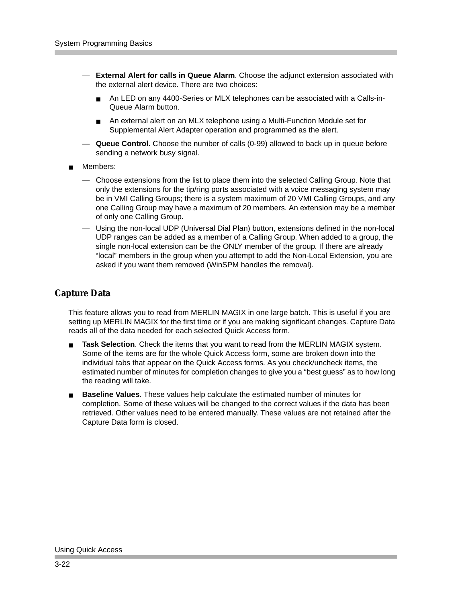- **External Alert for calls in Queue Alarm**. Choose the adjunct extension associated with the external alert device. There are two choices:
	- An LED on any 4400-Series or MLX telephones can be associated with a Calls-in-Queue Alarm button.
	- An external alert on an MLX telephone using a Multi-Function Module set for Supplemental Alert Adapter operation and programmed as the alert.
- **Queue Control**. Choose the number of calls (0-99) allowed to back up in queue before sending a network busy signal.
- Members:
	- Choose extensions from the list to place them into the selected Calling Group. Note that only the extensions for the tip/ring ports associated with a voice messaging system may be in VMI Calling Groups; there is a system maximum of 20 VMI Calling Groups, and any one Calling Group may have a maximum of 20 members. An extension may be a member of only one Calling Group.
	- Using the non-local UDP (Universal Dial Plan) button, extensions defined in the non-local UDP ranges can be added as a member of a Calling Group. When added to a group, the single non-local extension can be the ONLY member of the group. If there are already "local" members in the group when you attempt to add the Non-Local Extension, you are asked if you want them removed (WinSPM handles the removal).

#### <span id="page-67-0"></span>**Capture Data**

This feature allows you to read from MERLIN MAGIX in one large batch. This is useful if you are setting up MERLIN MAGIX for the first time or if you are making significant changes. Capture Data reads all of the data needed for each selected Quick Access form.

- Task Selection. Check the items that you want to read from the MERLIN MAGIX system. Some of the items are for the whole Quick Access form, some are broken down into the individual tabs that appear on the Quick Access forms. As you check/uncheck items, the estimated number of minutes for completion changes to give you a "best guess" as to how long the reading will take.
- **Baseline Values**. These values help calculate the estimated number of minutes for completion. Some of these values will be changed to the correct values if the data has been retrieved. Other values need to be entered manually. These values are not retained after the Capture Data form is closed.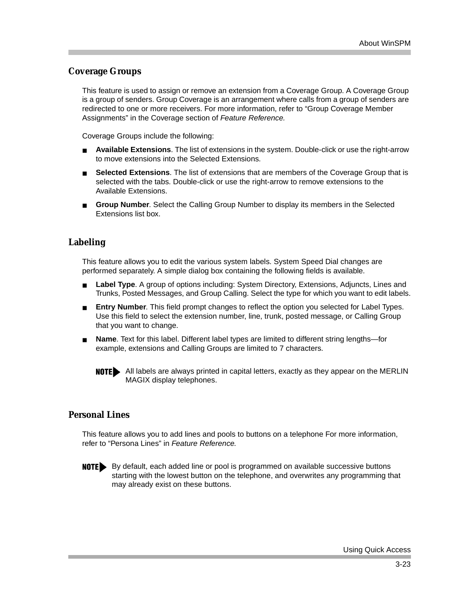#### <span id="page-68-0"></span>**Coverage Groups**

This feature is used to assign or remove an extension from a Coverage Group. A Coverage Group is a group of senders. Group Coverage is an arrangement where calls from a group of senders are redirected to one or more receivers. For more information, refer to "Group Coverage Member Assignments" in the Coverage section of Feature Reference.

Coverage Groups include the following:

- **Available Extensions**. The list of extensions in the system. Double-click or use the right-arrow to move extensions into the Selected Extensions.
- **Selected Extensions**. The list of extensions that are members of the Coverage Group that is selected with the tabs. Double-click or use the right-arrow to remove extensions to the Available Extensions.
- **Group Number**. Select the Calling Group Number to display its members in the Selected Extensions list box.

#### <span id="page-68-1"></span>Labeling

This feature allows you to edit the various system labels. System Speed Dial changes are performed separately. A simple dialog box containing the following fields is available.

- Label Type. A group of options including: System Directory, Extensions, Adjuncts, Lines and Trunks, Posted Messages, and Group Calling. Select the type for which you want to edit labels.
- **Entry Number.** This field prompt changes to reflect the option you selected for Label Types. Use this field to select the extension number, line, trunk, posted message, or Calling Group that you want to change.
- **Name**. Text for this label. Different label types are limited to different string lengths—for example, extensions and Calling Groups are limited to 7 characters.
	- **NOTE** All labels are always printed in capital letters, exactly as they appear on the MERLIN MAGIX display telephones.

#### <span id="page-68-2"></span>**Personal Lines**

This feature allows you to add lines and pools to buttons on a telephone For more information, refer to "Persona Lines" in Feature Reference.

By default, each added line or pool is programmed on available successive buttons **NOTEL** starting with the lowest button on the telephone, and overwrites any programming that may already exist on these buttons.

Using Quick Access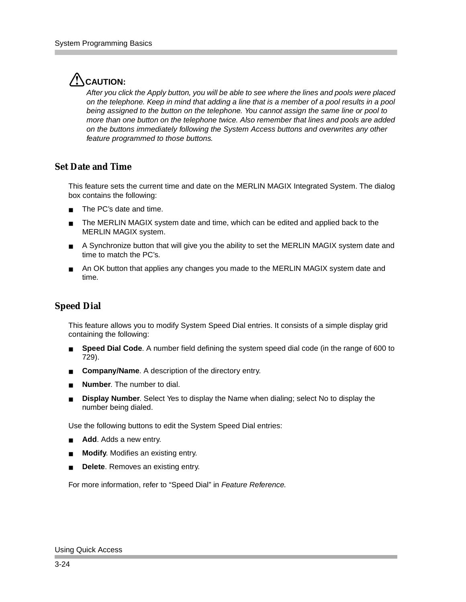# **CAUTION:**

After you click the Apply button, you will be able to see where the lines and pools were placed on the telephone. Keep in mind that adding a line that is a member of a pool results in a pool being assigned to the button on the telephone. You cannot assign the same line or pool to more than one button on the telephone twice. Also remember that lines and pools are added on the buttons immediately following the System Access buttons and overwrites any other feature programmed to those buttons.

#### <span id="page-69-0"></span>**Set Date and Time**

This feature sets the current time and date on the MERLIN MAGIX Integrated System. The dialog box contains the following:

- The PC's date and time.
- The MERLIN MAGIX system date and time, which can be edited and applied back to the MERLIN MAGIX system.
- A Synchronize button that will give you the ability to set the MERLIN MAGIX system date and time to match the PC's.
- An OK button that applies any changes you made to the MERLIN MAGIX system date and time.

#### <span id="page-69-1"></span>**Speed Dial**

This feature allows you to modify System Speed Dial entries. It consists of a simple display grid containing the following:

- **Speed Dial Code**. A number field defining the system speed dial code (in the range of 600 to 729).
- **Company/Name.** A description of the directory entry.
- **Number**. The number to dial.
- **Display Number**. Select Yes to display the Name when dialing; select No to display the number being dialed.

Use the following buttons to edit the System Speed Dial entries:

- Add. Adds a new entry.
- **Modify.** Modifies an existing entry.
- **Delete**. Removes an existing entry.

For more information, refer to "Speed Dial" in Feature Reference.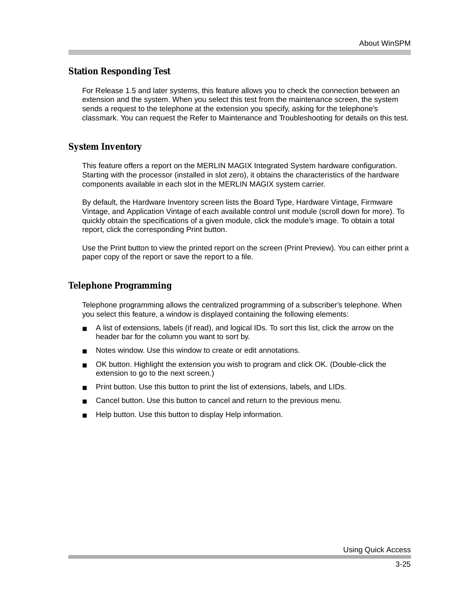#### <span id="page-70-0"></span>**Station Responding Test**

For Release 1.5 and later systems, this feature allows you to check the connection between an extension and the system. When you select this test from the maintenance screen, the system sends a request to the telephone at the extension you specify, asking for the telephone's classmark. You can request the Refer to Maintenance and Troubleshooting for details on this test.

#### <span id="page-70-1"></span>**System Inventory**

This feature offers a report on the MERLIN MAGIX Integrated System hardware configuration. Starting with the processor (installed in slot zero), it obtains the characteristics of the hardware components available in each slot in the MERLIN MAGIX system carrier.

By default, the Hardware Inventory screen lists the Board Type, Hardware Vintage, Firmware Vintage, and Application Vintage of each available control unit module (scroll down for more). To quickly obtain the specifications of a given module, click the module's image. To obtain a total report, click the corresponding Print button.

Use the Print button to view the printed report on the screen (Print Preview). You can either print a paper copy of the report or save the report to a file.

#### <span id="page-70-2"></span>**Telephone Programming**

Telephone programming allows the centralized programming of a subscriber's telephone. When you select this feature, a window is displayed containing the following elements:

- A list of extensions, labels (if read), and logical IDs. To sort this list, click the arrow on the header bar for the column you want to sort by.
- Notes window. Use this window to create or edit annotations.
- OK button. Highlight the extension you wish to program and click OK. (Double-click the extension to go to the next screen.)
- Print button. Use this button to print the list of extensions, labels, and LIDs.
- Cancel button. Use this button to cancel and return to the previous menu.
- Help button. Use this button to display Help information.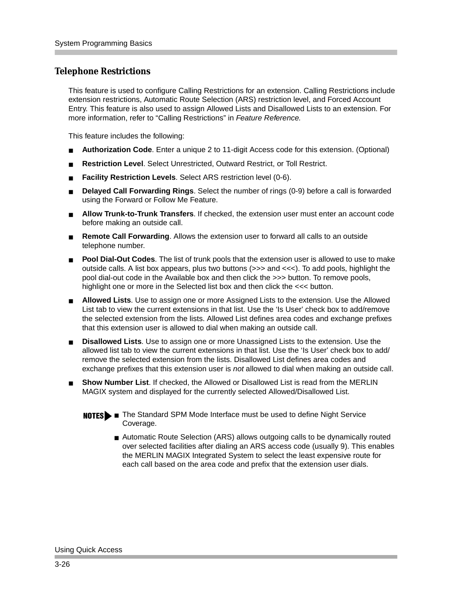#### <span id="page-71-0"></span>**Telephone Restrictions**

This feature is used to configure Calling Restrictions for an extension. Calling Restrictions include extension restrictions, Automatic Route Selection (ARS) restriction level, and Forced Account Entry. This feature is also used to assign Allowed Lists and Disallowed Lists to an extension. For more information, refer to "Calling Restrictions" in Feature Reference.

This feature includes the following:

- Authorization Code. Enter a unique 2 to 11-digit Access code for this extension. (Optional)
- **Restriction Level**. Select Unrestricted, Outward Restrict, or Toll Restrict.
- **Facility Restriction Levels.** Select ARS restriction level (0-6).
- **Delayed Call Forwarding Rings**. Select the number of rings (0-9) before a call is forwarded using the Forward or Follow Me Feature.
- **Allow Trunk-to-Trunk Transfers**. If checked, the extension user must enter an account code before making an outside call.
- **Remote Call Forwarding**. Allows the extension user to forward all calls to an outside telephone number.
- **Pool Dial-Out Codes**. The list of trunk pools that the extension user is allowed to use to make outside calls. A list box appears, plus two buttons (>>> and <<<). To add pools, highlight the pool dial-out code in the Available box and then click the >>> button. To remove pools, highlight one or more in the Selected list box and then click the <<< button.
- **Allowed Lists**. Use to assign one or more Assigned Lists to the extension. Use the Allowed List tab to view the current extensions in that list. Use the 'Is User' check box to add/remove the selected extension from the lists. Allowed List defines area codes and exchange prefixes that this extension user is allowed to dial when making an outside call.
- **Disallowed Lists**. Use to assign one or more Unassigned Lists to the extension. Use the allowed list tab to view the current extensions in that list. Use the 'Is User' check box to add/ remove the selected extension from the lists. Disallowed List defines area codes and exchange prefixes that this extension user is not allowed to dial when making an outside call.
- **Show Number List**. If checked, the Allowed or Disallowed List is read from the MERLIN MAGIX system and displayed for the currently selected Allowed/Disallowed List.
	- **NOTES** The Standard SPM Mode Interface must be used to define Night Service Coverage.
		- Automatic Route Selection (ARS) allows outgoing calls to be dynamically routed over selected facilities after dialing an ARS access code (usually 9). This enables the MERLIN MAGIX Integrated System to select the least expensive route for each call based on the area code and prefix that the extension user dials.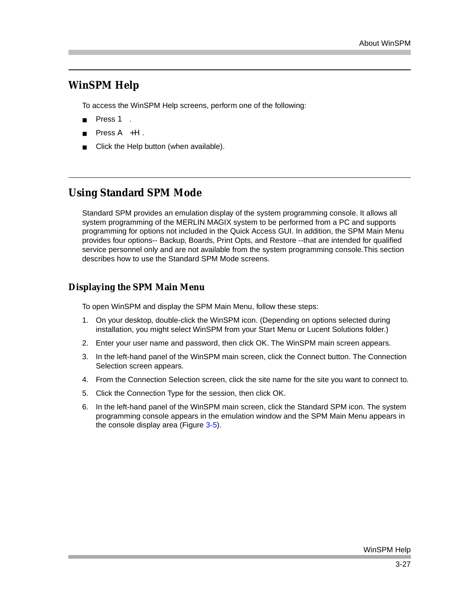# **WinSPM Help**

To access the WinSPM Help screens, perform one of the following:

- Press 1.
- Press  $A + H$ .
- Click the Help button (when available).

# **Using Standard SPM Mode**

Standard SPM provides an emulation display of the system programming console. It allows all system programming of the MERLIN MAGIX system to be performed from a PC and supports programming for options not included in the Quick Access GUI. In addition, the SPM Main Menu provides four options-- Backup, Boards, Print Opts, and Restore --that are intended for qualified service personnel only and are not available from the system programming console.This section describes how to use the Standard SPM Mode screens.

# **Displaying the SPM Main Menu**

To open WinSPM and display the SPM Main Menu, follow these steps:

- 1. On your desktop, double-click the WinSPM icon. (Depending on options selected during installation, you might select WinSPM from your Start Menu or Lucent Solutions folder.)
- 2. Enter your user name and password, then click OK. The WinSPM main screen appears.
- 3. In the left-hand panel of the WinSPM main screen, click the Connect button. The Connection Selection screen appears.
- 4. From the Connection Selection screen, click the site name for the site you want to connect to.
- 5. Click the Connection Type for the session, then click OK.
- 6. In the left-hand panel of the WinSPM main screen, click the Standard SPM icon. The system programming console appears in the emulation window and the SPM Main Menu appears in the console display area ([Figure](#page-73-0) 3-5).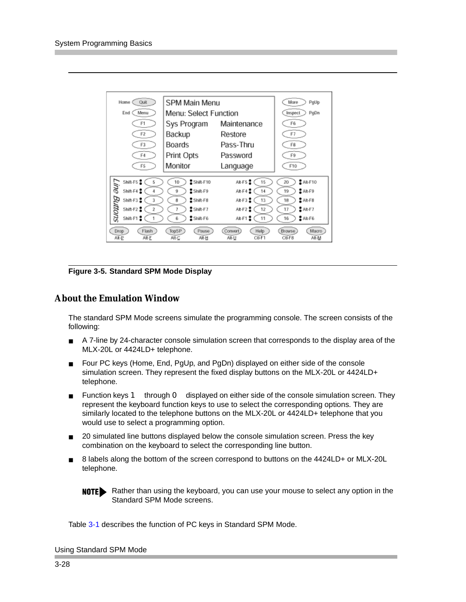| Home<br>Quit                    | SPM Main Menu                    |                                    | More<br>PgUp                                    |
|---------------------------------|----------------------------------|------------------------------------|-------------------------------------------------|
| End<br>Menu                     | Menu: Select Function            |                                    | PgDn<br>Inspect                                 |
| F1                              | Sys Program                      | Maintenance                        | F6                                              |
| F2                              | Backup                           | Restore                            | F7                                              |
| F3                              | Boards                           | Pass-Thru                          | F8                                              |
| F4                              | Print Opts                       | Password                           | F9                                              |
| F5                              | Monitor                          | Language                           | F10                                             |
| $Shift-F5$ $2$<br>5             | 10<br>Shift-F10                  | AL-F5 2<br>15                      | $2$ AII-F10<br>20                               |
| ЭШŢ<br>Shift-F4 $2$<br>4        | Shift-F9<br>9                    | Alt-F4 2<br>14                     | $2$ Alt-F9<br>19                                |
| Buttons<br>$Shift-F3$ $2$<br>3  | Shift-F8<br>8                    | Alt-F3<br>13                       | $2$ Alt-F8<br>18                                |
| $Shift-F2$<br>$\overline{2}$    | Shift-F7<br>7                    | Alt-F2 2<br>12                     | 17<br>$2$ Alt-F7                                |
| $Shift-F1$ $2$<br>1             | Shift-F6<br>6                    | AL-F1 2<br>11                      | $2$ AILF6<br>16                                 |
| Flash<br>Drop<br>Alt-P<br>Alt-E | TopSP<br>Pause<br>Alt-C<br>Alt-H | Convert<br>Help<br>AII-U<br>Ctl-F1 | Browse <sup>?</sup><br>Macro<br>Ctl-F8<br>Alt-M |

<span id="page-73-0"></span>**Figure 3-5. Standard SPM Mode Display**

### **About the Emulation Window**

The standard SPM Mode screens simulate the programming console. The screen consists of the following:

- A 7-line by 24-character console simulation screen that corresponds to the display area of the MLX-20L or 4424LD+ telephone.
- Four PC keys (Home, End, PgUp, and PgDn) displayed on either side of the console simulation screen. They represent the fixed display buttons on the MLX-20L or 4424LD+ telephone.
- Function keys 1 through displayed on either side of the console simulation screen. They represent the keyboard function keys to use to select the corresponding options. They are similarly located to the telephone buttons on the MLX-20L or 4424LD+ telephone that you would use to select a programming option.
- 20 simulated line buttons displayed below the console simulation screen. Press the key combination on the keyboard to select the corresponding line button.
- 8 labels along the bottom of the screen correspond to buttons on the 4424LD+ or MLX-20L telephone.

**NOTE** Rather than using the keyboard, you can use your mouse to select any option in the Standard SPM Mode screens.

[Table](#page-74-0) 3-1 describes the function of PC keys in Standard SPM Mode.

#### Using Standard SPM Mode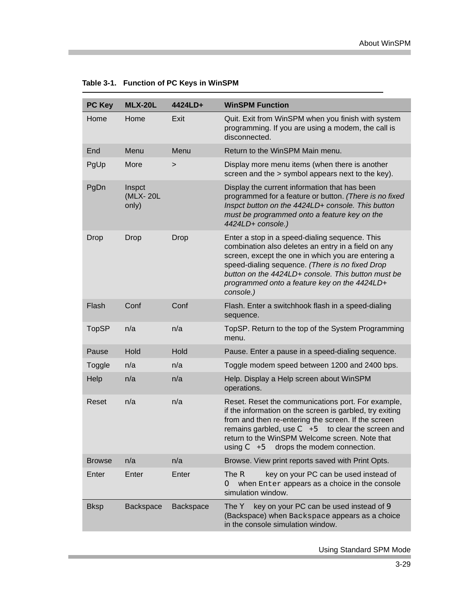۰

| PC Key        | <b>MLX-20L</b>              | 4424LD+          | <b>WinSPM Function</b>                                                                                                                                                                                                                                                                                                            |
|---------------|-----------------------------|------------------|-----------------------------------------------------------------------------------------------------------------------------------------------------------------------------------------------------------------------------------------------------------------------------------------------------------------------------------|
| Home          | Home                        | Exit             | Quit. Exit from WinSPM when you finish with system<br>programming. If you are using a modem, the call is<br>disconnected.                                                                                                                                                                                                         |
| End           | Menu                        | Menu             | Return to the WinSPM Main menu.                                                                                                                                                                                                                                                                                                   |
| PgUp          | More                        | $\geq$           | Display more menu items (when there is another<br>screen and the > symbol appears next to the key).                                                                                                                                                                                                                               |
| PgDn          | Inspct<br>(MLX-20L<br>only) |                  | Display the current information that has been<br>programmed for a feature or button. (There is no fixed<br>Inspct button on the 4424LD+ console. This button<br>must be programmed onto a feature key on the<br>4424LD+ console.)                                                                                                 |
| Drop          | Drop                        | <b>Drop</b>      | Enter a stop in a speed-dialing sequence. This<br>combination also deletes an entry in a field on any<br>screen, except the one in which you are entering a<br>speed-dialing sequence. (There is no fixed Drop<br>button on the 4424LD+ console. This button must be<br>programmed onto a feature key on the 4424LD+<br>console.) |
| Flash         | Conf                        | Conf             | Flash. Enter a switchhook flash in a speed-dialing<br>sequence.                                                                                                                                                                                                                                                                   |
| <b>TopSP</b>  | n/a                         | n/a              | TopSP. Return to the top of the System Programming<br>menu.                                                                                                                                                                                                                                                                       |
| Pause         | Hold                        | Hold             | Pause. Enter a pause in a speed-dialing sequence.                                                                                                                                                                                                                                                                                 |
| Toggle        | n/a                         | n/a              | Toggle modem speed between 1200 and 2400 bps.                                                                                                                                                                                                                                                                                     |
| Help          | n/a                         | n/a              | Help. Display a Help screen about WinSPM<br>operations.                                                                                                                                                                                                                                                                           |
| Reset         | n/a                         | n/a              | Reset. Reset the communications port. For example,<br>if the information on the screen is garbled, try exiting<br>from and then re-entering the screen. If the screen<br>remains garbled, use $C + 5$ to clear the screen and<br>return to the WinSPM Welcome screen. Note that<br>using $C + 5$ drops the modem connection.      |
| <b>Browse</b> | n/a                         | n/a              | Browse. View print reports saved with Print Opts.                                                                                                                                                                                                                                                                                 |
| Enter         | Enter                       | Enter            | The R<br>key on your PC can be used instead of<br>O when $Enter$ appears as a choice in the console<br>simulation window.                                                                                                                                                                                                         |
| <b>Bksp</b>   | Backspace                   | <b>Backspace</b> | key on your PC can be used instead of 9<br>The Y l<br>(Backspace) when Backspace appears as a choice<br>in the console simulation window.                                                                                                                                                                                         |

## <span id="page-74-0"></span>**Table 3-1. Function of PC Keys in WinSPM**

п

Using Standard SPM Mode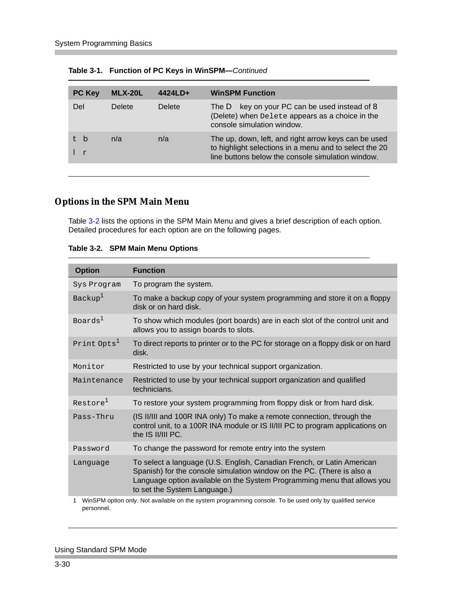| <b>PC Key</b>       | <b>MLX-20L</b> | $4424LD+$ | <b>WinSPM Function</b>                                                                                                                                              |
|---------------------|----------------|-----------|---------------------------------------------------------------------------------------------------------------------------------------------------------------------|
| Del                 | Delete         | Delete    | The $D$ key on your PC can be used instead of $8$<br>(Delete) when Delete appears as a choice in the<br>console simulation window.                                  |
| t h<br>$\mathsf{r}$ | n/a            | n/a       | The up, down, left, and right arrow keys can be used<br>to highlight selections in a menu and to select the 20<br>line buttons below the console simulation window. |

| Table 3-1. Function of PC Keys in WinSPM-Continued |  |  |  |  |  |
|----------------------------------------------------|--|--|--|--|--|
|----------------------------------------------------|--|--|--|--|--|

# **Options in the SPM Main Menu** 3

[Table](#page-75-0) 3-2 lists the options in the SPM Main Menu and gives a brief description of each option. Detailed procedures for each option are on the following pages.

| <b>Option</b>           | <b>Function</b>                                                                                                                                                                                                                                              |
|-------------------------|--------------------------------------------------------------------------------------------------------------------------------------------------------------------------------------------------------------------------------------------------------------|
| Sys Program             | To program the system.                                                                                                                                                                                                                                       |
| Backup <sup>1</sup>     | To make a backup copy of your system programming and store it on a floppy<br>disk or on hard disk.                                                                                                                                                           |
| Boards <sup>1</sup>     | To show which modules (port boards) are in each slot of the control unit and<br>allows you to assign boards to slots.                                                                                                                                        |
| Print Opts <sup>1</sup> | To direct reports to printer or to the PC for storage on a floppy disk or on hard<br>disk.                                                                                                                                                                   |
| Monitor                 | Restricted to use by your technical support organization.                                                                                                                                                                                                    |
| Maintenance             | Restricted to use by your technical support organization and qualified<br>technicians.                                                                                                                                                                       |
| Restore <sup>1</sup>    | To restore your system programming from floppy disk or from hard disk.                                                                                                                                                                                       |
| Pass-Thru               | (IS II/III and 100R INA only) To make a remote connection, through the<br>control unit, to a 100R INA module or IS II/III PC to program applications on<br>the IS II/III PC.                                                                                 |
| Password                | To change the password for remote entry into the system                                                                                                                                                                                                      |
| Language                | To select a language (U.S. English, Canadian French, or Latin American<br>Spanish) for the console simulation window on the PC. (There is also a<br>Language option available on the System Programming menu that allows you<br>to set the System Language.) |
| personnel.              | WinSPM option only. Not available on the system programming console. To be used only by qualified service                                                                                                                                                    |

<span id="page-75-0"></span>

| Table 3-2. SPM Main Menu Options |  |  |  |  |
|----------------------------------|--|--|--|--|
|----------------------------------|--|--|--|--|

### Using Standard SPM Mode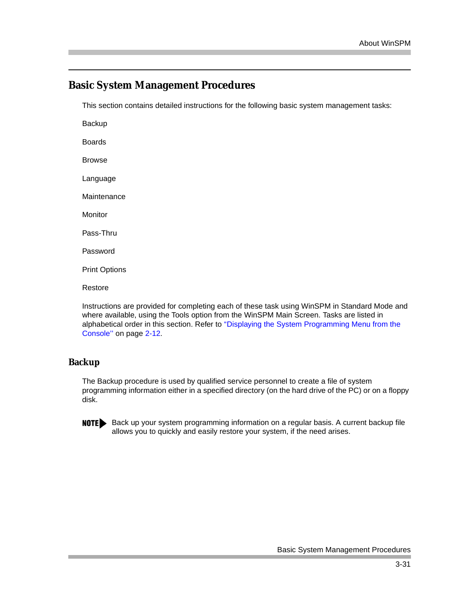# **Basic System Management Procedures**

This section contains detailed instructions for the following basic system management tasks:

| Backup               |
|----------------------|
| Boards               |
| Browse               |
| Language             |
| Maintenance          |
| Monitor              |
| Pass-Thru            |
| Password             |
| <b>Print Options</b> |
| Restore              |

Instructions are provided for completing each of these task using WinSPM in Standard Mode and where available, using the Tools option from the WinSPM Main Screen. Tasks are listed in alphabetical order in this section. Refer to "Displaying the System Programming Menu from the Console'' [on page 2-12.](#page-41-0)

## <span id="page-76-0"></span>**Backup**

The Backup procedure is used by qualified service personnel to create a file of system programming information either in a specified directory (on the hard drive of the PC) or on a floppy disk.

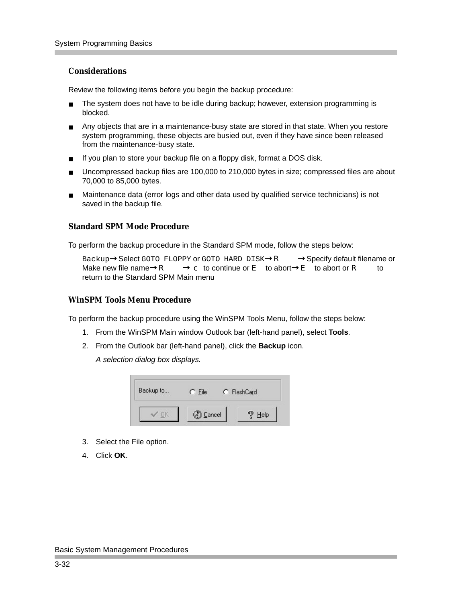### **Considerations**

Review the following items before you begin the backup procedure:

- The system does not have to be idle during backup; however, extension programming is blocked.
- Any objects that are in a maintenance-busy state are stored in that state. When you restore system programming, these objects are busied out, even if they have since been released from the maintenance-busy state.
- If you plan to store your backup file on a floppy disk, format a DOS disk.
- Uncompressed backup files are 100,000 to 210,000 bytes in size; compressed files are about 70,000 to 85,000 bytes.
- Maintenance data (error logs and other data used by qualified service technicians) is not saved in the backup file.

#### **Standard SPM Mode Procedure**

To perform the backup procedure in the Standard SPM mode, follow the steps below:

```
Backup→Select GOTO FLOPPY or GOTO HARD DISK→R→Specify default filename or
Make new file name→R \rightarrow c to continue or E to abort \rightarrow E to abort or R to
return to the Standard SPM Main menu
```
### **WinSPM Tools Menu Procedure**

To perform the backup procedure using the WinSPM Tools Menu, follow the steps below:

- 1. From the WinSPM Main window Outlook bar (left-hand panel), select **Tools**.
- 2. From the Outlook bar (left-hand panel), click the **Backup** icon.

A selection dialog box displays.



- 3. Select the File option.
- 4. Click **OK**.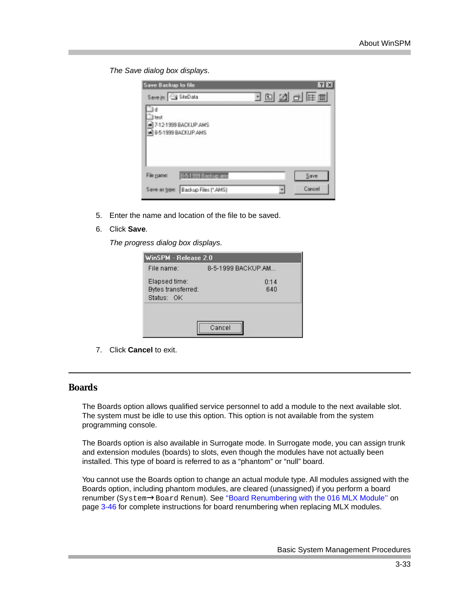The Save dialog box displays.

| Save Backup to file                                 |                                | 7x |
|-----------------------------------------------------|--------------------------------|----|
| Save jn: SkeData                                    | $\exists$ 0 0 0 $\pm$ 10 $\pm$ |    |
| test<br>7-12-1999 BACKUP AMS<br>B-5-1999 BACKUP AMS |                                |    |
| File pame:<br>8-5-1999 Backup, ams                  | Save                           |    |
| Save as type: Backup Files ("AMS)                   | Cancel                         |    |

- 5. Enter the name and location of the file to be saved.
- 6. Click **Save**.

The progress dialog box displays.

| File name:                                               |  | 8-5-1999 BACKUP.AM |
|----------------------------------------------------------|--|--------------------|
| Elapsed time:<br><b>Bytes transferred:</b><br>Status: OK |  | 0:14<br>640        |

7. Click **Cancel** to exit.

### **Boards** 3

The Boards option allows qualified service personnel to add a module to the next available slot. The system must be idle to use this option. This option is not available from the system programming console.

The Boards option is also available in Surrogate mode. In Surrogate mode, you can assign trunk and extension modules (boards) to slots, even though the modules have not actually been installed. This type of board is referred to as a "phantom" or "null" board.

You cannot use the Boards option to change an actual module type. All modules assigned with the Boards option, including phantom modules, are cleared (unassigned) if you perform a board renumber (System→Board Renum). See "Board Renumbering with the 016 MLX Module" on [page 3-46](#page-91-0) for complete instructions for board renumbering when replacing MLX modules.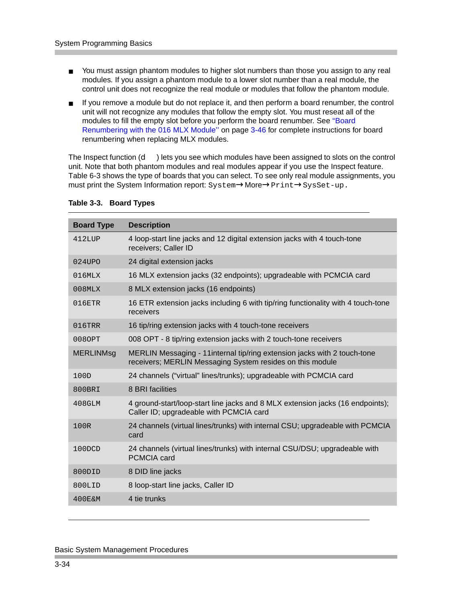- You must assign phantom modules to higher slot numbers than those you assign to any real modules. If you assign a phantom module to a lower slot number than a real module, the control unit does not recognize the real module or modules that follow the phantom module.
- If you remove a module but do not replace it, and then perform a board renumber, the control unit will not recognize any modules that follow the empty slot. You must reseat all of the modules to fill the empty slot before you perform the board renumber. See "Board [Renumbering with the 016 MLX Module''](#page-91-0) on page 3-46 for complete instructions for board renumbering when replacing MLX modules.

The Inspect function  $(d)$  lets you see which modules have been assigned to slots on the control unit. Note that both phantom modules and real modules appear if you use the Inspect feature. Table 6-3 shows the type of boards that you can select. To see only real module assignments, you must print the System Information report: System→More→Print→SysSet-up.

| <b>Board Type</b> | <b>Description</b>                                                                                                                     |
|-------------------|----------------------------------------------------------------------------------------------------------------------------------------|
| 412LUP            | 4 loop-start line jacks and 12 digital extension jacks with 4 touch-tone<br>receivers; Caller ID                                       |
| 024UPO            | 24 digital extension jacks                                                                                                             |
| 016MLX            | 16 MLX extension jacks (32 endpoints); upgradeable with PCMCIA card                                                                    |
| 008MLX            | 8 MLX extension jacks (16 endpoints)                                                                                                   |
| 016ETR            | 16 ETR extension jacks including 6 with tip/ring functionality with 4 touch-tone<br>receivers                                          |
| 016TRR            | 16 tip/ring extension jacks with 4 touch-tone receivers                                                                                |
| $008$ OPT         | 008 OPT - 8 tip/ring extension jacks with 2 touch-tone receivers                                                                       |
| <b>MERLINMsg</b>  | MERLIN Messaging - 11 internal tip/ring extension jacks with 2 touch-tone<br>receivers; MERLIN Messaging System resides on this module |
| 100D              | 24 channels ("virtual" lines/trunks); upgradeable with PCMCIA card                                                                     |
| 800BRI            | 8 BRI facilities                                                                                                                       |
| 408GLM            | 4 ground-start/loop-start line jacks and 8 MLX extension jacks (16 endpoints);<br>Caller ID; upgradeable with PCMCIA card              |
| 100R              | 24 channels (virtual lines/trunks) with internal CSU; upgradeable with PCMCIA<br>card                                                  |
| 100DCD            | 24 channels (virtual lines/trunks) with internal CSU/DSU; upgradeable with<br><b>PCMCIA</b> card                                       |
| 800DID            | 8 DID line jacks                                                                                                                       |
| 800LID            | 8 loop-start line jacks, Caller ID                                                                                                     |
| 400E&M            | 4 tie trunks                                                                                                                           |
|                   |                                                                                                                                        |

#### **Table 3-3. Board Types**

#### Basic System Management Procedures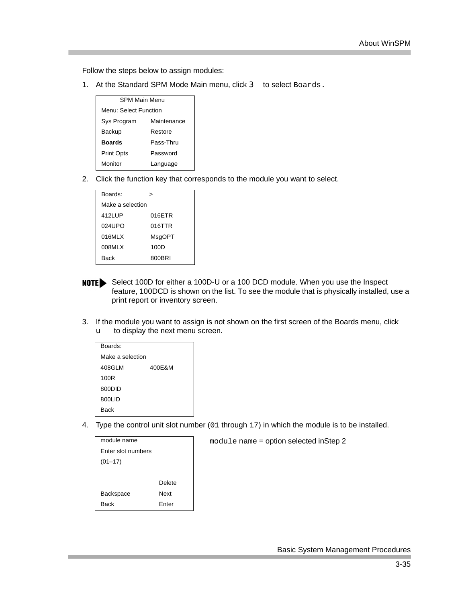Follow the steps below to assign modules:

1. At the Standard SPM Mode Main menu, click 3 to select Boards.

| <b>SPM Main Menu</b>  |             |  |  |
|-----------------------|-------------|--|--|
| Menu: Select Function |             |  |  |
| Sys Program           | Maintenance |  |  |
| Backup                | Restore     |  |  |
| <b>Boards</b>         | Pass-Thru   |  |  |
| <b>Print Opts</b>     | Password    |  |  |
| Monitor               | Language    |  |  |

2. Click the function key that corresponds to the module you want to select.

| Boards:          | >      |  |  |
|------------------|--------|--|--|
| Make a selection |        |  |  |
| 412LUP           | 016FTR |  |  |
| 024UPO           | 016TTR |  |  |
| 016MI X          | MsgOPT |  |  |
| 008MI X          | 100D   |  |  |
| Back             | 800BRI |  |  |

- NOTE Select 100D for either a 100D-U or a 100 DCD module. When you use the Inspect feature, 100DCD is shown on the list. To see the module that is physically installed, use a print report or inventory screen.
- 3. If the module you want to assign is not shown on the first screen of the Boards menu, click u to display the next menu screen.

| Boards:          |        |
|------------------|--------|
| Make a selection |        |
| 408GLM           | 400E&M |
| 100R             |        |
| 800DID           |        |
| 800LID           |        |
| Back             |        |

4. Type the control unit slot number (01 through 17) in which the module is to be installed.

| module name        |        |
|--------------------|--------|
| Enter slot numbers |        |
| $(01-17)$          |        |
|                    |        |
|                    | Delete |
| <b>Backspace</b>   | Next   |
| Back               | Fnter  |

 $modu1e$  name = option selected inStep 2

Basic System Management Procedures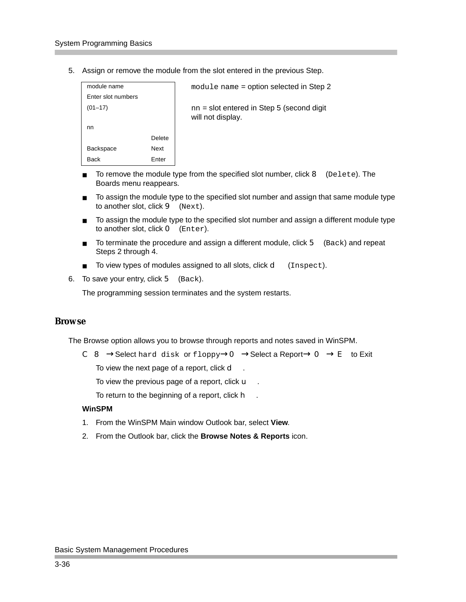5. Assign or remove the module from the slot entered in the previous Step.

| module name        |        | module name = option selected in Step 2                          |
|--------------------|--------|------------------------------------------------------------------|
| Enter slot numbers |        |                                                                  |
| $(01 - 17)$        |        | $nn =$ slot entered in Step 5 (second digit<br>will not display. |
| nn                 |        |                                                                  |
|                    | Delete |                                                                  |
| <b>Backspace</b>   | Next   |                                                                  |
| <b>Back</b>        | Enter  |                                                                  |

- To remove the module type from the specified slot number, click  $8$  (Delete). The Boards menu reappears.
- To assign the module type to the specified slot number and assign that same module type to another slot, click  $9$  (Next).
- To assign the module type to the specified slot number and assign a different module type to another slot, click O (Enter).
- To terminate the procedure and assign a different module, click 5 (Back) and repeat Steps 2 through 4.
- To view types of modules assigned to all slots, click d (Inspect).
- 6. To save your entry, click 5 (Back).

The programming session terminates and the system restarts.

### **Browse** 3. *Browse*

The Browse option allows you to browse through reports and notes saved in WinSPM.

C 8  $\rightarrow$  Select hard disk or floppy $\rightarrow$ O  $\rightarrow$  Select a Report $\rightarrow$  O  $\rightarrow$  E to Exit

To view the next page of a report, click d.

To view the previous page of a report, click  $\cup$ .

To return to the beginning of a report, click h.

#### **WinSPM**

- 1. From the WinSPM Main window Outlook bar, select **View**.
- 2. From the Outlook bar, click the **Browse Notes & Reports** icon.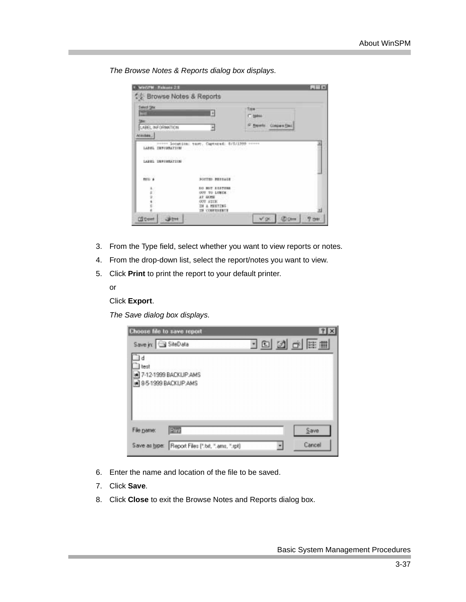The Browse Notes & Reports dialog box displays.

| Select Skic<br>लाम                                                     | ×                                              | Trene                   |
|------------------------------------------------------------------------|------------------------------------------------|-------------------------|
|                                                                        |                                                | <b>Cigase</b>           |
| LABEL INFORMATION                                                      |                                                | If Exports Compare Day, |
| Annotate.                                                              |                                                |                         |
|                                                                        |                                                |                         |
|                                                                        | porce location: vert. Captured: 0/5/1999 corre |                         |
| LABEL INFIDENTION                                                      |                                                |                         |
|                                                                        |                                                |                         |
|                                                                        |                                                |                         |
|                                                                        |                                                |                         |
|                                                                        | <b>SCANDARD CONTROLLER</b>                     |                         |
|                                                                        | FORTHD BRUSALE                                 |                         |
|                                                                        | DO BUT ESSTEER.                                |                         |
|                                                                        | OUT TO LEBER                                   |                         |
| : 2007년 5월 20일 소리들의 1.<br>LOTTL INFIRMATION<br>445-15<br><b>REG. A</b> | AT 400MH                                       |                         |
| $+1$                                                                   | OUT STOK<br>IN A MEETING                       |                         |

- 3. From the Type field, select whether you want to view reports or notes.
- 4. From the drop-down list, select the report/notes you want to view.
- 5. Click **Print** to print the report to your default printer.

or

Click **Export**.

The Save dialog box displays.

| Choose file to save report                         |             |
|----------------------------------------------------|-------------|
| Save jn SiteData                                   | 100 de E II |
| test<br>7-12-1999 BACKUP AMS<br>85-1999 BACKUP AMS |             |
| Pint<br>File name:                                 | Save        |
| Save as type: Report Files [".bit, ".ams, ".rpt]   | Cancel      |

- 6. Enter the name and location of the file to be saved.
- 7. Click **Save**.
- 8. Click **Close** to exit the Browse Notes and Reports dialog box.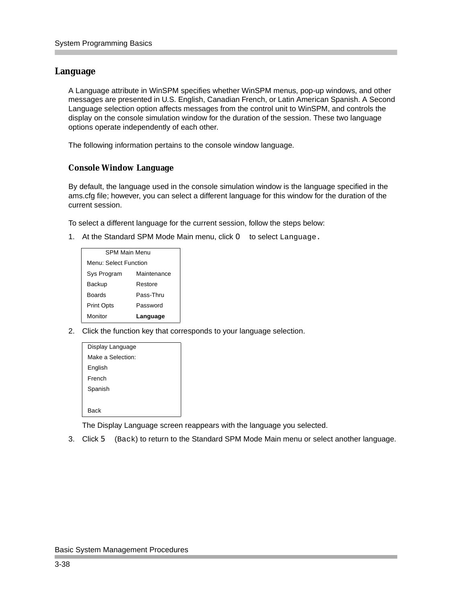### Language

A Language attribute in WinSPM specifies whether WinSPM menus, pop-up windows, and other messages are presented in U.S. English, Canadian French, or Latin American Spanish. A Second Language selection option affects messages from the control unit to WinSPM, and controls the display on the console simulation window for the duration of the session. These two language options operate independently of each other.

The following information pertains to the console window language.

### **Console Window Language**

By default, the language used in the console simulation window is the language specified in the ams.cfg file; however, you can select a different language for this window for the duration of the current session.

To select a different language for the current session, follow the steps below:

1. At the Standard SPM Mode Main menu, click O to select Language.

| <b>SPM Main Menu</b>  |             |  |
|-----------------------|-------------|--|
| Menu: Select Function |             |  |
| Sys Program           | Maintenance |  |
| <b>Backup</b>         | Restore     |  |
| <b>Boards</b>         | Pass-Thru   |  |
| <b>Print Opts</b>     | Password    |  |
| Monitor               | Language    |  |

2. Click the function key that corresponds to your language selection.

| Display Language  |
|-------------------|
| Make a Selection: |
| English           |
| French            |
| Spanish           |
|                   |
| Back              |

The Display Language screen reappears with the language you selected.

3. Click 5 (Back) to return to the Standard SPM Mode Main menu or select another language.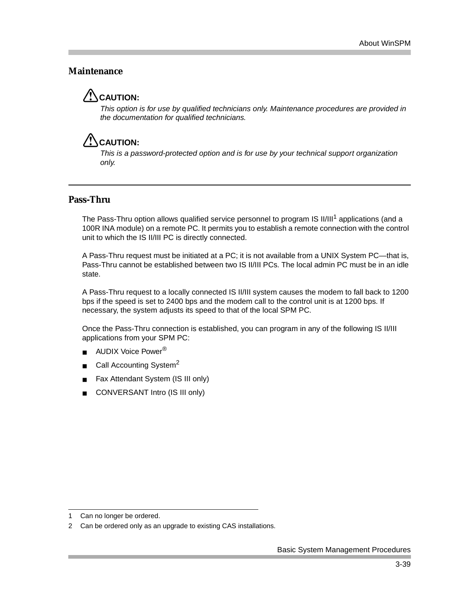## **Maintenance**

# **CAUTION:**

This option is for use by qualified technicians only. Maintenance procedures are provided in the documentation for qualified technicians.

# **CAUTION:**

This is a password-protected option and is for use by your technical support organization only.

## **Pass-Thru**

The Pass-Thru option allows qualified service personnel to program IS II/III<sup>1</sup> applications (and a 100R INA module) on a remote PC. It permits you to establish a remote connection with the control unit to which the IS II/III PC is directly connected.

A Pass-Thru request must be initiated at a PC; it is not available from a UNIX System PC—that is, Pass-Thru cannot be established between two IS II/III PCs. The local admin PC must be in an idle state.

A Pass-Thru request to a locally connected IS II/III system causes the modem to fall back to 1200 bps if the speed is set to 2400 bps and the modem call to the control unit is at 1200 bps. If necessary, the system adjusts its speed to that of the local SPM PC.

Once the Pass-Thru connection is established, you can program in any of the following IS II/III applications from your SPM PC:

- AUDIX Voice Power<sup>®</sup>
- **■** Call Accounting System<sup>2</sup>
- Fax Attendant System (IS III only)
- CONVERSANT Intro (IS III only)

<sup>1</sup> Can no longer be ordered.

<sup>2</sup> Can be ordered only as an upgrade to existing CAS installations.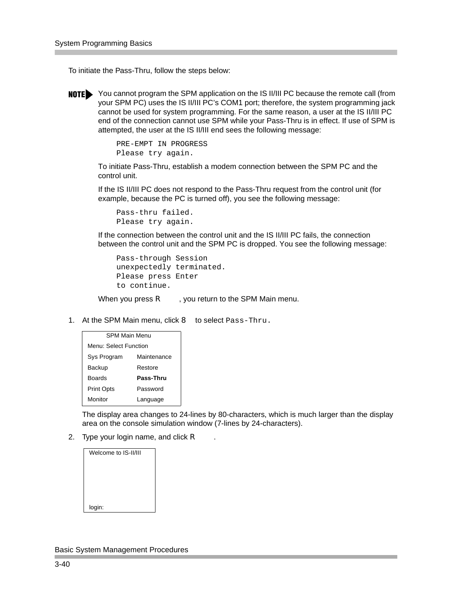To initiate the Pass-Thru, follow the steps below:

**NOTE** You cannot program the SPM application on the IS II/III PC because the remote call (from your SPM PC) uses the IS II/III PC's COM1 port; therefore, the system programming jack cannot be used for system programming. For the same reason, a user at the IS II/III PC end of the connection cannot use SPM while your Pass-Thru is in effect. If use of SPM is attempted, the user at the IS II/III end sees the following message:

```
PRE-EMPT IN PROGRESS
Please try again.
```
To initiate Pass-Thru, establish a modem connection between the SPM PC and the control unit.

If the IS II/III PC does not respond to the Pass-Thru request from the control unit (for example, because the PC is turned off), you see the following message:

```
Pass-thru failed.
Please try again.
```
If the connection between the control unit and the IS II/III PC fails, the connection between the control unit and the SPM PC is dropped. You see the following message:

```
Pass-through Session
unexpectedly terminated.
Please press Enter
to continue.
```
When you press  $R$ , you return to the SPM Main menu.

1. At the SPM Main menu, click 8 to select Pass-Thru.

| <b>SPM Main Menu</b>  |             |  |
|-----------------------|-------------|--|
| Menu: Select Function |             |  |
| Sys Program           | Maintenance |  |
| Backup                | Restore     |  |
| <b>Boards</b>         | Pass-Thru   |  |
| <b>Print Opts</b>     | Password    |  |
| Monitor               | Language    |  |

The display area changes to 24-lines by 80-characters, which is much larger than the display area on the console simulation window (7-lines by 24-characters).

2. Type your login name, and click R.

| Welcome to IS-II/III |  |
|----------------------|--|
|                      |  |
|                      |  |
|                      |  |
|                      |  |
|                      |  |
|                      |  |
|                      |  |
|                      |  |
| login:               |  |

Basic System Management Procedures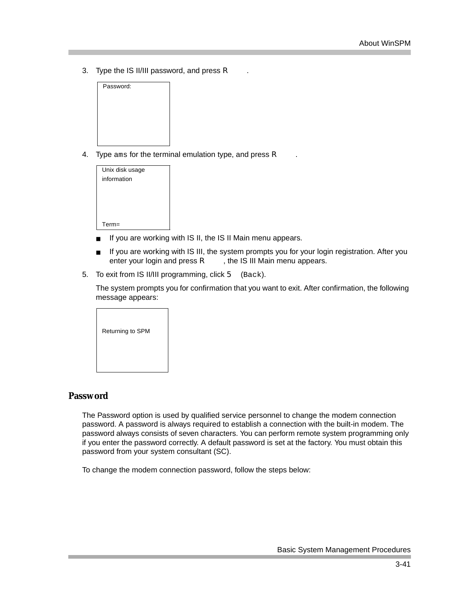3. Type the IS II/III password, and press R.



4. Type ams for the terminal emulation type, and press R.

| Unix disk usage |  |
|-----------------|--|
| information     |  |
|                 |  |
|                 |  |
|                 |  |
|                 |  |
| $Term =$        |  |

- If you are working with IS II, the IS II Main menu appears.
- If you are working with IS III, the system prompts you for your login registration. After you enter your login and press  $R$ , the IS III Main menu appears.
- 5. To exit from IS II/III programming, click 5 (Back).

The system prompts you for confirmation that you want to exit. After confirmation, the following message appears:

| Returning to SPM |  |
|------------------|--|
|                  |  |

## **Password**

The Password option is used by qualified service personnel to change the modem connection password. A password is always required to establish a connection with the built-in modem. The password always consists of seven characters. You can perform remote system programming only if you enter the password correctly. A default password is set at the factory. You must obtain this password from your system consultant (SC).

To change the modem connection password, follow the steps below: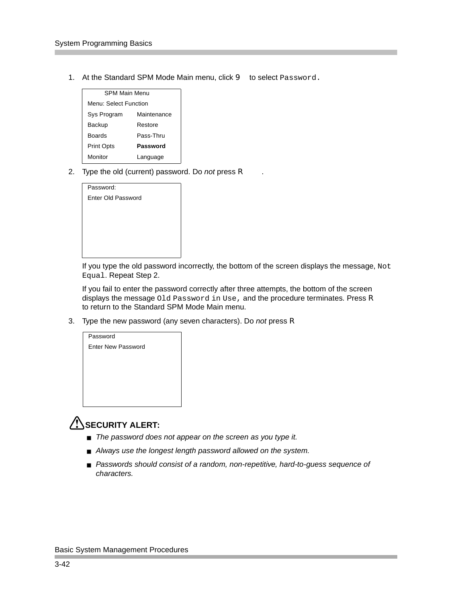1. At the Standard SPM Mode Main menu, click 9 to select Password.

| <b>SPM Main Menu</b>  |             |  |
|-----------------------|-------------|--|
| Menu: Select Function |             |  |
| Sys Program           | Maintenance |  |
| Backup                | Restore     |  |
| <b>Boards</b>         | Pass-Thru   |  |
| <b>Print Opts</b>     | Password    |  |
| Monitor               | Language    |  |

2. Type the old (current) password. Do not press R



If you type the old password incorrectly, the bottom of the screen displays the message, Not Equal. Repeat Step 2.

If you fail to enter the password correctly after three attempts, the bottom of the screen to return to the Standard SPM Mode Main menu. displays the message Old Password in Use, and the procedure terminates. Press R

3. Type the new password (any seven characters). Do not press R



# SECURITY ALERT:

- The password does not appear on the screen as you type it.
- Always use the longest length password allowed on the system.
- Passwords should consist of a random, non-repetitive, hard-to-guess sequence of characters.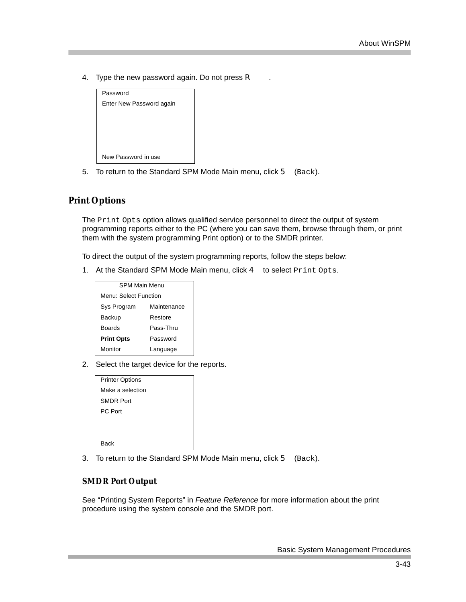4. Type the new password again. Do not press R.



5. To return to the Standard SPM Mode Main menu, click 5 (Back).

### **Print Options**

The Print Opts option allows qualified service personnel to direct the output of system programming reports either to the PC (where you can save them, browse through them, or print them with the system programming Print option) or to the SMDR printer.

To direct the output of the system programming reports, follow the steps below:

1. At the Standard SPM Mode Main menu, click 4 to select Print Opts.

| <b>SPM Main Menu</b>  |             |  |
|-----------------------|-------------|--|
| Menu: Select Function |             |  |
| Sys Program           | Maintenance |  |
| Backup                | Restore     |  |
| <b>Boards</b>         | Pass-Thru   |  |
| <b>Print Opts</b>     | Password    |  |
| Monitor               | Language    |  |

2. Select the target device for the reports.

| <b>Printer Options</b> |
|------------------------|
| Make a selection       |
| <b>SMDR Port</b>       |
| PC Port                |
|                        |
|                        |
| Back                   |

3. To return to the Standard SPM Mode Main menu, click 5 (Back).

### **SMDR Port Output**

See "Printing System Reports" in Feature Reference for more information about the print procedure using the system console and the SMDR port.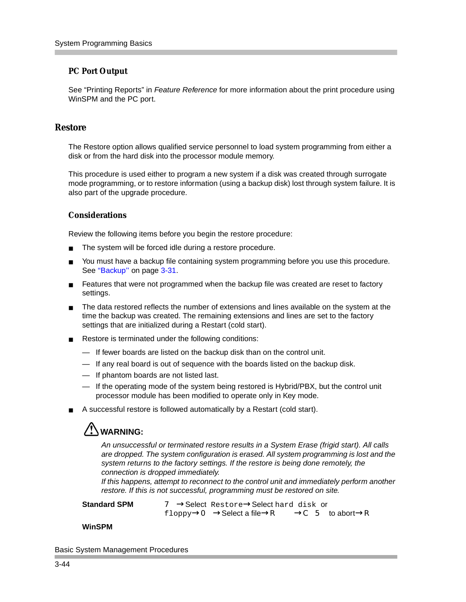### **PC Port Output**

See "Printing Reports" in Feature Reference for more information about the print procedure using WinSPM and the PC port.

### **Restore** 3 *Restore* 3 *ARES*

The Restore option allows qualified service personnel to load system programming from either a disk or from the hard disk into the processor module memory.

This procedure is used either to program a new system if a disk was created through surrogate mode programming, or to restore information (using a backup disk) lost through system failure. It is also part of the upgrade procedure.

### **Considerations**

Review the following items before you begin the restore procedure:

- The system will be forced idle during a restore procedure.
- You must have a backup file containing system programming before you use this procedure. See "Backup" [on page 3-31.](#page-76-0)
- Features that were not programmed when the backup file was created are reset to factory settings.
- The data restored reflects the number of extensions and lines available on the system at the time the backup was created. The remaining extensions and lines are set to the factory settings that are initialized during a Restart (cold start).
- Restore is terminated under the following conditions:
	- If fewer boards are listed on the backup disk than on the control unit.
	- If any real board is out of sequence with the boards listed on the backup disk.
	- If phantom boards are not listed last.
	- If the operating mode of the system being restored is Hybrid/PBX, but the control unit processor module has been modified to operate only in Key mode.
- A successful restore is followed automatically by a Restart (cold start).

# **WARNING:**

An unsuccessful or terminated restore results in a System Erase (frigid start). All calls are dropped. The system configuration is erased. All system programming is lost and the system returns to the factory settings. If the restore is being done remotely, the connection is dropped immediately.

If this happens, attempt to reconnect to the control unit and immediately perform another restore. If this is not successful, programming must be restored on site.

**Standard SPM** 7→Select Restore→Select hard disk or floppy $\rightarrow$ O  $\rightarrow$ Select a file $\rightarrow$ R  $\rightarrow$ C 5 to abort $\rightarrow$ R

#### **WinSPM**

Basic System Management Procedures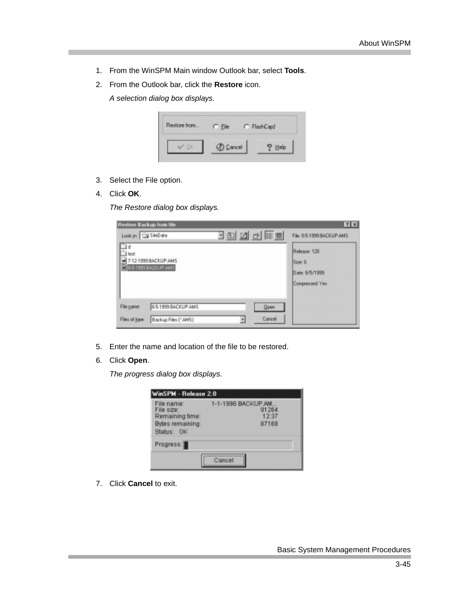- 1. From the WinSPM Main window Outlook bar, select **Tools**.
- 2. From the Outlook bar, click the **Restore** icon.

A selection dialog box displays.

| Flestore from | $\cap$ File | C FlashCard |
|---------------|-------------|-------------|
|               | 1 Cancel    |             |

- 3. Select the File option.
- 4. Click **OK**.

The Restore dialog box displays.

| <b>Restore Backup from file</b>                             | Y X                                      |
|-------------------------------------------------------------|------------------------------------------|
| <b>그의 21 ± E m</b><br>Look jn: SileData                     | File: 8-5-1999 BACKUP ANS                |
| ∃d<br>I test<br>7-12-1999 BACKUP AMS<br>8-5-1999 BACKUP AMS | Release: 128<br>Size 6<br>Date: 8/5/1999 |
|                                                             | Compressed: Yes                          |
| 8-5-1999 BACKUP AMS<br>File name:<br>Open                   |                                          |
| Cancel<br>Backup Files (* AMS)<br>Files of type:            |                                          |

- 5. Enter the name and location of the file to be restored.
- 6. Click **Open**.

The progress dialog box displays.

| WinSPM - Release 2.0                                                          |                                               |  |
|-------------------------------------------------------------------------------|-----------------------------------------------|--|
| File name:<br>File size:<br>Remaining time:<br>Bytes remaining:<br>Status: OK | 1-1-1996 BACKUP AM<br>91264<br>12:37<br>87168 |  |
| Progress:                                                                     |                                               |  |
| Cancel                                                                        |                                               |  |

7. Click **Cancel** to exit.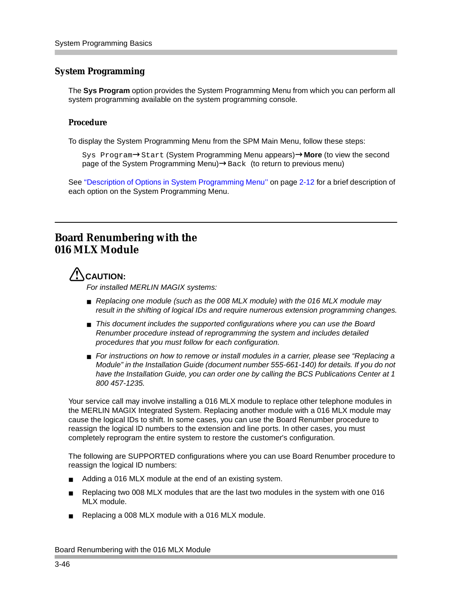## **System Programming**

The **Sys Program** option provides the System Programming Menu from which you can perform all system programming available on the system programming console.

### **Procedure**

To display the System Programming Menu from the SPM Main Menu, follow these steps:

Sys Program→Start (System Programming Menu appears)→**More** (to view the second page of the System Programming Menu)→Back (to return to previous menu)

See [''Description of Options in System Programming Menu''](#page-41-1) on page 2-12 for a brief description of each option on the System Programming Menu.

# <span id="page-91-0"></span>**Board Renumbering with the 016 MLX Module** 3

# **CAUTION:**

For installed MERLIN MAGIX systems:

- Replacing one module (such as the 008 MLX module) with the 016 MLX module may result in the shifting of logical IDs and require numerous extension programming changes.
- This document includes the supported configurations where you can use the Board Renumber procedure instead of reprogramming the system and includes detailed procedures that you must follow for each configuration.
- For instructions on how to remove or install modules in a carrier, please see "Replacing a Module" in the Installation Guide (document number 555-661-140) for details. If you do not have the Installation Guide, you can order one by calling the BCS Publications Center at 1 800 457-1235.

Your service call may involve installing a 016 MLX module to replace other telephone modules in the MERLIN MAGIX Integrated System. Replacing another module with a 016 MLX module may cause the logical IDs to shift. In some cases, you can use the Board Renumber procedure to reassign the logical ID numbers to the extension and line ports. In other cases, you must completely reprogram the entire system to restore the customer's configuration.

The following are SUPPORTED configurations where you can use Board Renumber procedure to reassign the logical ID numbers:

- Adding a 016 MLX module at the end of an existing system.
- Replacing two 008 MLX modules that are the last two modules in the system with one 016 MLX module.
- Replacing a 008 MLX module with a 016 MLX module.

Board Renumbering with the 016 MLX Module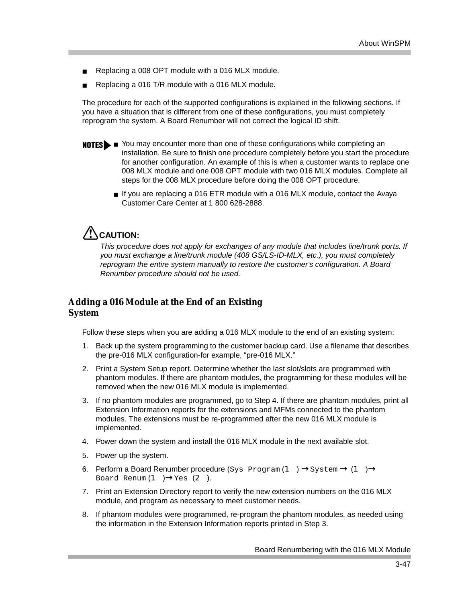- Replacing a 008 OPT module with a 016 MLX module.
- Replacing a 016 T/R module with a 016 MLX module.

The procedure for each of the supported configurations is explained in the following sections. If you have a situation that is different from one of these configurations, you must completely reprogram the system. A Board Renumber will not correct the logical ID shift.

- NOTES  $\blacktriangleright$   $\blacktriangleright$  You may encounter more than one of these configurations while completing an installation. Be sure to finish one procedure completely before you start the procedure for another configuration. An example of this is when a customer wants to replace one 008 MLX module and one 008 OPT module with two 016 MLX modules. Complete all steps for the 008 MLX procedure before doing the 008 OPT procedure.
	- If you are replacing a 016 ETR module with a 016 MLX module, contact the Avaya Customer Care Center at 1 800 628-2888.

# **CAUTION:**

This procedure does not apply for exchanges of any module that includes line/trunk ports. If you must exchange a line/trunk module (408 GS/LS-ID-MLX, etc.), you must completely reprogram the entire system manually to restore the customer's configuration. A Board Renumber procedure should not be used.

# **Adding a 016 Module at the End of an Existing System**

Follow these steps when you are adding a 016 MLX module to the end of an existing system:

- 1. Back up the system programming to the customer backup card. Use a filename that describes the pre-016 MLX configuration-for example, "pre-016 MLX."
- 2. Print a System Setup report. Determine whether the last slot/slots are programmed with phantom modules. If there are phantom modules, the programming for these modules will be removed when the new 016 MLX module is implemented.
- 3. If no phantom modules are programmed, go to Step 4. If there are phantom modules, print all Extension Information reports for the extensions and MFMs connected to the phantom modules. The extensions must be re-programmed after the new 016 MLX module is implemented.
- 4. Power down the system and install the 016 MLX module in the next available slot.
- 5. Power up the system.
- 6. Perform a Board Renumber procedure (Sys Program  $(1)$ )  $\rightarrow$ System  $\rightarrow$   $(1)$ ) Board Renum  $(1)$   $\rightarrow$ Yes  $(2)$ .
- 7. Print an Extension Directory report to verify the new extension numbers on the 016 MLX module, and program as necessary to meet customer needs.
- 8. If phantom modules were programmed, re-program the phantom modules, as needed using the information in the Extension Information reports printed in Step 3.

Board Renumbering with the 016 MLX Module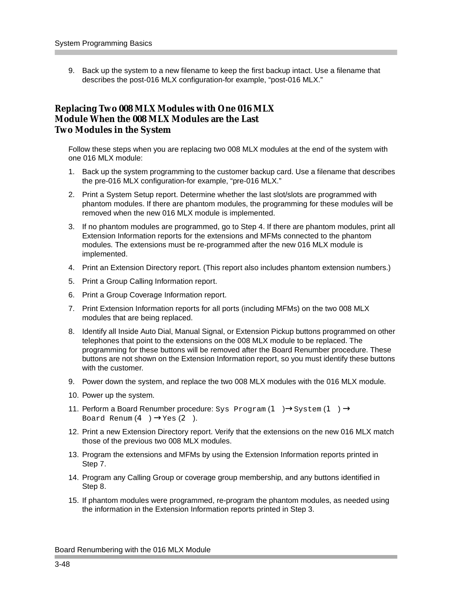9. Back up the system to a new filename to keep the first backup intact. Use a filename that describes the post-016 MLX configuration-for example, "post-016 MLX."

## **Replacing Two 008 MLX Modules with One 016 MLX Module When the 008 MLX Modules are the Last Two Modules in the System**

Follow these steps when you are replacing two 008 MLX modules at the end of the system with one 016 MLX module:

- 1. Back up the system programming to the customer backup card. Use a filename that describes the pre-016 MLX configuration-for example, "pre-016 MLX."
- 2. Print a System Setup report. Determine whether the last slot/slots are programmed with phantom modules. If there are phantom modules, the programming for these modules will be removed when the new 016 MLX module is implemented.
- 3. If no phantom modules are programmed, go to Step 4. If there are phantom modules, print all Extension Information reports for the extensions and MFMs connected to the phantom modules. The extensions must be re-programmed after the new 016 MLX module is implemented.
- 4. Print an Extension Directory report. (This report also includes phantom extension numbers.)
- 5. Print a Group Calling Information report.
- 6. Print a Group Coverage Information report.
- 7. Print Extension Information reports for all ports (including MFMs) on the two 008 MLX modules that are being replaced.
- 8. Identify all Inside Auto Dial, Manual Signal, or Extension Pickup buttons programmed on other telephones that point to the extensions on the 008 MLX module to be replaced. The programming for these buttons will be removed after the Board Renumber procedure. These buttons are not shown on the Extension Information report, so you must identify these buttons with the customer.
- 9. Power down the system, and replace the two 008 MLX modules with the 016 MLX module.
- 10. Power up the system.
- 11. Perform a Board Renumber procedure: Sys Program (1)  $\rightarrow$ System (1)  $\rightarrow$ Board Renum  $(4)$   $\rightarrow$ Yes  $(2)$ .
- 12. Print a new Extension Directory report. Verify that the extensions on the new 016 MLX match those of the previous two 008 MLX modules.
- 13. Program the extensions and MFMs by using the Extension Information reports printed in Step 7.
- 14. Program any Calling Group or coverage group membership, and any buttons identified in Step 8.
- 15. If phantom modules were programmed, re-program the phantom modules, as needed using the information in the Extension Information reports printed in Step 3.

Board Renumbering with the 016 MLX Module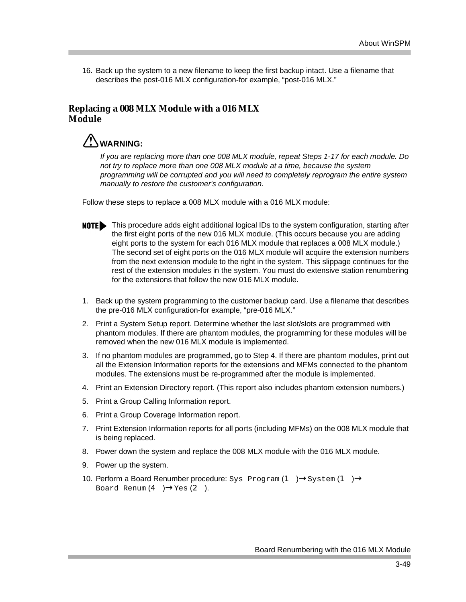16. Back up the system to a new filename to keep the first backup intact. Use a filename that describes the post-016 MLX configuration-for example, "post-016 MLX."

# **Replacing a 008 MLX Module with a 016 MLX Module** 3

# **WARNING:**

If you are replacing more than one 008 MLX module, repeat Steps 1-17 for each module. Do not try to replace more than one 008 MLX module at a time, because the system programming will be corrupted and you will need to completely reprogram the entire system manually to restore the customer's configuration.

Follow these steps to replace a 008 MLX module with a 016 MLX module:

- **NOTEL** This procedure adds eight additional logical IDs to the system configuration, starting after the first eight ports of the new 016 MLX module. (This occurs because you are adding eight ports to the system for each 016 MLX module that replaces a 008 MLX module.) The second set of eight ports on the 016 MLX module will acquire the extension numbers from the next extension module to the right in the system. This slippage continues for the rest of the extension modules in the system. You must do extensive station renumbering for the extensions that follow the new 016 MLX module.
- 1. Back up the system programming to the customer backup card. Use a filename that describes the pre-016 MLX configuration-for example, "pre-016 MLX."
- 2. Print a System Setup report. Determine whether the last slot/slots are programmed with phantom modules. If there are phantom modules, the programming for these modules will be removed when the new 016 MLX module is implemented.
- 3. If no phantom modules are programmed, go to Step 4. If there are phantom modules, print out all the Extension Information reports for the extensions and MFMs connected to the phantom modules. The extensions must be re-programmed after the module is implemented.
- 4. Print an Extension Directory report. (This report also includes phantom extension numbers.)
- 5. Print a Group Calling Information report.
- 6. Print a Group Coverage Information report.
- 7. Print Extension Information reports for all ports (including MFMs) on the 008 MLX module that is being replaced.
- 8. Power down the system and replace the 008 MLX module with the 016 MLX module.
- 9. Power up the system.
- 10. Perform a Board Renumber procedure: Sys Program  $(1) \rightarrow$ System  $(1) \rightarrow$ Board Renum  $(4)$   $\rightarrow$ Yes  $(2)$ .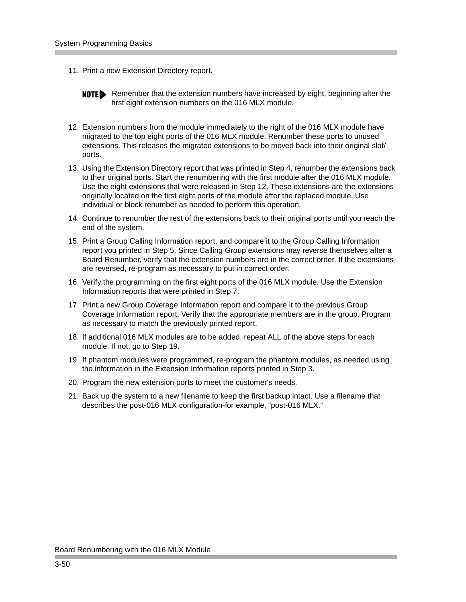- 11. Print a new Extension Directory report.
	- **NOTE** Remember that the extension numbers have increased by eight, beginning after the first eight extension numbers on the 016 MLX module.
- 12. Extension numbers from the module immediately to the right of the 016 MLX module have migrated to the top eight ports of the 016 MLX module. Renumber these ports to unused extensions. This releases the migrated extensions to be moved back into their original slot/ ports.
- 13. Using the Extension Directory report that was printed in Step 4, renumber the extensions back to their original ports. Start the renumbering with the first module after the 016 MLX module. Use the eight extensions that were released in Step 12. These extensions are the extensions originally located on the first eight ports of the module after the replaced module. Use individual or block renumber as needed to perform this operation.
- 14. Continue to renumber the rest of the extensions back to their original ports until you reach the end of the system.
- 15. Print a Group Calling Information report, and compare it to the Group Calling Information report you printed in Step 5. Since Calling Group extensions may reverse themselves after a Board Renumber, verify that the extension numbers are in the correct order. If the extensions are reversed, re-program as necessary to put in correct order.
- 16. Verify the programming on the first eight ports of the 016 MLX module. Use the Extension Information reports that were printed in Step 7.
- 17. Print a new Group Coverage Information report and compare it to the previous Group Coverage Information report. Verify that the appropriate members are in the group. Program as necessary to match the previously printed report.
- 18. If additional 016 MLX modules are to be added, repeat ALL of the above steps for each module. If not, go to Step 19.
- 19. If phantom modules were programmed, re-program the phantom modules, as needed using the information in the Extension Information reports printed in Step 3.
- 20. Program the new extension ports to meet the customer's needs.
- 21. Back up the system to a new filename to keep the first backup intact. Use a filename that describes the post-016 MLX configuration-for example, "post-016 MLX."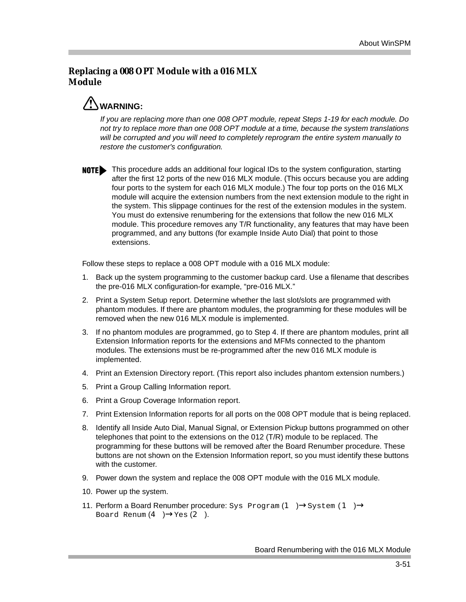## **Replacing a 008 OPT Module with a 016 MLX Module** 3

# **WARNING:**

If you are replacing more than one 008 OPT module, repeat Steps 1-19 for each module. Do not try to replace more than one 008 OPT module at a time, because the system translations will be corrupted and you will need to completely reprogram the entire system manually to restore the customer's configuration.

**NOTE** This procedure adds an additional four logical IDs to the system configuration, starting after the first 12 ports of the new 016 MLX module. (This occurs because you are adding four ports to the system for each 016 MLX module.) The four top ports on the 016 MLX module will acquire the extension numbers from the next extension module to the right in the system. This slippage continues for the rest of the extension modules in the system. You must do extensive renumbering for the extensions that follow the new 016 MLX module. This procedure removes any T/R functionality, any features that may have been programmed, and any buttons (for example Inside Auto Dial) that point to those extensions.

Follow these steps to replace a 008 OPT module with a 016 MLX module:

- 1. Back up the system programming to the customer backup card. Use a filename that describes the pre-016 MLX configuration-for example, "pre-016 MLX."
- 2. Print a System Setup report. Determine whether the last slot/slots are programmed with phantom modules. If there are phantom modules, the programming for these modules will be removed when the new 016 MLX module is implemented.
- 3. If no phantom modules are programmed, go to Step 4. If there are phantom modules, print all Extension Information reports for the extensions and MFMs connected to the phantom modules. The extensions must be re-programmed after the new 016 MLX module is implemented.
- 4. Print an Extension Directory report. (This report also includes phantom extension numbers.)
- 5. Print a Group Calling Information report.
- 6. Print a Group Coverage Information report.
- 7. Print Extension Information reports for all ports on the 008 OPT module that is being replaced.
- 8. Identify all Inside Auto Dial, Manual Signal, or Extension Pickup buttons programmed on other telephones that point to the extensions on the 012 (T/R) module to be replaced. The programming for these buttons will be removed after the Board Renumber procedure. These buttons are not shown on the Extension Information report, so you must identify these buttons with the customer.
- 9. Power down the system and replace the 008 OPT module with the 016 MLX module.
- 10. Power up the system.
- 11. Perform a Board Renumber procedure: Sys Program  $(1)$ ) $\rightarrow$ System (1)  $\rightarrow$ Board Renum  $(4)$   $\rightarrow$ Yes  $(2)$ .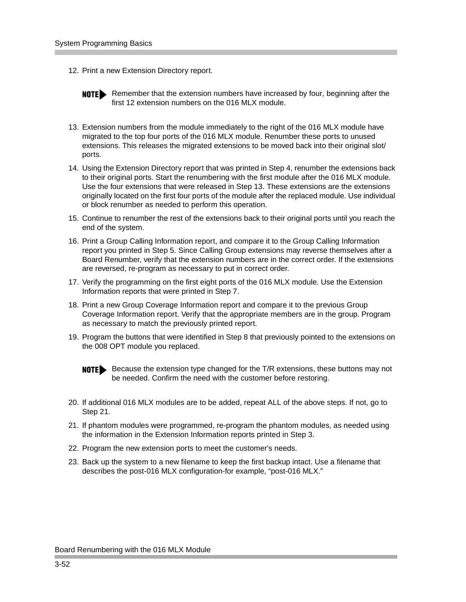- 12. Print a new Extension Directory report.
	- **NOTE** Remember that the extension numbers have increased by four, beginning after the first 12 extension numbers on the 016 MLX module.
- 13. Extension numbers from the module immediately to the right of the 016 MLX module have migrated to the top four ports of the 016 MLX module. Renumber these ports to unused extensions. This releases the migrated extensions to be moved back into their original slot/ ports.
- 14. Using the Extension Directory report that was printed in Step 4, renumber the extensions back to their original ports. Start the renumbering with the first module after the 016 MLX module. Use the four extensions that were released in Step 13. These extensions are the extensions originally located on the first four ports of the module after the replaced module. Use individual or block renumber as needed to perform this operation.
- 15. Continue to renumber the rest of the extensions back to their original ports until you reach the end of the system.
- 16. Print a Group Calling Information report, and compare it to the Group Calling Information report you printed in Step 5. Since Calling Group extensions may reverse themselves after a Board Renumber, verify that the extension numbers are in the correct order. If the extensions are reversed, re-program as necessary to put in correct order.
- 17. Verify the programming on the first eight ports of the 016 MLX module. Use the Extension Information reports that were printed in Step 7.
- 18. Print a new Group Coverage Information report and compare it to the previous Group Coverage Information report. Verify that the appropriate members are in the group. Program as necessary to match the previously printed report.
- 19. Program the buttons that were identified in Step 8 that previously pointed to the extensions on the 008 OPT module you replaced.

**NOTE** Because the extension type changed for the T/R extensions, these buttons may not be needed. Confirm the need with the customer before restoring.

- 20. If additional 016 MLX modules are to be added, repeat ALL of the above steps. If not, go to Step 21.
- 21. If phantom modules were programmed, re-program the phantom modules, as needed using the information in the Extension Information reports printed in Step 3.
- 22. Program the new extension ports to meet the customer's needs.
- 23. Back up the system to a new filename to keep the first backup intact. Use a filename that describes the post-016 MLX configuration-for example, "post-016 MLX."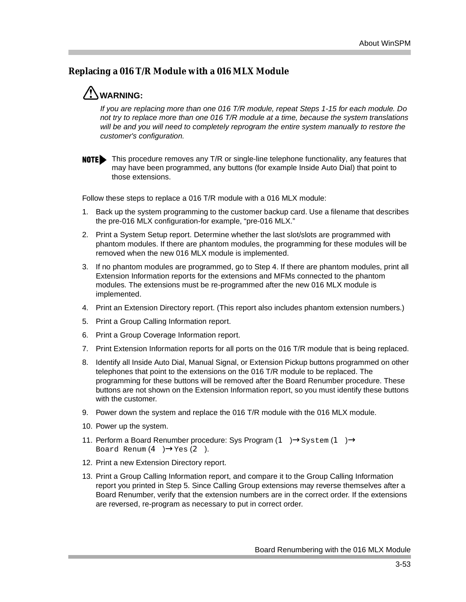## **Replacing a 016 T/R Module with a 016 MLX Module**3

# **WARNING:**

If you are replacing more than one 016 T/R module, repeat Steps 1-15 for each module. Do not try to replace more than one 016 T/R module at a time, because the system translations will be and you will need to completely reprogram the entire system manually to restore the customer's configuration.

**NOTE** This procedure removes any T/R or single-line telephone functionality, any features that may have been programmed, any buttons (for example Inside Auto Dial) that point to those extensions.

Follow these steps to replace a 016 T/R module with a 016 MLX module:

- 1. Back up the system programming to the customer backup card. Use a filename that describes the pre-016 MLX configuration-for example, "pre-016 MLX."
- 2. Print a System Setup report. Determine whether the last slot/slots are programmed with phantom modules. If there are phantom modules, the programming for these modules will be removed when the new 016 MLX module is implemented.
- 3. If no phantom modules are programmed, go to Step 4. If there are phantom modules, print all Extension Information reports for the extensions and MFMs connected to the phantom modules. The extensions must be re-programmed after the new 016 MLX module is implemented.
- 4. Print an Extension Directory report. (This report also includes phantom extension numbers.)
- 5. Print a Group Calling Information report.
- 6. Print a Group Coverage Information report.
- 7. Print Extension Information reports for all ports on the 016 T/R module that is being replaced.
- 8. Identify all Inside Auto Dial, Manual Signal, or Extension Pickup buttons programmed on other telephones that point to the extensions on the 016 T/R module to be replaced. The programming for these buttons will be removed after the Board Renumber procedure. These buttons are not shown on the Extension Information report, so you must identify these buttons with the customer.
- 9. Power down the system and replace the 016 T/R module with the 016 MLX module.
- 10. Power up the system.
- 11. Perform a Board Renumber procedure: Sys Program  $(1) \rightarrow$ System  $(1) \rightarrow$ Board Renum  $(4)$   $\rightarrow$ Yes  $(2)$ .
- 12. Print a new Extension Directory report.
- 13. Print a Group Calling Information report, and compare it to the Group Calling Information report you printed in Step 5. Since Calling Group extensions may reverse themselves after a Board Renumber, verify that the extension numbers are in the correct order. If the extensions are reversed, re-program as necessary to put in correct order.